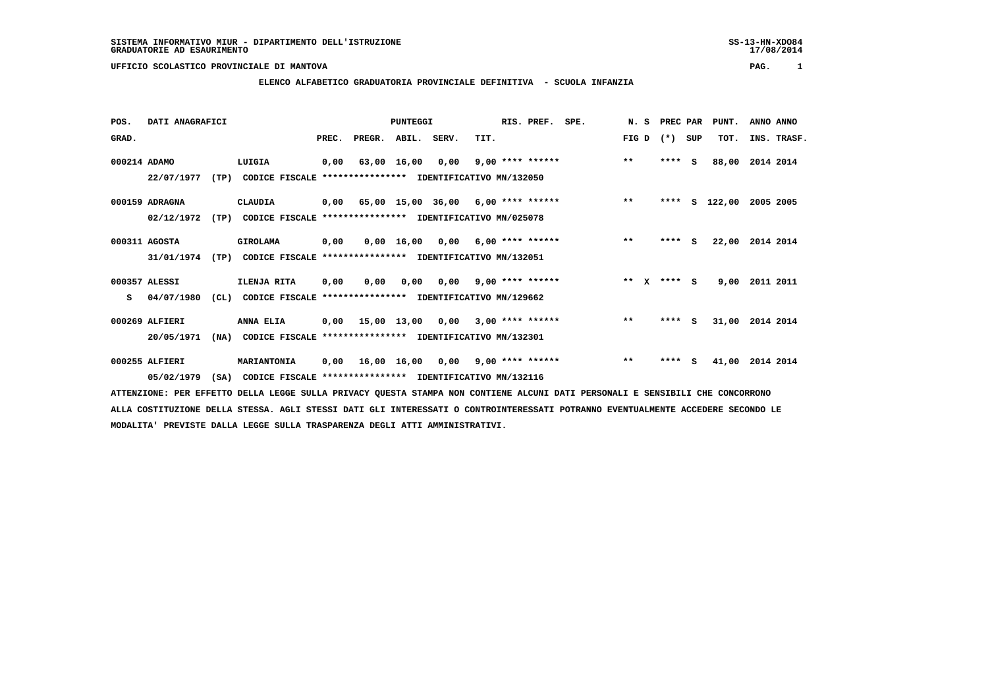# **ELENCO ALFABETICO GRADUATORIA PROVINCIALE DEFINITIVA - SCUOLA INFANZIA**

 **POS. DATI ANAGRAFICI PUNTEGGI RIS. PREF. SPE. N. S PREC PAR PUNT. ANNO ANNO**GRAD. **PREGRADE SERVEGE SERVE SERVE SERVE SERVE SERVE SERVE SERVE SERVE SERVE SERVE SERVE SERVE SERVE SERVE SERVE 000214 ADAMO LUIGIA 0,00 63,00 16,00 0,00 9,00 \*\*\*\* \*\*\*\*\*\* \*\* \*\*\*\* S 88,00 2014 2014 22/07/1977 (TP) CODICE FISCALE \*\*\*\*\*\*\*\*\*\*\*\*\*\*\*\* IDENTIFICATIVO MN/132050 000159 ADRAGNA CLAUDIA 0,00 65,00 15,00 36,00 6,00 \*\*\*\* \*\*\*\*\*\* \*\* \*\*\*\* S 122,00 2005 2005 02/12/1972 (TP) CODICE FISCALE \*\*\*\*\*\*\*\*\*\*\*\*\*\*\*\* IDENTIFICATIVO MN/025078 000311 AGOSTA GIROLAMA 0,00 0,00 16,00 0,00 6,00 \*\*\*\* \*\*\*\*\*\* \*\* \*\*\*\* S 22,00 2014 2014 31/01/1974 (TP) CODICE FISCALE \*\*\*\*\*\*\*\*\*\*\*\*\*\*\*\* IDENTIFICATIVO MN/132051 000357 ALESSI ILENJA RITA 0,00 0,00 0,00 0,00 9,00 \*\*\*\* \*\*\*\*\*\* \*\* X \*\*\*\* S 9,00 2011 2011 S 04/07/1980 (CL) CODICE FISCALE \*\*\*\*\*\*\*\*\*\*\*\*\*\*\*\* IDENTIFICATIVO MN/129662 000269 ALFIERI ANNA ELIA 0,00 15,00 13,00 0,00 3,00 \*\*\*\* \*\*\*\*\*\* \*\* \*\*\*\* S 31,00 2014 2014 20/05/1971 (NA) CODICE FISCALE \*\*\*\*\*\*\*\*\*\*\*\*\*\*\*\* IDENTIFICATIVO MN/132301 000255 ALFIERI MARIANTONIA 0,00 16,00 16,00 0,00 9,00 \*\*\*\* \*\*\*\*\*\* \*\* \*\*\*\* S 41,00 2014 2014 05/02/1979 (SA) CODICE FISCALE \*\*\*\*\*\*\*\*\*\*\*\*\*\*\*\* IDENTIFICATIVO MN/132116**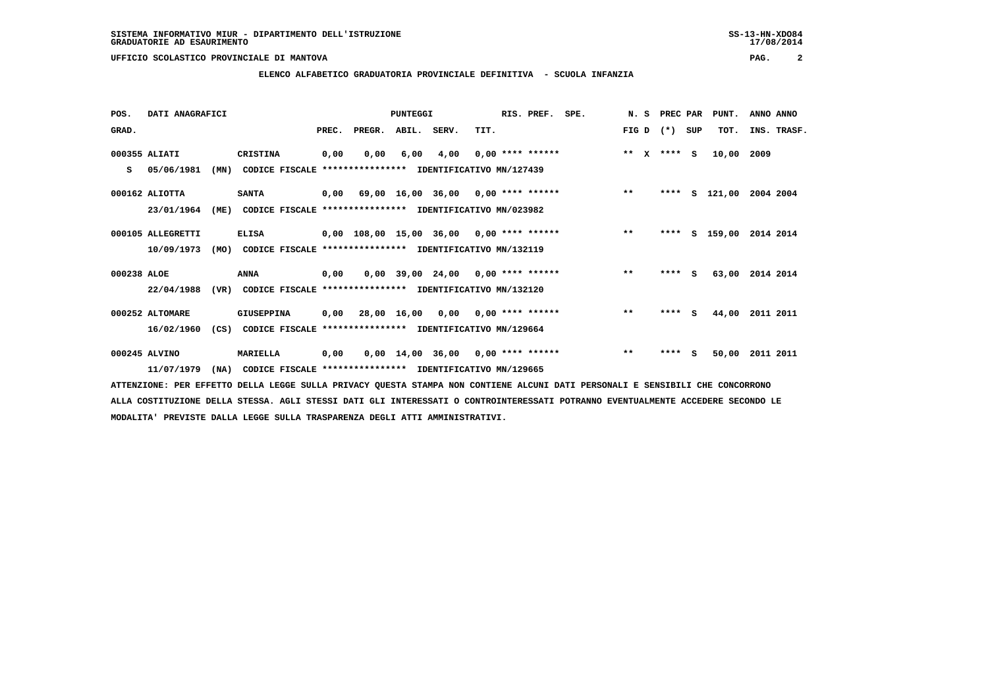**ELENCO ALFABETICO GRADUATORIA PROVINCIALE DEFINITIVA - SCUOLA INFANZIA**

| POS.        | DATI ANAGRAFICI   |      |                                                               |       |                    | PUNTEGGI |      |                                           | RIS. PREF. SPE. | N. S                 | PREC PAR |     | PUNT.    | ANNO ANNO   |
|-------------|-------------------|------|---------------------------------------------------------------|-------|--------------------|----------|------|-------------------------------------------|-----------------|----------------------|----------|-----|----------|-------------|
| GRAD.       |                   |      |                                                               | PREC. | PREGR. ABIL. SERV. |          |      | TIT.                                      |                 | FIG D                | $(* )$   | SUP | TOT.     | INS. TRASF. |
|             | 000355 ALIATI     |      | CRISTINA                                                      | 0,00  | 0,00               | 6,00     | 4,00 | $0.00$ **** ******                        |                 | $**$<br>$\mathbf{x}$ | $***$ S  |     | 10,00    | 2009        |
| s           | 05/06/1981        | (MN) | CODICE FISCALE **************** IDENTIFICATIVO MN/127439      |       |                    |          |      |                                           |                 |                      |          |     |          |             |
|             | $000162$ ALIOTTA  |      | <b>SANTA</b>                                                  |       |                    |          |      | $0,00$ 69,00 16,00 36,00 0,00 **** ****** |                 | $***$                | ****     |     | S 121,00 | 2004 2004   |
|             | 23/01/1964        | (ME) | CODICE FISCALE **************** IDENTIFICATIVO MN/023982      |       |                    |          |      |                                           |                 |                      |          |     |          |             |
|             | 000105 ALLEGRETTI |      | <b>ELISA</b>                                                  |       |                    |          |      | 0,00 108,00 15,00 36,00 0,00 **** ******  |                 | $***$                | ****     |     | s 159,00 | 2014 2014   |
|             | 10/09/1973        | (MO) | CODICE FISCALE **************** IDENTIFICATIVO MN/132119      |       |                    |          |      |                                           |                 |                      |          |     |          |             |
| 000238 ALOE |                   |      | ANNA                                                          | 0,00  |                    |          |      | $0,00$ 39,00 24,00 0,00 **** ******       |                 | $***$                | $***$ S  |     | 63,00    | 2014 2014   |
|             | 22/04/1988        | (VR) | CODICE FISCALE **************** IDENTIFICATIVO MN/132120      |       |                    |          |      |                                           |                 |                      |          |     |          |             |
|             | 000252 ALTOMARE   |      | GIUSEPPINA                                                    | 0,00  | 28,00 16,00        |          |      | $0,00$ $0,00$ **** ******                 |                 | $***$                | ****     | s   | 44,00    | 2011 2011   |
|             | 16/02/1960        |      | (CS) CODICE FISCALE **************** IDENTIFICATIVO MN/129664 |       |                    |          |      |                                           |                 |                      |          |     |          |             |
|             | 000245 ALVINO     |      | MARIELLA                                                      | 0,00  |                    |          |      | $0,00$ 14,00 36,00 0,00 **** ******       |                 | $***$                | ****     | s   | 50,00    | 2011 2011   |
|             | 11/07/1979        | (NA) | CODICE FISCALE **************** IDENTIFICATIVO MN/129665      |       |                    |          |      |                                           |                 |                      |          |     |          |             |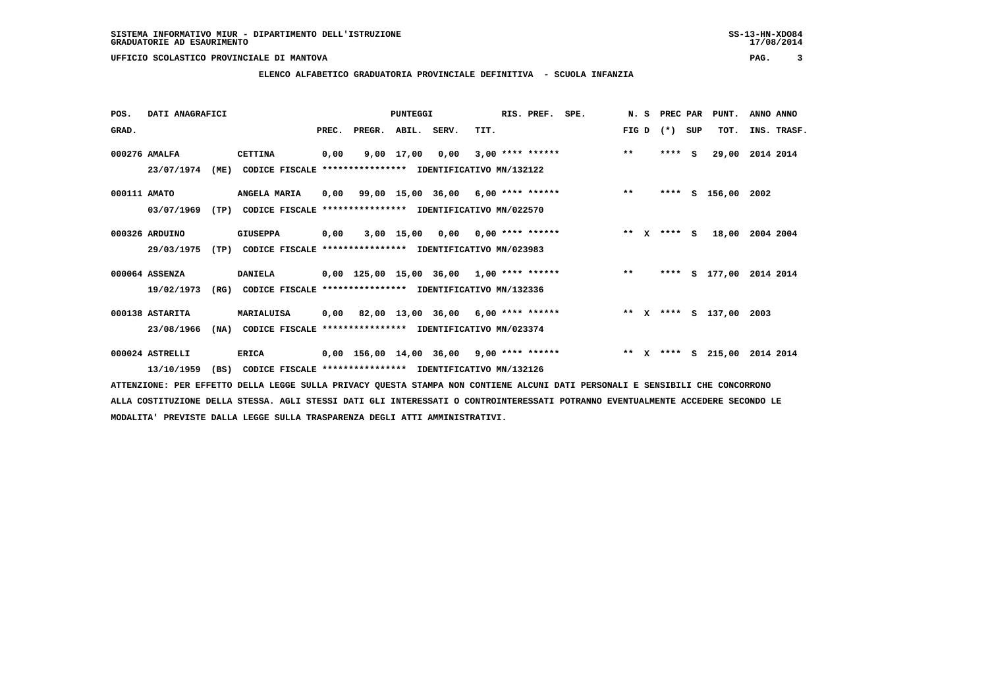**ELENCO ALFABETICO GRADUATORIA PROVINCIALE DEFINITIVA - SCUOLA INFANZIA**

| POS.         | DATI ANAGRAFICI |      |                                                          |       |        | <b>PUNTEGGI</b> |                                            |      | RIS. PREF.         | SPE. | N. S  |              | PREC PAR |     | PUNT.                   | ANNO ANNO |             |
|--------------|-----------------|------|----------------------------------------------------------|-------|--------|-----------------|--------------------------------------------|------|--------------------|------|-------|--------------|----------|-----|-------------------------|-----------|-------------|
| GRAD.        |                 |      |                                                          | PREC. | PREGR. | ABIL.           | SERV.                                      | TIT. |                    |      | FIG D |              | $(* )$   | SUP | TOT.                    |           | INS. TRASF. |
|              | 000276 AMALFA   |      | <b>CETTINA</b>                                           | 0,00  |        | 9,00 17,00      | 0,00                                       |      | $3,00$ **** ****** |      | $**$  |              | ****     | S.  | 29,00                   | 2014 2014 |             |
|              | 23/07/1974      | (ME) | CODICE FISCALE **************** IDENTIFICATIVO MN/132122 |       |        |                 |                                            |      |                    |      |       |              |          |     |                         |           |             |
| 000111 AMATO |                 |      | <b>ANGELA MARIA</b>                                      | 0,00  |        |                 | 99,00 15,00 36,00 6,00 **** ******         |      |                    |      | $**$  |              | ****     |     | S 156,00 2002           |           |             |
|              | 03/07/1969      | (TP) | CODICE FISCALE **************** IDENTIFICATIVO MN/022570 |       |        |                 |                                            |      |                    |      |       |              |          |     |                         |           |             |
|              | 000326 ARDUINO  |      | <b>GIUSEPPA</b>                                          | 0,00  |        | 3,00 15,00      | 0,00                                       |      | $0,00$ **** ****** |      | $* *$ | $\mathbf{x}$ | $***$ S  |     | 18,00                   | 2004 2004 |             |
|              | 29/03/1975      | (TP) | CODICE FISCALE **************** IDENTIFICATIVO MN/023983 |       |        |                 |                                            |      |                    |      |       |              |          |     |                         |           |             |
|              | 000064 ASSENZA  |      | <b>DANIELA</b>                                           |       |        |                 | 0,00 125,00 15,00 36,00 1,00 **** ******   |      |                    |      | $***$ |              |          |     | **** S 177,00 2014 2014 |           |             |
|              | 19/02/1973      | (RG) | CODICE FISCALE **************** IDENTIFICATIVO MN/132336 |       |        |                 |                                            |      |                    |      |       |              |          |     |                         |           |             |
|              | 000138 ASTARITA |      | MARIALUISA                                               | 0.00  |        |                 | 82,00 13,00 36,00 6,00 **** ******         |      |                    |      |       |              |          |     | ** x **** S 137,00      | 2003      |             |
|              | 23/08/1966      | (NA) | CODICE FISCALE **************** IDENTIFICATIVO MN/023374 |       |        |                 |                                            |      |                    |      |       |              |          |     |                         |           |             |
|              | 000024 ASTRELLI |      | <b>ERICA</b>                                             |       |        |                 | $0,00$ 156,00 14,00 36,00 9,00 **** ****** |      |                    |      |       |              |          |     | ** X **** S 215,00      | 2014 2014 |             |
|              | 13/10/1959      | (BS) | CODICE FISCALE **************** IDENTIFICATIVO MN/132126 |       |        |                 |                                            |      |                    |      |       |              |          |     |                         |           |             |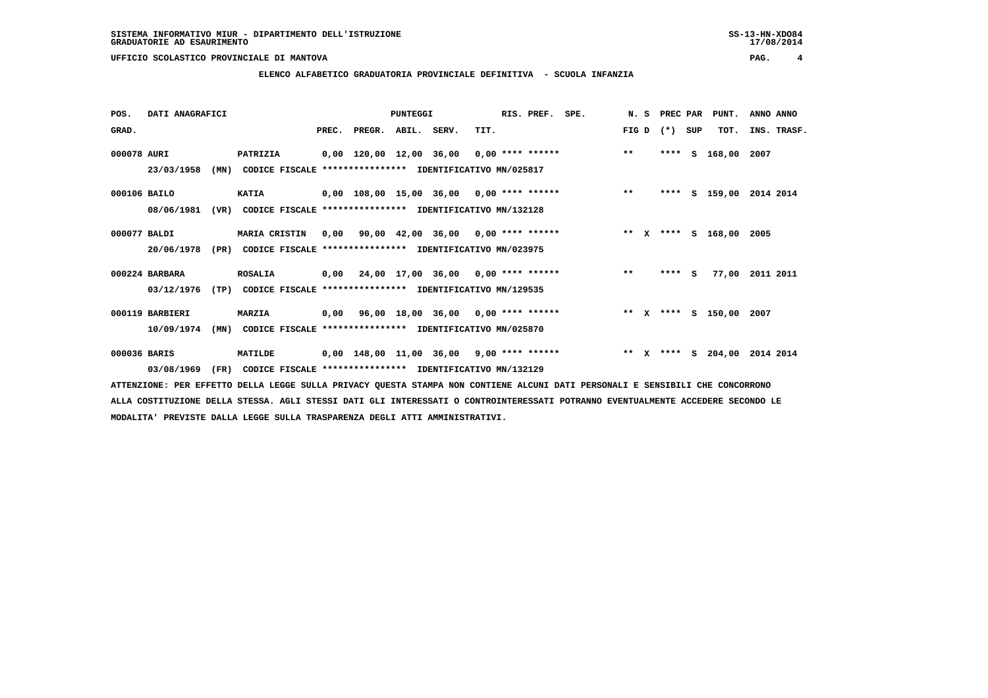**ELENCO ALFABETICO GRADUATORIA PROVINCIALE DEFINITIVA - SCUOLA INFANZIA**

| POS.         | DATI ANAGRAFICI |      |                                                               |                                            | <b>PUNTEGGI</b> |      | RIS. PREF. | SPE.                                            | N. S  |              | PREC PAR |     | PUNT.           | ANNO ANNO          |
|--------------|-----------------|------|---------------------------------------------------------------|--------------------------------------------|-----------------|------|------------|-------------------------------------------------|-------|--------------|----------|-----|-----------------|--------------------|
| GRAD.        |                 |      |                                                               | PREC. PREGR. ABIL. SERV.                   |                 | TIT. |            |                                                 | FIG D |              | $(* )$   | SUP | TOT.            | INS. TRASF.        |
| 000078 AURI  |                 |      | <b>PATRIZIA</b>                                               |                                            |                 |      |            | 0,00 120,00 12,00 36,00 0,00 **** ****** *** ** |       |              | ****     | S   | 168,00 2007     |                    |
|              | 23/03/1958      | (MN) | CODICE FISCALE **************** IDENTIFICATIVO MN/025817      |                                            |                 |      |            |                                                 |       |              |          |     |                 |                    |
| 000106 BAILO |                 |      | <b>KATIA</b>                                                  |                                            |                 |      |            | 0,00 108,00 15,00 36,00 0,00 **** ******        | $* *$ |              | ****     |     |                 | S 159,00 2014 2014 |
|              | 08/06/1981      | (VR) | CODICE FISCALE                                                | *************** IDENTIFICATIVO MN/132128   |                 |      |            |                                                 |       |              |          |     |                 |                    |
| 000077 BALDI |                 |      | MARIA CRISTIN                                                 | $0,00$ 90,00 42,00 36,00 0,00 **** ******  |                 |      |            | ** x **** s 168,00 2005                         |       |              |          |     |                 |                    |
|              | 20/06/1978      | (PR) | CODICE FISCALE **************** IDENTIFICATIVO MN/023975      |                                            |                 |      |            |                                                 |       |              |          |     |                 |                    |
|              | 000224 BARBARA  |      | <b>ROSALIA</b>                                                | $0,00$ 24,00 17,00 36,00 0,00 **** ******  |                 |      |            |                                                 | $***$ |              | **** S   |     | 77,00           | 2011 2011          |
|              | 03/12/1976      | (TP) | CODICE FISCALE **************** IDENTIFICATIVO MN/129535      |                                            |                 |      |            |                                                 |       |              |          |     |                 |                    |
|              | 000119 BARBIERI |      | MARZIA                                                        | 0,00 96,00 18,00 36,00 0,00 **** ******    |                 |      |            | ** x **** s 150,00 2007                         |       |              |          |     |                 |                    |
|              | 10/09/1974      | (MN) | CODICE FISCALE **************** IDENTIFICATIVO MN/025870      |                                            |                 |      |            |                                                 |       |              |          |     |                 |                    |
| 000036 BARIS |                 |      | <b>MATILDE</b>                                                | $0,00$ 148,00 11,00 36,00 9,00 **** ****** |                 |      |            |                                                 | $* *$ | $\mathbf{x}$ |          |     | **** $S$ 204,00 | 2014 2014          |
|              | 03/08/1969      |      | (FR) CODICE FISCALE **************** IDENTIFICATIVO MN/132129 |                                            |                 |      |            |                                                 |       |              |          |     |                 |                    |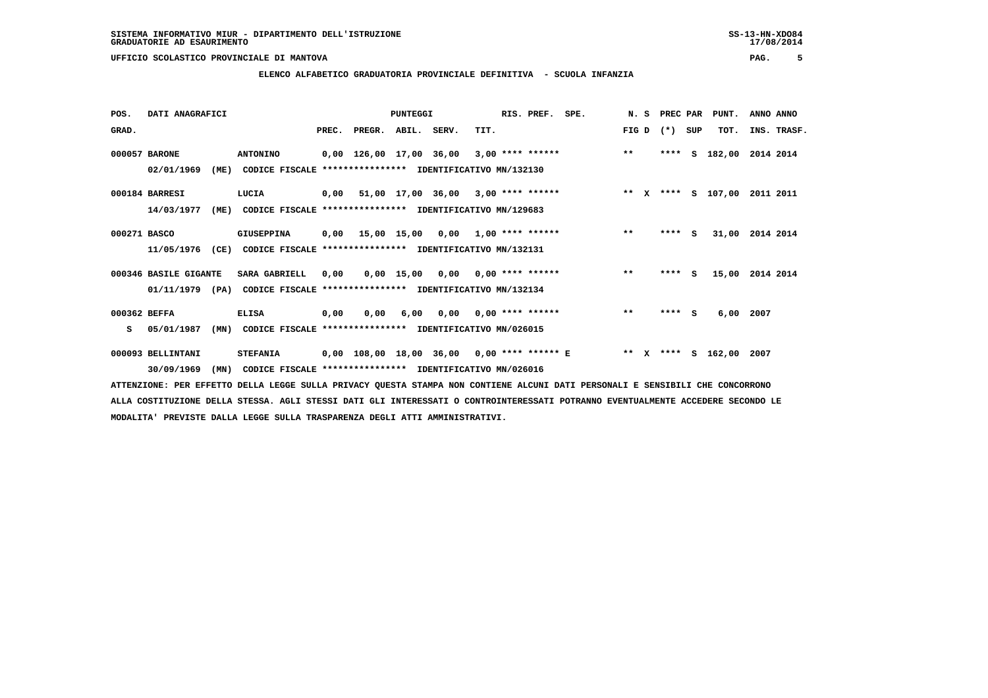# **ELENCO ALFABETICO GRADUATORIA PROVINCIALE DEFINITIVA - SCUOLA INFANZIA**

| POS.         | DATI ANAGRAFICI       |                                                               |      |                                              | <b>PUNTEGGI</b> |                                    |                           | RIS. PREF. SPE. |                    |       | N. S PREC PAR |     | PUNT.                   | ANNO ANNO       |
|--------------|-----------------------|---------------------------------------------------------------|------|----------------------------------------------|-----------------|------------------------------------|---------------------------|-----------------|--------------------|-------|---------------|-----|-------------------------|-----------------|
| GRAD.        |                       |                                                               |      | PREC. PREGR. ABIL. SERV.                     |                 |                                    | TIT.                      |                 |                    | FIG D | $(* )$        | SUP | TOT.                    | INS. TRASF.     |
|              | 000057 BARONE         | <b>ANTONINO</b>                                               |      | 0,00 126,00 17,00 36,00                      |                 |                                    |                           |                 | $3,00$ **** ****** | $***$ | ****          | s   | 182,00                  | 2014 2014       |
|              | 02/01/1969<br>(ME)    | CODICE FISCALE **************** IDENTIFICATIVO MN/132130      |      |                                              |                 |                                    |                           |                 |                    |       |               |     |                         |                 |
|              | 000184 BARRESI        | LUCIA                                                         |      | $0,00$ 51,00 17,00 36,00 3,00 **** ******    |                 |                                    |                           |                 | ** x **** s 107,00 |       |               |     |                         | 2011 2011       |
|              | 14/03/1977<br>(ME)    | CODICE FISCALE **************** IDENTIFICATIVO MN/129683      |      |                                              |                 |                                    |                           |                 |                    |       |               |     |                         |                 |
| 000271 BASCO |                       | GIUSEPPINA                                                    |      | 0,00 15,00 15,00                             |                 |                                    | $0,00$ 1,00 **** ******   |                 |                    | $* *$ | ****          | - S |                         | 31,00 2014 2014 |
|              | 11/05/1976            | (CE) CODICE FISCALE **************** IDENTIFICATIVO MN/132131 |      |                                              |                 |                                    |                           |                 |                    |       |               |     |                         |                 |
|              | 000346 BASILE GIGANTE | <b>SARA GABRIELL</b>                                          | 0,00 |                                              |                 | $0,00$ 15,00 0,00 0,00 **** ****** |                           |                 |                    | $***$ | ****          | S.  | 15,00                   | 2014 2014       |
|              | $01/11/1979$ (PA)     | CODICE FISCALE                                                |      | **************** IDENTIFICATIVO MN/132134    |                 |                                    |                           |                 |                    |       |               |     |                         |                 |
| 000362 BEFFA |                       | <b>ELISA</b>                                                  | 0,00 | 0,00                                         | 6,00            |                                    | $0,00$ $0,00$ **** ****** |                 |                    | $**$  | $***$ S       |     | 6,00                    | 2007            |
| s            | 05/01/1987<br>(MN)    | CODICE FISCALE **************** IDENTIFICATIVO MN/026015      |      |                                              |                 |                                    |                           |                 |                    |       |               |     |                         |                 |
|              | 000093 BELLINTANI     | <b>STEFANIA</b>                                               |      | $0,00$ 108,00 18,00 36,00 0,00 **** ****** E |                 |                                    |                           |                 |                    |       |               |     | ** X **** S 162,00 2007 |                 |
|              | 30/09/1969<br>(MN)    | CODICE FISCALE **************** IDENTIFICATIVO MN/026016      |      |                                              |                 |                                    |                           |                 |                    |       |               |     |                         |                 |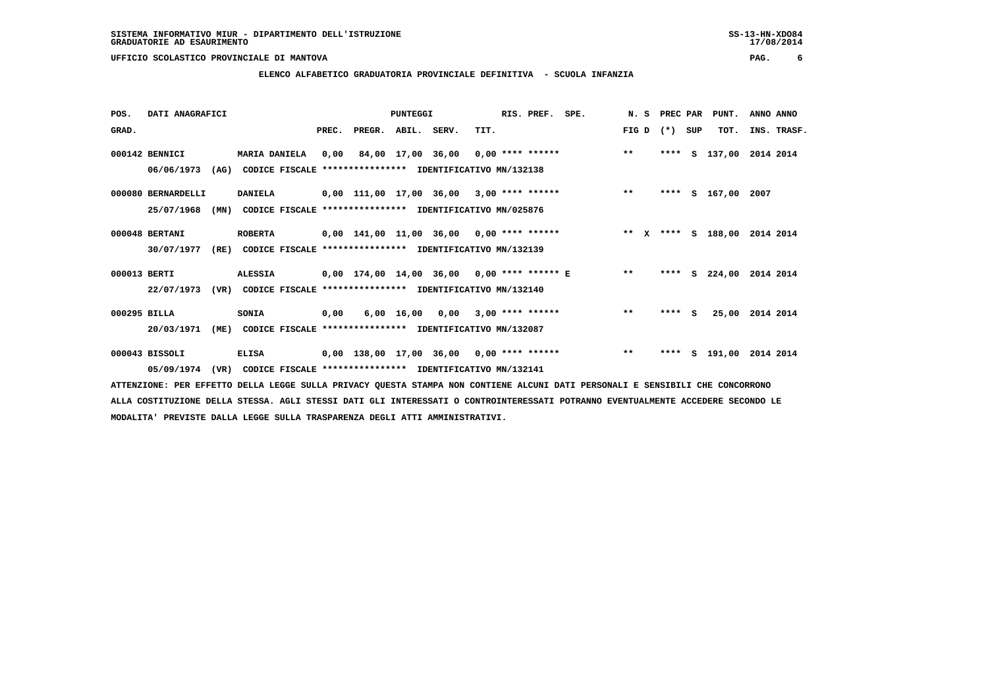**ELENCO ALFABETICO GRADUATORIA PROVINCIALE DEFINITIVA - SCUOLA INFANZIA**

 **POS. DATI ANAGRAFICI PUNTEGGI RIS. PREF. SPE. N. S PREC PAR PUNT. ANNO ANNO**GRAD. **BRAD. PREC. PREGR. ABIL. SERV.** TIT. THE REGREATER FIG D (\*) SUP TOT. INS. TRASF.  **000142 BENNICI MARIA DANIELA 0,00 84,00 17,00 36,00 0,00 \*\*\*\* \*\*\*\*\*\* \*\* \*\*\*\* S 137,00 2014 2014 06/06/1973 (AG) CODICE FISCALE \*\*\*\*\*\*\*\*\*\*\*\*\*\*\*\* IDENTIFICATIVO MN/132138 000080 BERNARDELLI DANIELA 0,00 111,00 17,00 36,00 3,00 \*\*\*\* \*\*\*\*\*\* \*\* \*\*\*\* S 167,00 2007 25/07/1968 (MN) CODICE FISCALE \*\*\*\*\*\*\*\*\*\*\*\*\*\*\*\* IDENTIFICATIVO MN/025876 000048 BERTANI ROBERTA 0,00 141,00 11,00 36,00 0,00 \*\*\*\* \*\*\*\*\*\* \*\* X \*\*\*\* S 188,00 2014 2014 30/07/1977 (RE) CODICE FISCALE \*\*\*\*\*\*\*\*\*\*\*\*\*\*\*\* IDENTIFICATIVO MN/132139 000013 BERTI ALESSIA 0,00 174,00 14,00 36,00 0,00 \*\*\*\* \*\*\*\*\*\* E \*\* \*\*\*\* S 224,00 2014 2014 22/07/1973 (VR) CODICE FISCALE \*\*\*\*\*\*\*\*\*\*\*\*\*\*\*\* IDENTIFICATIVO MN/132140 000295 BILLA SONIA 0,00 6,00 16,00 0,00 3,00 \*\*\*\* \*\*\*\*\*\* \*\* \*\*\*\* S 25,00 2014 2014 20/03/1971 (ME) CODICE FISCALE \*\*\*\*\*\*\*\*\*\*\*\*\*\*\*\* IDENTIFICATIVO MN/132087 000043 BISSOLI ELISA 0,00 138,00 17,00 36,00 0,00 \*\*\*\* \*\*\*\*\*\* \*\* \*\*\*\* S 191,00 2014 2014**

 **05/09/1974 (VR) CODICE FISCALE \*\*\*\*\*\*\*\*\*\*\*\*\*\*\*\* IDENTIFICATIVO MN/132141**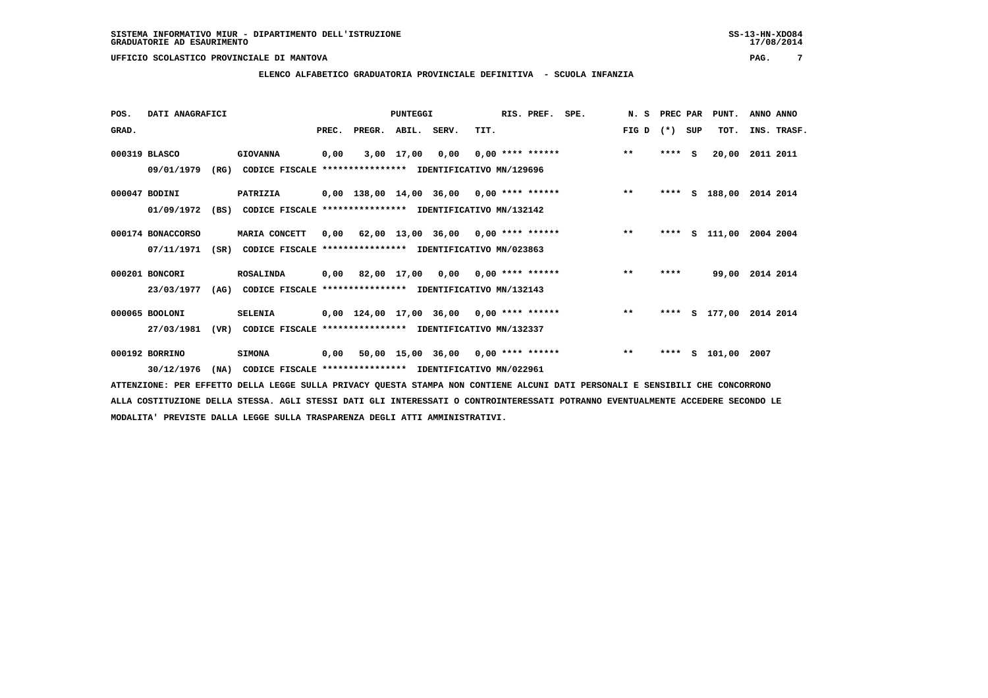**ELENCO ALFABETICO GRADUATORIA PROVINCIALE DEFINITIVA - SCUOLA INFANZIA**

| POS.  | DATI ANAGRAFICI   |      |                                                          |       |                                            | PUNTEGGI    |                                      |      | RIS. PREF.         | SPE.                               | N. S  | PREC PAR |     | PUNT.              | ANNO ANNO       |  |
|-------|-------------------|------|----------------------------------------------------------|-------|--------------------------------------------|-------------|--------------------------------------|------|--------------------|------------------------------------|-------|----------|-----|--------------------|-----------------|--|
| GRAD. |                   |      |                                                          | PREC. | PREGR.                                     | ABIL. SERV. |                                      | TIT. |                    |                                    | FIG D | $(* )$   | SUP | TOT.               | INS. TRASF.     |  |
|       | 000319 BLASCO     |      | <b>GIOVANNA</b>                                          | 0,00  |                                            | 3,00 17,00  | 0,00                                 |      | $0,00$ **** ****** |                                    | $***$ | ****     | S.  | 20,00              | 2011 2011       |  |
|       | 09/01/1979        | (RG) | CODICE FISCALE **************** IDENTIFICATIVO MN/129696 |       |                                            |             |                                      |      |                    |                                    |       |          |     |                    |                 |  |
|       | 000047 BODINI     |      | <b>PATRIZIA</b>                                          |       | $0,00$ 138,00 14,00 36,00 0,00 **** ****** |             |                                      |      |                    |                                    | $***$ | ****     |     | S 188,00           | 2014 2014       |  |
|       | 01/09/1972        | (BS) | CODICE FISCALE **************** IDENTIFICATIVO MN/132142 |       |                                            |             |                                      |      |                    |                                    |       |          |     |                    |                 |  |
|       | 000174 BONACCORSO |      | MARIA CONCETT                                            | 0,00  |                                            |             | $62,00$ 13,00 36,00 0,00 **** ****** |      |                    |                                    | $**$  | ****     | s   | 111,00             | 2004 2004       |  |
|       | 07/11/1971        | (SR) | CODICE FISCALE **************** IDENTIFICATIVO MN/023863 |       |                                            |             |                                      |      |                    |                                    |       |          |     |                    |                 |  |
|       | 000201 BONCORI    |      | <b>ROSALINDA</b>                                         |       | $0,00$ 82,00 17,00 0,00 0,00 **** ******   |             |                                      |      |                    |                                    | $* *$ | ****     |     |                    | 99,00 2014 2014 |  |
|       | 23/03/1977        | (AG) | CODICE FISCALE **************** IDENTIFICATIVO MN/132143 |       |                                            |             |                                      |      |                    |                                    |       |          |     |                    |                 |  |
|       | 000065 BOOLONI    |      | <b>SELENIA</b>                                           |       | $0,00$ 124,00 17,00 36,00 0,00 **** ****** |             |                                      |      |                    |                                    | $**$  | ****     |     | S 177,00 2014 2014 |                 |  |
|       | 27/03/1981        | (VR) | CODICE FISCALE **************** IDENTIFICATIVO MN/132337 |       |                                            |             |                                      |      |                    |                                    |       |          |     |                    |                 |  |
|       | 000192 BORRINO    |      | <b>SIMONA</b>                                            | 0,00  |                                            |             |                                      |      |                    | 50,00 15,00 36,00 0,00 **** ****** | $***$ | ****     |     | S 101,00 2007      |                 |  |
|       | 30/12/1976        | (NA) | CODICE FISCALE **************** IDENTIFICATIVO MN/022961 |       |                                            |             |                                      |      |                    |                                    |       |          |     |                    |                 |  |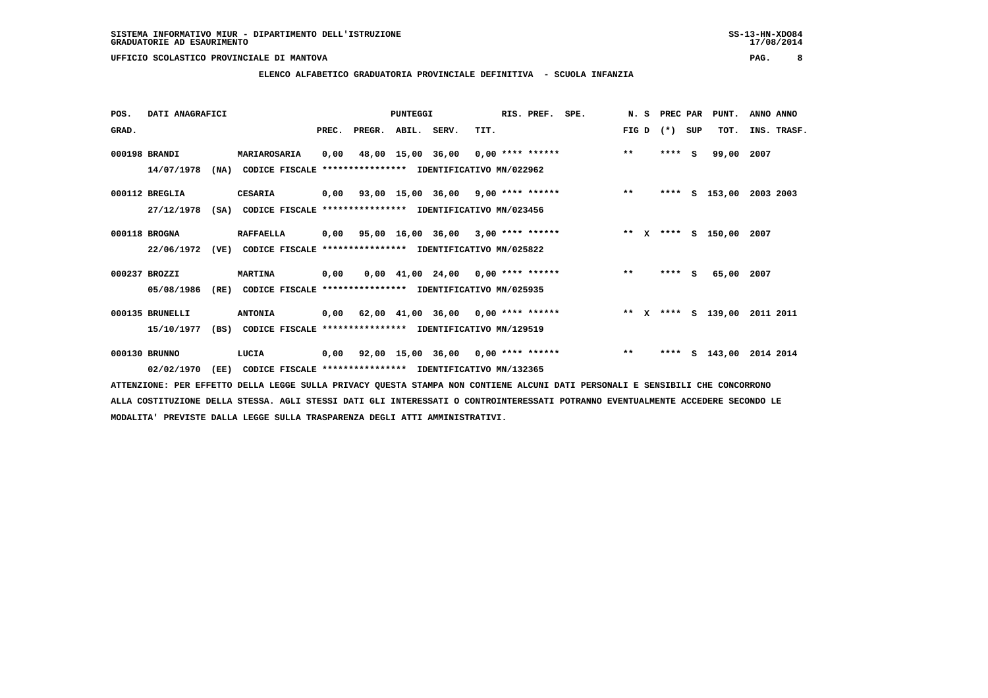**ELENCO ALFABETICO GRADUATORIA PROVINCIALE DEFINITIVA - SCUOLA INFANZIA**

| POS.  | DATI ANAGRAFICI |      |                                                                         |       |                    | <b>PUNTEGGI</b> |                                                         |      | RIS. PREF. SPE. |                                                |       | N. S PREC PAR |     | PUNT.              | ANNO ANNO |             |
|-------|-----------------|------|-------------------------------------------------------------------------|-------|--------------------|-----------------|---------------------------------------------------------|------|-----------------|------------------------------------------------|-------|---------------|-----|--------------------|-----------|-------------|
| GRAD. |                 |      |                                                                         | PREC. | PREGR. ABIL. SERV. |                 |                                                         | TIT. |                 |                                                | FIG D | $(*)$         | SUP | TOT.               |           | INS. TRASF. |
|       | 000198 BRANDI   |      | MARIAROSARIA                                                            | 0,00  |                    |                 |                                                         |      |                 | 48,00 15,00 36,00 0,00 **** ****** *** **      |       | $***$ S       |     | 99,00              | 2007      |             |
|       | 14/07/1978      |      | (NA) CODICE FISCALE **************** IDENTIFICATIVO MN/022962           |       |                    |                 |                                                         |      |                 |                                                |       |               |     |                    |           |             |
|       | 000112 BREGLIA  |      | <b>CESARIA</b>                                                          |       |                    |                 |                                                         |      |                 | 0,00 93,00 15,00 36,00 9,00 **** ****** *** ** |       |               |     | **** S 153,00      | 2003 2003 |             |
|       | 27/12/1978      | (SA) | CODICE FISCALE **************** IDENTIFICATIVO MN/023456                |       |                    |                 |                                                         |      |                 |                                                |       |               |     |                    |           |             |
|       | 000118 BROGNA   |      | <b>RAFFAELLA</b>                                                        | 0,00  |                    |                 | 95,00 16,00 36,00 3,00 **** ******                      |      |                 | ** x **** s 150,00 2007                        |       |               |     |                    |           |             |
|       |                 |      | 22/06/1972 (VE) CODICE FISCALE *************** IDENTIFICATIVO MN/025822 |       |                    |                 |                                                         |      |                 |                                                |       |               |     |                    |           |             |
|       | 000237 BROZZI   |      | <b>MARTINA</b>                                                          | 0.00  |                    |                 | $0,00$ 41,00 24,00 0,00 **** ******                     |      |                 |                                                | $* *$ | $***$ S       |     | 65,00 2007         |           |             |
|       | 05/08/1986      | (RE) | CODICE FISCALE **************** IDENTIFICATIVO MN/025935                |       |                    |                 |                                                         |      |                 |                                                |       |               |     |                    |           |             |
|       | 000135 BRUNELLI |      | <b>ANTONIA</b>                                                          | 0,00  |                    |                 | $62,00$ $41,00$ $36,00$ $0,00$ **** ******              |      |                 | ** x **** s 139,00                             |       |               |     |                    | 2011 2011 |             |
|       | 15/10/1977      |      | (BS) CODICE FISCALE **************** IDENTIFICATIVO MN/129519           |       |                    |                 |                                                         |      |                 |                                                |       |               |     |                    |           |             |
|       | 000130 BRUNNO   |      | LUCIA                                                                   |       |                    |                 | $0,00$ $92,00$ $15,00$ $36,00$ $0,00$ $***$ **** ****** |      |                 |                                                | $* *$ | ****          |     | S 143,00 2014 2014 |           |             |
|       | 02/02/1970      | (EE) | CODICE FISCALE **************** IDENTIFICATIVO MN/132365                |       |                    |                 |                                                         |      |                 |                                                |       |               |     |                    |           |             |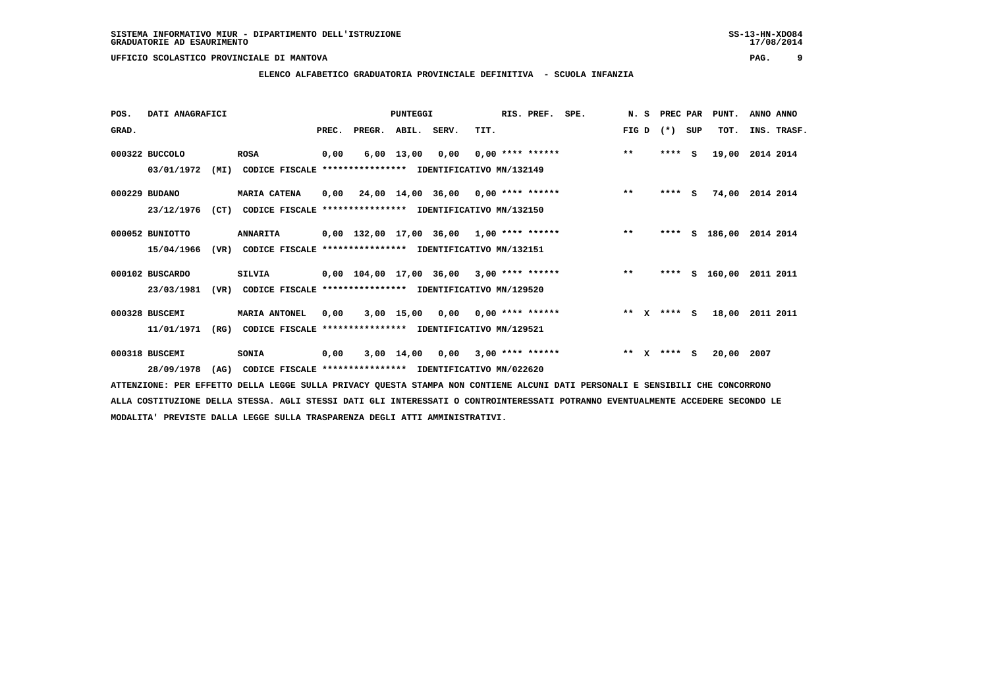**ELENCO ALFABETICO GRADUATORIA PROVINCIALE DEFINITIVA - SCUOLA INFANZIA**

| POS.  | DATI ANAGRAFICI |      |                                                          |       |                                                    | PUNTEGGI     |                                      |      | RIS. PREF. SPE.           |         |              | N. S PREC PAR |              | PUNT.            | ANNO ANNO |             |
|-------|-----------------|------|----------------------------------------------------------|-------|----------------------------------------------------|--------------|--------------------------------------|------|---------------------------|---------|--------------|---------------|--------------|------------------|-----------|-------------|
| GRAD. |                 |      |                                                          | PREC. | PREGR.                                             | ABIL.        | SERV.                                | TIT. |                           | FIG D   |              | $(* )$        | SUP          | TOT.             |           | INS. TRASF. |
|       | 000322 BUCCOLO  |      | <b>ROSA</b>                                              | 0,00  |                                                    | $6,00$ 13,00 | 0,00                                 |      | $0.00$ **** ******        | $***$   |              | ****          | - S          | 19,00 2014 2014  |           |             |
|       | 03/01/1972      | (MI) | CODICE FISCALE **************** IDENTIFICATIVO MN/132149 |       |                                                    |              |                                      |      |                           |         |              |               |              |                  |           |             |
|       | 000229 BUDANO   |      | <b>MARIA CATENA</b>                                      | 0,00  |                                                    |              | $24,00$ 14,00 36,00 0,00 **** ****** |      |                           | $***$   |              | ****          | $\mathbf{s}$ | 74,00            | 2014 2014 |             |
|       | 23/12/1976      | (CT) | CODICE FISCALE **************** IDENTIFICATIVO MN/132150 |       |                                                    |              |                                      |      |                           |         |              |               |              |                  |           |             |
|       | 000052 BUNIOTTO |      | <b>ANNARITA</b>                                          |       | $0,00$ 132,00 17,00 36,00 1,00 **** ******         |              |                                      |      |                           | $***$   |              | ****          | s            | 186,00 2014 2014 |           |             |
|       | 15/04/1966      | (VR) | CODICE FISCALE **************** IDENTIFICATIVO MN/132151 |       |                                                    |              |                                      |      |                           |         |              |               |              |                  |           |             |
|       | 000102 BUSCARDO |      | <b>SILVIA</b>                                            |       | $0,00$ $104,00$ $17,00$ $36,00$ $3,00$ **** ****** |              |                                      |      |                           | $***$   |              | ****          |              | S 160,00         | 2011 2011 |             |
|       | 23/03/1981      | (VR) | CODICE FISCALE                                           |       | **************** IDENTIFICATIVO MN/129520          |              |                                      |      |                           |         |              |               |              |                  |           |             |
|       | 000328 BUSCEMI  |      | <b>MARIA ANTONEL</b>                                     | 0.00  |                                                    | 3,00 15,00   |                                      |      | $0,00$ $0,00$ **** ****** | $***$ X |              | **** S        |              | 18,00            | 2011 2011 |             |
|       | 11/01/1971      | (RG) | CODICE FISCALE **************** IDENTIFICATIVO MN/129521 |       |                                                    |              |                                      |      |                           |         |              |               |              |                  |           |             |
|       | 000318 BUSCEMI  |      | <b>SONIA</b>                                             | 0,00  |                                                    | 3,00 14,00   | 0,00                                 |      | $3,00$ **** ******        | $**$    | $\mathbf{x}$ | **** S        |              | 20,00 2007       |           |             |
|       | 28/09/1978      | (AG) | CODICE FISCALE **************** IDENTIFICATIVO MN/022620 |       |                                                    |              |                                      |      |                           |         |              |               |              |                  |           |             |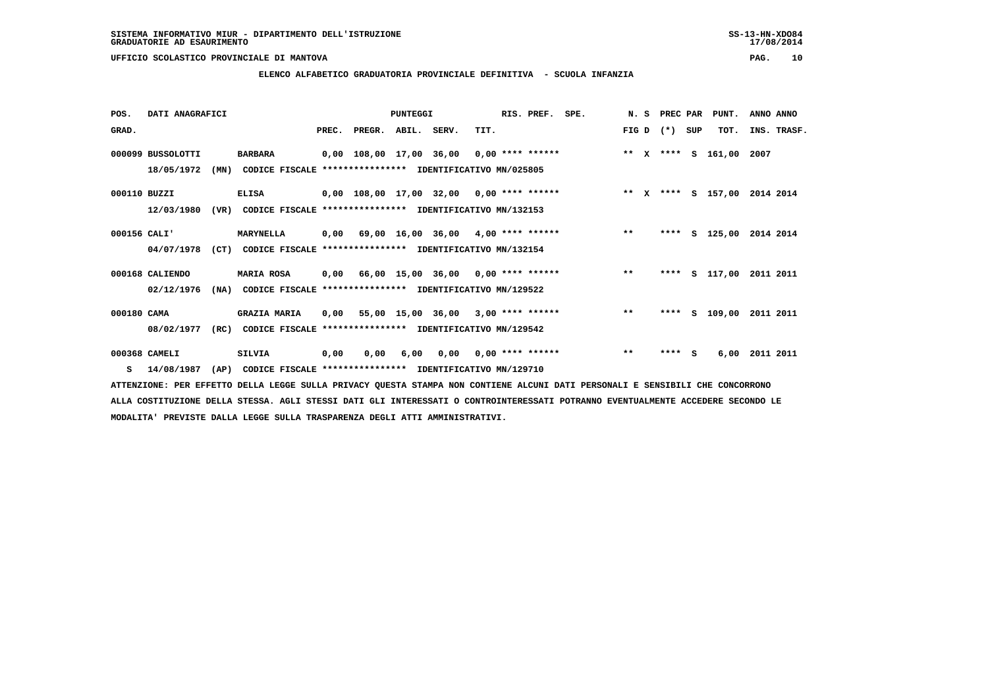### **ELENCO ALFABETICO GRADUATORIA PROVINCIALE DEFINITIVA - SCUOLA INFANZIA**

| POS.         | DATI ANAGRAFICI   |      |                                                               |       |                    | PUNTEGGI |                                            |      | RIS. PREF. | SPE.                                             | N. S  | PREC PAR    |     | PUNT.              | ANNO ANNO   |  |
|--------------|-------------------|------|---------------------------------------------------------------|-------|--------------------|----------|--------------------------------------------|------|------------|--------------------------------------------------|-------|-------------|-----|--------------------|-------------|--|
| GRAD.        |                   |      |                                                               | PREC. | PREGR. ABIL. SERV. |          |                                            | TIT. |            |                                                  |       | FIG D $(*)$ | SUP | TOT.               | INS. TRASF. |  |
|              | 000099 BUSSOLOTTI |      | <b>BARBARA</b>                                                |       |                    |          | 0,00 108,00 17,00 36,00 0,00 **** ******   |      |            |                                                  |       |             |     | ** X **** S 161,00 | 2007        |  |
|              | 18/05/1972        | (MN) | CODICE FISCALE **************** IDENTIFICATIVO MN/025805      |       |                    |          |                                            |      |            |                                                  |       |             |     |                    |             |  |
| 000110 BUZZI |                   |      | <b>ELISA</b>                                                  |       |                    |          | $0,00$ 108,00 17,00 32,00 0,00 **** ****** |      |            | ** x **** s 157,00 2014 2014                     |       |             |     |                    |             |  |
|              | 12/03/1980        | (VR) | CODICE FISCALE **************** IDENTIFICATIVO MN/132153      |       |                    |          |                                            |      |            |                                                  |       |             |     |                    |             |  |
| 000156 CALI' |                   |      | MARYNELLA                                                     |       |                    |          |                                            |      |            | $0,00$ 69,00 16,00 36,00 4,00 **** ****** *** ** |       | ****        |     | S 125,00 2014 2014 |             |  |
|              | 04/07/1978        |      | (CT) CODICE FISCALE **************** IDENTIFICATIVO MN/132154 |       |                    |          |                                            |      |            |                                                  |       |             |     |                    |             |  |
|              | 000168 CALIENDO   |      | <b>MARIA ROSA</b>                                             |       |                    |          |                                            |      |            | 0,00 66,00 15,00 36,00 0,00 **** ******          | $***$ | ****        |     | S 117,00           | 2011 2011   |  |
|              | 02/12/1976        | (NA) | CODICE FISCALE                                                |       |                    |          | **************** IDENTIFICATIVO MN/129522  |      |            |                                                  |       |             |     |                    |             |  |
| 000180 CAMA  |                   |      | <b>GRAZIA MARIA</b>                                           |       |                    |          | $0,00$ 55,00 15,00 36,00 3,00 **** ******  |      |            |                                                  | $**$  | ****        |     | s 109,00           | 2011 2011   |  |
|              | 08/02/1977        | (RC) | CODICE FISCALE **************** IDENTIFICATIVO MN/129542      |       |                    |          |                                            |      |            |                                                  |       |             |     |                    |             |  |
|              | 000368 CAMELI     |      | <b>SILVIA</b>                                                 | 0,00  | 0.00               | 6,00     | $0.00$ $0.00$ **** ******                  |      |            |                                                  | $* *$ | ****        | s.  | 6,00               | 2011 2011   |  |
| s            | 14/08/1987        | (AP) | CODICE FISCALE **************** IDENTIFICATIVO MN/129710      |       |                    |          |                                            |      |            |                                                  |       |             |     |                    |             |  |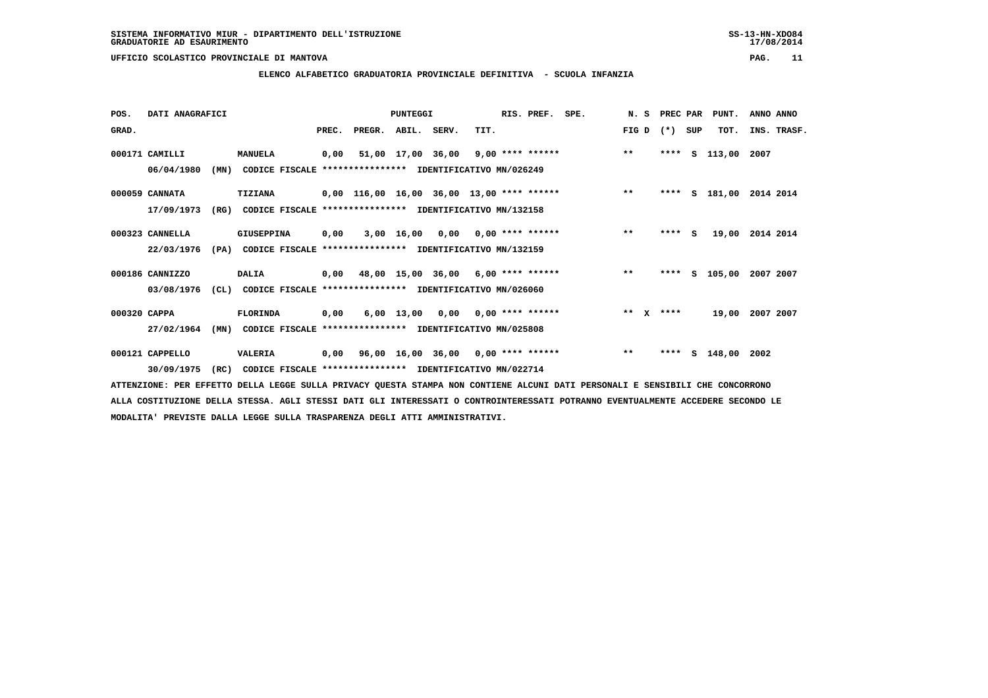**ELENCO ALFABETICO GRADUATORIA PROVINCIALE DEFINITIVA - SCUOLA INFANZIA**

| POS.         | DATI ANAGRAFICI |      |                                                               |       |                                             | PUNTEGGI                           |      | RIS. PREF. SPE. |                                           |         | N. S PREC PAR |     | PUNT.              | ANNO ANNO |             |
|--------------|-----------------|------|---------------------------------------------------------------|-------|---------------------------------------------|------------------------------------|------|-----------------|-------------------------------------------|---------|---------------|-----|--------------------|-----------|-------------|
| GRAD.        |                 |      |                                                               | PREC. | PREGR.                                      | ABIL. SERV.                        | TIT. |                 |                                           | FIG D   | $(* )$        | SUP | TOT.               |           | INS. TRASF. |
|              | 000171 CAMILLI  |      | <b>MANUELA</b>                                                |       | 0,00 51,00 17,00 36,00 9,00 **** ******     |                                    |      |                 |                                           | $***$   | ****          | S   | 113,00 2007        |           |             |
|              | 06/04/1980      | (MN) | CODICE FISCALE **************** IDENTIFICATIVO MN/026249      |       |                                             |                                    |      |                 |                                           |         |               |     |                    |           |             |
|              | 000059 CANNATA  |      | <b>TIZIANA</b>                                                |       | $0,00$ 116,00 16,00 36,00 13,00 **** ****** |                                    |      |                 |                                           | $***$   | ****          |     | s 181,00           | 2014 2014 |             |
|              | 17/09/1973      | (RG) | CODICE FISCALE **************** IDENTIFICATIVO MN/132158      |       |                                             |                                    |      |                 |                                           |         |               |     |                    |           |             |
|              | 000323 CANNELLA |      | GIUSEPPINA                                                    | 0,00  |                                             | $3,00$ 16,00 0,00 0,00 **** ****** |      |                 |                                           | $* *$   | ****          | S.  | 19,00 2014 2014    |           |             |
|              | 22/03/1976      |      | (PA) CODICE FISCALE **************** IDENTIFICATIVO MN/132159 |       |                                             |                                    |      |                 |                                           |         |               |     |                    |           |             |
|              | 000186 CANNIZZO |      | <b>DALIA</b>                                                  |       |                                             |                                    |      |                 | $0,00$ 48,00 15,00 36,00 6,00 **** ****** | $***$   | ****          |     | S 105,00 2007 2007 |           |             |
|              | 03/08/1976      | CL)  | CODICE FISCALE **************** IDENTIFICATIVO MN/026060      |       |                                             |                                    |      |                 |                                           |         |               |     |                    |           |             |
| 000320 CAPPA |                 |      | FLORINDA                                                      | 0,00  |                                             | $6,00$ 13,00 0,00 0,00 **** ****** |      |                 |                                           | $***$ X | ****          |     | 19,00 2007 2007    |           |             |
|              | 27/02/1964      | (MN) | CODICE FISCALE **************** IDENTIFICATIVO MN/025808      |       |                                             |                                    |      |                 |                                           |         |               |     |                    |           |             |
|              | 000121 CAPPELLO |      | VALERIA                                                       | 0,00  |                                             |                                    |      |                 | 96,00 16,00 36,00 0,00 **** ******        | $***$   | ****          |     | $S$ 148,00 2002    |           |             |
|              | 30/09/1975      | (RC) | CODICE FISCALE **************** IDENTIFICATIVO MN/022714      |       |                                             |                                    |      |                 |                                           |         |               |     |                    |           |             |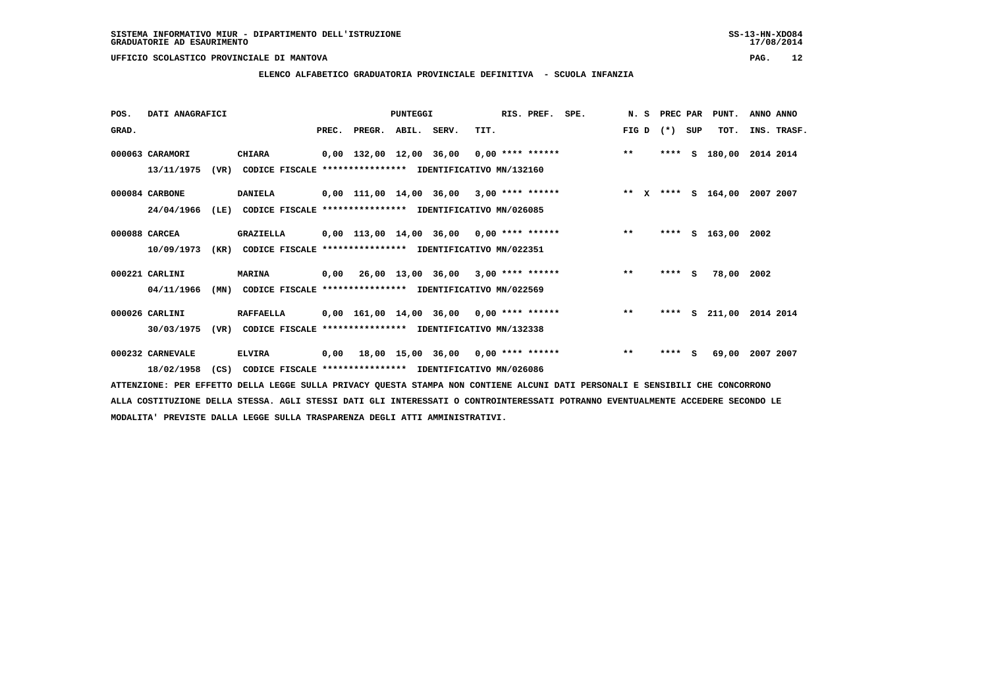**ELENCO ALFABETICO GRADUATORIA PROVINCIALE DEFINITIVA - SCUOLA INFANZIA**

| POS.  | DATI ANAGRAFICI  |      |                                                          |       |                         | <b>PUNTEGGI</b> |                                            |      | RIS. PREF. SPE. |                    |       | N. S | PREC PAR |          | PUNT.              | ANNO ANNO        |
|-------|------------------|------|----------------------------------------------------------|-------|-------------------------|-----------------|--------------------------------------------|------|-----------------|--------------------|-------|------|----------|----------|--------------------|------------------|
| GRAD. |                  |      |                                                          | PREC. | PREGR. ABIL. SERV.      |                 |                                            | TIT. |                 |                    | FIG D |      | $(* )$   | SUP      | TOT.               | INS. TRASF.      |
|       | 000063 CARAMORI  |      | <b>CHIARA</b>                                            |       | 0,00 132,00 12,00 36,00 |                 |                                            |      |                 | $0,00$ **** ****** | $***$ |      | ****     | s        | 180,00             | 2014 2014        |
|       | 13/11/1975       | (VR) | CODICE FISCALE **************** IDENTIFICATIVO MN/132160 |       |                         |                 |                                            |      |                 |                    |       |      |          |          |                    |                  |
|       | 000084 CARBONE   |      | <b>DANIELA</b>                                           |       |                         |                 | $0,00$ 111,00 14,00 36,00 3,00 **** ****** |      |                 |                    |       |      |          |          | ** X **** S 164,00 | 2007 2007        |
|       | 24/04/1966       | (LE) | CODICE FISCALE **************** IDENTIFICATIVO MN/026085 |       |                         |                 |                                            |      |                 |                    |       |      |          |          |                    |                  |
|       | 000088 CARCEA    |      | GRAZIELLA                                                |       |                         |                 | 0,00 113,00 14,00 36,00 0,00 **** ******   |      |                 |                    | $* *$ |      | ****     |          | $S$ 163,00 2002    |                  |
|       | 10/09/1973       | (KR) | CODICE FISCALE **************** IDENTIFICATIVO MN/022351 |       |                         |                 |                                            |      |                 |                    |       |      |          |          |                    |                  |
|       | 000221 CARLINI   |      | <b>MARINA</b>                                            |       |                         |                 | $0,00$ 26,00 13,00 36,00 3,00 **** ******  |      |                 |                    | $***$ |      | ****     | <b>S</b> | 78,00 2002         |                  |
|       | 04/11/1966       | (MN) | CODICE FISCALE **************** IDENTIFICATIVO MN/022569 |       |                         |                 |                                            |      |                 |                    |       |      |          |          |                    |                  |
|       | 000026 CARLINI   |      | <b>RAFFAELLA</b>                                         |       |                         |                 | 0,00 161,00 14,00 36,00 0,00 **** ******   |      |                 |                    | $***$ |      | ****     | s        |                    | 211,00 2014 2014 |
|       | 30/03/1975       | (VR) | CODICE FISCALE **************** IDENTIFICATIVO MN/132338 |       |                         |                 |                                            |      |                 |                    |       |      |          |          |                    |                  |
|       | 000232 CARNEVALE |      | <b>ELVIRA</b>                                            | 0,00  |                         |                 | 18,00 15,00 36,00 0,00 **** ******         |      |                 |                    | $***$ |      | ****     | s        | 69,00              | 2007 2007        |
|       | 18/02/1958       | (CS) | CODICE FISCALE **************** IDENTIFICATIVO MN/026086 |       |                         |                 |                                            |      |                 |                    |       |      |          |          |                    |                  |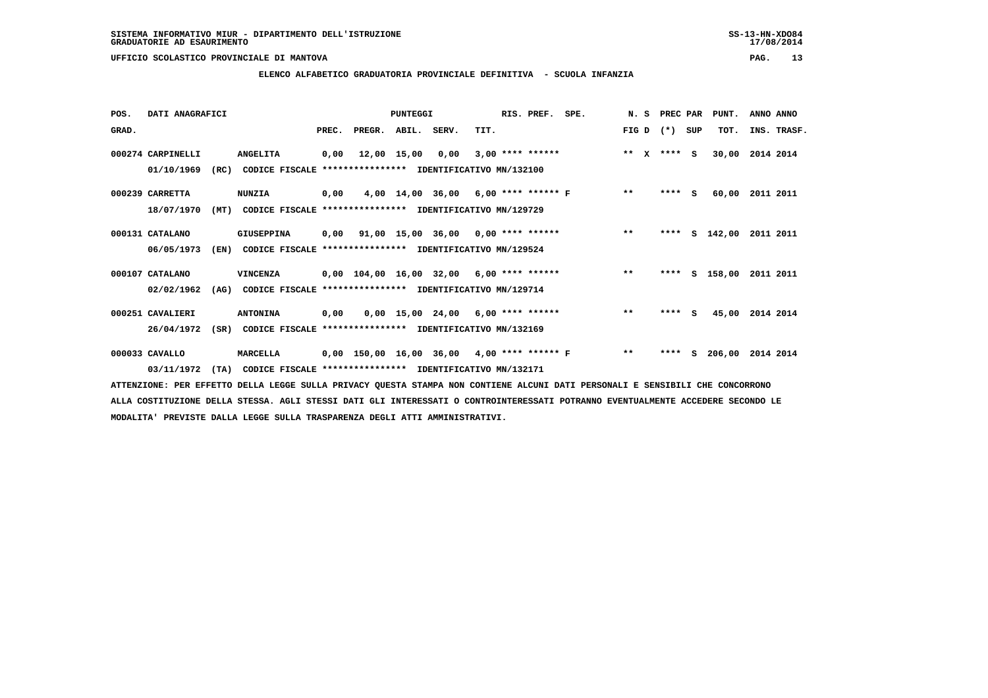# **ELENCO ALFABETICO GRADUATORIA PROVINCIALE DEFINITIVA - SCUOLA INFANZIA**

| POS.  | DATI ANAGRAFICI   |      |                                                          |      |                          | PUNTEGGI    |                                                          |      | RIS. PREF.         | SPE.                                       | N. S          | PREC PAR |          | PUNT.      | ANNO ANNO   |  |
|-------|-------------------|------|----------------------------------------------------------|------|--------------------------|-------------|----------------------------------------------------------|------|--------------------|--------------------------------------------|---------------|----------|----------|------------|-------------|--|
| GRAD. |                   |      |                                                          |      | PREC. PREGR. ABIL. SERV. |             |                                                          | TIT. |                    |                                            | FIG D         | $(*)$    | SUP      | TOT.       | INS. TRASF. |  |
|       | 000274 CARPINELLI |      | <b>ANGELITA</b>                                          | 0,00 |                          | 12,00 15,00 | 0,00                                                     |      | $3,00$ **** ****** |                                            | ** $X$ **** S |          |          | 30,00      | 2014 2014   |  |
|       | 01/10/1969        | (RC) | CODICE FISCALE                                           |      |                          |             | **************** IDENTIFICATIVO MN/132100                |      |                    |                                            |               |          |          |            |             |  |
|       | 000239 CARRETTA   |      | <b>NUNZIA</b>                                            | 0,00 |                          |             |                                                          |      |                    | 4,00 14,00 36,00 6,00 **** ****** F        | $* *$         | $***$ S  |          | 60,00      | 2011 2011   |  |
|       | 18/07/1970        | (MT) | CODICE FISCALE **************** IDENTIFICATIVO MN/129729 |      |                          |             |                                                          |      |                    |                                            |               |          |          |            |             |  |
|       | 000131 CATALANO   |      | <b>GIUSEPPINA</b>                                        | 0,00 |                          |             | $91,00$ 15,00 36,00 0,00 **** ******                     |      |                    |                                            | $***$         | ****     |          | $S$ 142,00 | 2011 2011   |  |
|       | 06/05/1973        | (EN) | CODICE FISCALE                                           |      |                          |             | *************** IDENTIFICATIVO MN/129524                 |      |                    |                                            |               |          |          |            |             |  |
|       | 000107 CATALANO   |      | VINCENZA                                                 |      |                          |             | $0,00$ $104,00$ $16,00$ $32,00$ $6,00$ $***$ **** ****** |      |                    |                                            | $* *$         | ****     |          | S 158,00   | 2011 2011   |  |
|       | 02/02/1962        | (AG) | CODICE FISCALE **************** IDENTIFICATIVO MN/129714 |      |                          |             |                                                          |      |                    |                                            |               |          |          |            |             |  |
|       | 000251 CAVALIERI  |      | <b>ANTONINA</b>                                          | 0,00 |                          |             | $0,00$ 15,00 24,00 6,00 **** ******                      |      |                    |                                            | $***$         | ****     | <b>S</b> | 45,00      | 2014 2014   |  |
|       | 26/04/1972        | (SR) | CODICE FISCALE                                           |      |                          |             | **************** IDENTIFICATIVO MN/132169                |      |                    |                                            |               |          |          |            |             |  |
|       | 000033 CAVALLO    |      | MARCELLA                                                 |      |                          |             |                                                          |      |                    | 0,00 150,00 16,00 36,00 4,00 **** ****** F | $***$         | ****     | s        | 206,00     | 2014 2014   |  |
|       | 03/11/1972        | (TA) | CODICE FISCALE **************** IDENTIFICATIVO MN/132171 |      |                          |             |                                                          |      |                    |                                            |               |          |          |            |             |  |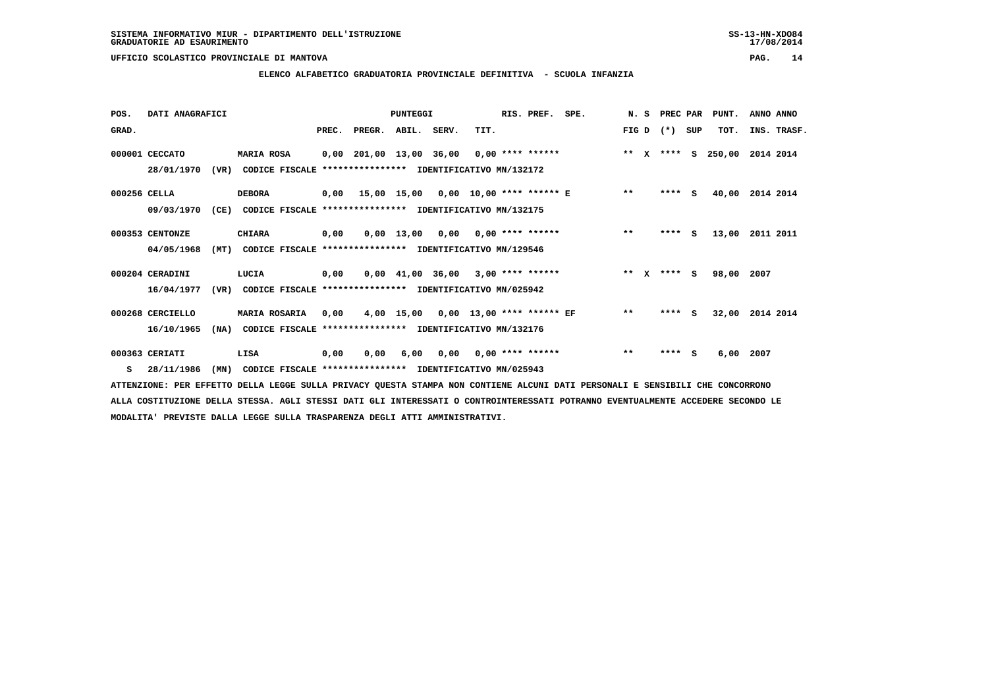# **ELENCO ALFABETICO GRADUATORIA PROVINCIALE DEFINITIVA - SCUOLA INFANZIA**

| POS.         | DATI ANAGRAFICI  |      |                                                          |       |                                             | <b>PUNTEGGI</b>                     |      | RIS. PREF.                | SPE. |       | N.S          | PREC PAR      |          | PUNT.  | ANNO ANNO   |
|--------------|------------------|------|----------------------------------------------------------|-------|---------------------------------------------|-------------------------------------|------|---------------------------|------|-------|--------------|---------------|----------|--------|-------------|
| GRAD.        |                  |      |                                                          | PREC. | PREGR. ABIL. SERV.                          |                                     | TIT. |                           |      | FIG D |              | $(* )$        | SUP      | TOT.   | INS. TRASF. |
|              | 000001 CECCATO   |      | <b>MARIA ROSA</b>                                        |       | $0,00$ 201,00 13,00 36,00 0,00 **** ******  |                                     |      |                           |      | $* *$ | $\mathbf{x}$ | $***$ S       |          | 250,00 | 2014 2014   |
|              | 28/01/1970       | (VR) | CODICE FISCALE **************** IDENTIFICATIVO MN/132172 |       |                                             |                                     |      |                           |      |       |              |               |          |        |             |
| 000256 CELLA |                  |      | <b>DEBORA</b>                                            |       | $0,00$ 15,00 15,00 0,00 10,00 **** ****** E |                                     |      |                           |      | $* *$ |              | $***$ S       |          | 40,00  | 2014 2014   |
|              | 09/03/1970       | (CE) | CODICE FISCALE **************** IDENTIFICATIVO MN/132175 |       |                                             |                                     |      |                           |      |       |              |               |          |        |             |
|              | 000353 CENTONZE  |      | <b>CHIARA</b>                                            | 0,00  |                                             | $0,00$ 13,00                        |      | $0,00$ $0,00$ **** ****** |      | $***$ |              | ****          | <b>S</b> | 13,00  | 2011 2011   |
|              | 04/05/1968       | (MT) | CODICE FISCALE **************** IDENTIFICATIVO MN/129546 |       |                                             |                                     |      |                           |      |       |              |               |          |        |             |
|              | 000204 CERADINI  |      | LUCIA                                                    | 0,00  |                                             | $0,00$ 41,00 36,00 3,00 **** ****** |      |                           |      |       |              | ** $X$ **** S |          | 98,00  | 2007        |
|              | 16/04/1977       | (VR) | CODICE FISCALE **************** IDENTIFICATIVO MN/025942 |       |                                             |                                     |      |                           |      |       |              |               |          |        |             |
|              | 000268 CERCIELLO |      | <b>MARIA ROSARIA</b>                                     | 0,00  |                                             | 4,00 15,00                          |      | 0,00 13,00 **** ****** EF |      | $* *$ |              | ****          | s        | 32,00  | 2014 2014   |
|              | 16/10/1965       | (NA) | CODICE FISCALE **************** IDENTIFICATIVO MN/132176 |       |                                             |                                     |      |                           |      |       |              |               |          |        |             |
|              | 000363 CERIATI   |      | LISA                                                     | 0,00  | 0.00                                        | 6,00                                |      | $0,00$ $0,00$ **** ****** |      | $***$ |              | ****          | s        | 6,00   | 2007        |
| s            | 28/11/1986       | (MN) | CODICE FISCALE **************** IDENTIFICATIVO MN/025943 |       |                                             |                                     |      |                           |      |       |              |               |          |        |             |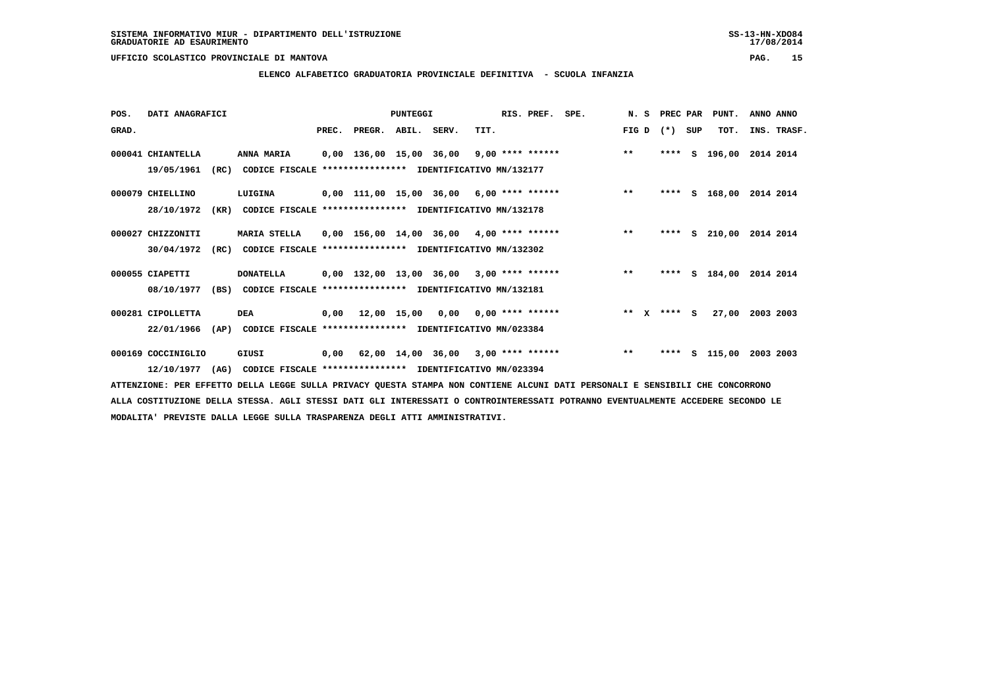**ELENCO ALFABETICO GRADUATORIA PROVINCIALE DEFINITIVA - SCUOLA INFANZIA**

| POS.  | DATI ANAGRAFICI    |      |                                                               |       |                         | <b>PUNTEGGI</b> |                                            |      | RIS. PREF.         | SPE. | N.S   | <b>PREC PAR</b> |     | PUNT.    | ANNO ANNO |             |
|-------|--------------------|------|---------------------------------------------------------------|-------|-------------------------|-----------------|--------------------------------------------|------|--------------------|------|-------|-----------------|-----|----------|-----------|-------------|
| GRAD. |                    |      |                                                               | PREC. | PREGR. ABIL. SERV.      |                 |                                            | TIT. |                    |      | FIG D | $(*)$           | SUP | TOT.     |           | INS. TRASF. |
|       | 000041 CHIANTELLA  |      | ANNA MARIA                                                    |       | 0,00 136,00 15,00 36,00 |                 |                                            |      | $9,00$ **** ****** |      | $* *$ | ****            | s   | 196,00   | 2014 2014 |             |
|       | 19/05/1961         | (RC) | CODICE FISCALE **************** IDENTIFICATIVO MN/132177      |       |                         |                 |                                            |      |                    |      |       |                 |     |          |           |             |
|       | 000079 CHIELLINO   |      | LUIGINA                                                       |       |                         |                 | 0,00 111,00 15,00 36,00 6,00 **** ******   |      |                    |      | $***$ | ****            |     | S 168,00 | 2014 2014 |             |
|       | 28/10/1972         | (KR) | CODICE FISCALE **************** IDENTIFICATIVO MN/132178      |       |                         |                 |                                            |      |                    |      |       |                 |     |          |           |             |
|       | 000027 CHIZZONITI  |      | <b>MARIA STELLA</b>                                           |       |                         |                 | $0,00$ 156,00 14,00 36,00 4,00 **** ****** |      |                    |      | $***$ | ****            |     | s 210,00 | 2014 2014 |             |
|       | 30/04/1972         | (RC) | CODICE FISCALE **************** IDENTIFICATIVO MN/132302      |       |                         |                 |                                            |      |                    |      |       |                 |     |          |           |             |
|       | 000055 CIAPETTI    |      | <b>DONATELLA</b>                                              |       |                         |                 | $0.00$ 132.00 13.00 36.00 3.00 **** ****** |      |                    |      | $***$ | ****            |     | S 184,00 | 2014 2014 |             |
|       | 08/10/1977         |      | (BS) CODICE FISCALE **************** IDENTIFICATIVO MN/132181 |       |                         |                 |                                            |      |                    |      |       |                 |     |          |           |             |
|       | 000281 CIPOLLETTA  |      | DEA                                                           |       |                         |                 | $0,00$ 12,00 15,00 0,00 0,00 **** ******   |      |                    |      |       | ** x **** S     |     | 27,00    | 2003 2003 |             |
|       | 22/01/1966         | (AP) | CODICE FISCALE **************** IDENTIFICATIVO MN/023384      |       |                         |                 |                                            |      |                    |      |       |                 |     |          |           |             |
|       | 000169 COCCINIGLIO |      | GIUSI                                                         | 0,00  |                         |                 | 62,00 14,00 36,00                          |      | $3,00$ **** ****** |      | $**$  | ****            | s   | 115,00   | 2003 2003 |             |
|       | 12/10/1977         | (AG) | CODICE FISCALE **************** IDENTIFICATIVO MN/023394      |       |                         |                 |                                            |      |                    |      |       |                 |     |          |           |             |

 **ATTENZIONE: PER EFFETTO DELLA LEGGE SULLA PRIVACY QUESTA STAMPA NON CONTIENE ALCUNI DATI PERSONALI E SENSIBILI CHE CONCORRONO ALLA COSTITUZIONE DELLA STESSA. AGLI STESSI DATI GLI INTERESSATI O CONTROINTERESSATI POTRANNO EVENTUALMENTE ACCEDERE SECONDO LE MODALITA' PREVISTE DALLA LEGGE SULLA TRASPARENZA DEGLI ATTI AMMINISTRATIVI.**

 $17/08/2014$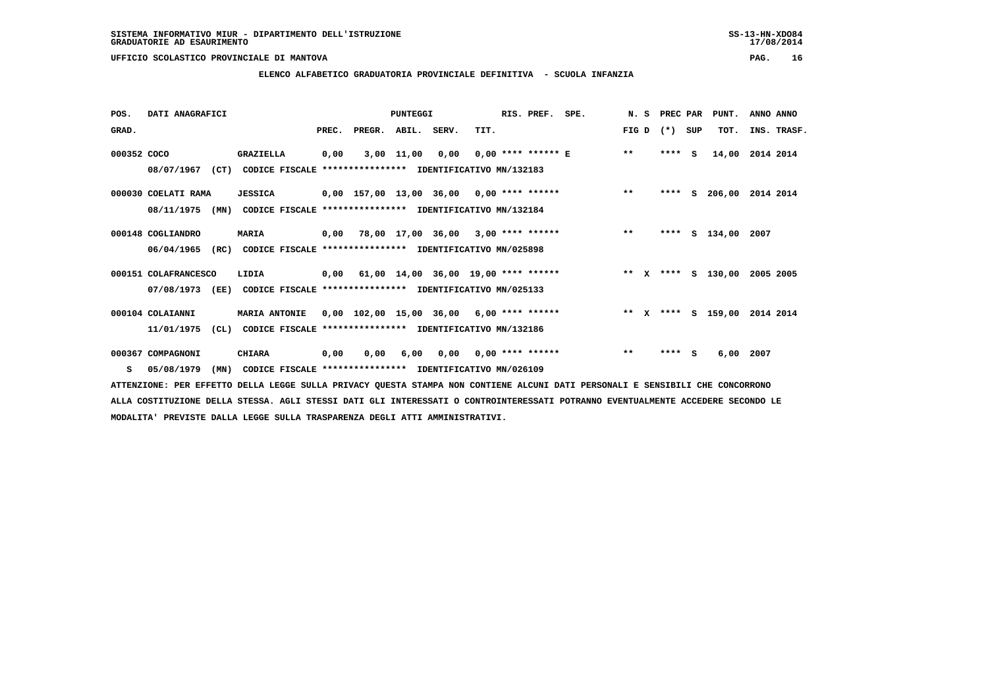**ELENCO ALFABETICO GRADUATORIA PROVINCIALE DEFINITIVA - SCUOLA INFANZIA**

| POS.        | DATI ANAGRAFICI                           |                                                                                  |       |        | PUNTEGGI   |       |                                            | RIS. PREF. SPE. |        | N. S PREC PAR |     | PUNT.              | ANNO ANNO   |
|-------------|-------------------------------------------|----------------------------------------------------------------------------------|-------|--------|------------|-------|--------------------------------------------|-----------------|--------|---------------|-----|--------------------|-------------|
| GRAD.       |                                           |                                                                                  | PREC. | PREGR. | ABIL.      | SERV. | TIT.                                       |                 | FIG D  | $(*)$         | SUP | TOT.               | INS. TRASF. |
| 000352 COCO | 08/07/1967<br>(CT)                        | GRAZIELLA<br>CODICE FISCALE **************** IDENTIFICATIVO MN/132183            | 0,00  |        | 3,00 11,00 |       | 0,00 0,00 **** ****** E                    |                 | $* *$  | $***$ S       |     | 14,00              | 2014 2014   |
|             | 000030 COELATI RAMA<br>08/11/1975<br>(MN) | <b>JESSICA</b><br>CODICE FISCALE **************** IDENTIFICATIVO MN/132184       |       |        |            |       | $0,00$ 157,00 13,00 36,00 0,00 **** ****** |                 | $***$  | ****          |     | S 206,00           | 2014 2014   |
|             | 000148 COGLIANDRO<br>06/04/1965<br>(RC)   | <b>MARIA</b><br>CODICE FISCALE **************** IDENTIFICATIVO MN/025898         |       |        |            |       | $0,00$ 78,00 17,00 36,00 3,00 **** ******  |                 | $**$   | ****          |     | S 134,00           | 2007        |
|             | 000151 COLAFRANCESCO<br>07/08/1973 (EE)   | LIDIA<br>CODICE FISCALE **************** IDENTIFICATIVO MN/025133                | 0,00  |        |            |       | 61,00 14,00 36,00 19,00 **** ******        |                 | ** $X$ |               |     | **** S 130,00      | 2005 2005   |
|             | 000104 COLAIANNI<br>CL)<br>11/01/1975     | <b>MARIA ANTONIE</b><br>CODICE FISCALE **************** IDENTIFICATIVO MN/132186 |       |        |            |       | $0,00$ 102,00 15,00 36,00 6,00 **** ****** |                 |        |               |     | ** X **** S 159,00 | 2014 2014   |
|             | 000367 COMPAGNONI<br>S 05/08/1979<br>(MN) | CHIARA<br>CODICE FISCALE **************** IDENTIFICATIVO MN/026109               | 0,00  | 0,00   | 6,00       | 0,00  | $0,00$ **** ******                         |                 | $***$  | $***$ S       |     | 6,00               | 2007        |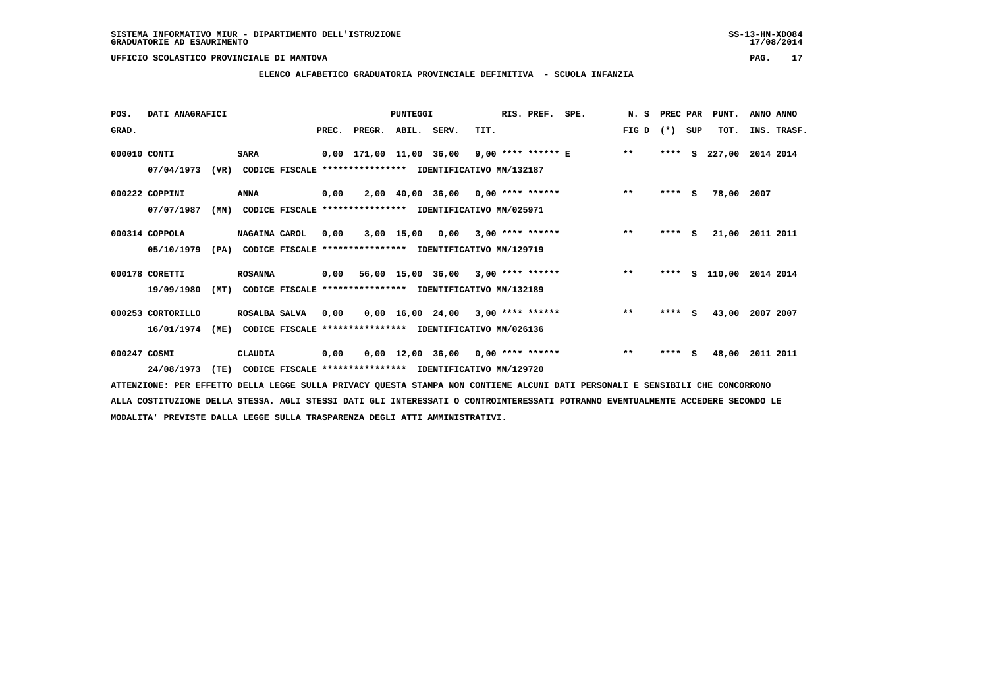**ELENCO ALFABETICO GRADUATORIA PROVINCIALE DEFINITIVA - SCUOLA INFANZIA**

| POS.         | DATI ANAGRAFICI   |      |                                                               |       |        | <b>PUNTEGGI</b> |                                                          |      | RIS. PREF. | SPE.                                          | N.S   | PREC PAR |     | PUNT.              | ANNO ANNO   |  |
|--------------|-------------------|------|---------------------------------------------------------------|-------|--------|-----------------|----------------------------------------------------------|------|------------|-----------------------------------------------|-------|----------|-----|--------------------|-------------|--|
| GRAD.        |                   |      |                                                               | PREC. | PREGR. | ABIL. SERV.     |                                                          | TIT. |            |                                               | FIG D | $(* )$   | SUP | TOT.               | INS. TRASF. |  |
| 000010 CONTI |                   |      | <b>SARA</b>                                                   |       |        |                 |                                                          |      |            | 0,00 171,00 11,00 36,00 9,00 **** ****** E ** |       | ****     | s   | 227,00             | 2014 2014   |  |
|              | 07/04/1973        |      | (VR) CODICE FISCALE **************** IDENTIFICATIVO MN/132187 |       |        |                 |                                                          |      |            |                                               |       |          |     |                    |             |  |
|              | 000222 COPPINI    |      | ANNA                                                          | 0,00  |        |                 | $2,00$ 40,00 36,00 0,00 **** ******                      |      |            |                                               | $* *$ | $***$ S  |     | 78,00              | 2007        |  |
|              | 07/07/1987        | (MN) |                                                               |       |        |                 | CODICE FISCALE **************** IDENTIFICATIVO MN/025971 |      |            |                                               |       |          |     |                    |             |  |
|              | 000314 COPPOLA    |      | NAGAINA CAROL                                                 | 0.00  |        |                 | $3,00$ 15,00 0,00 3,00 **** ******                       |      |            |                                               | $***$ | $***$ S  |     | 21,00              | 2011 2011   |  |
|              | 05/10/1979        |      | (PA) CODICE FISCALE **************** IDENTIFICATIVO MN/129719 |       |        |                 |                                                          |      |            |                                               |       |          |     |                    |             |  |
|              | 000178 CORETTI    |      | <b>ROSANNA</b>                                                |       |        |                 | $0,00$ 56,00 15,00 36,00 3,00 **** ******                |      |            |                                               | $* *$ | ****     |     | S 110,00 2014 2014 |             |  |
|              | 19/09/1980        | (MT) |                                                               |       |        |                 | CODICE FISCALE **************** IDENTIFICATIVO MN/132189 |      |            |                                               |       |          |     |                    |             |  |
|              | 000253 CORTORILLO |      | ROSALBA SALVA                                                 | 0.00  |        |                 | $0.00$ 16.00 24.00 3.00 **** ******                      |      |            |                                               | $***$ | ****     | S.  | 43,00              | 2007 2007   |  |
|              | 16/01/1974        | (ME) |                                                               |       |        |                 | CODICE FISCALE **************** IDENTIFICATIVO MN/026136 |      |            |                                               |       |          |     |                    |             |  |
| 000247 COSMI |                   |      | CLAUDIA                                                       | 0,00  |        |                 | $0,00$ 12,00 36,00 0,00 **** ******                      |      |            |                                               | $***$ | $***$ S  |     | 48,00              | 2011 2011   |  |
|              | 24/08/1973        | (TE) |                                                               |       |        |                 | CODICE FISCALE **************** IDENTIFICATIVO MN/129720 |      |            |                                               |       |          |     |                    |             |  |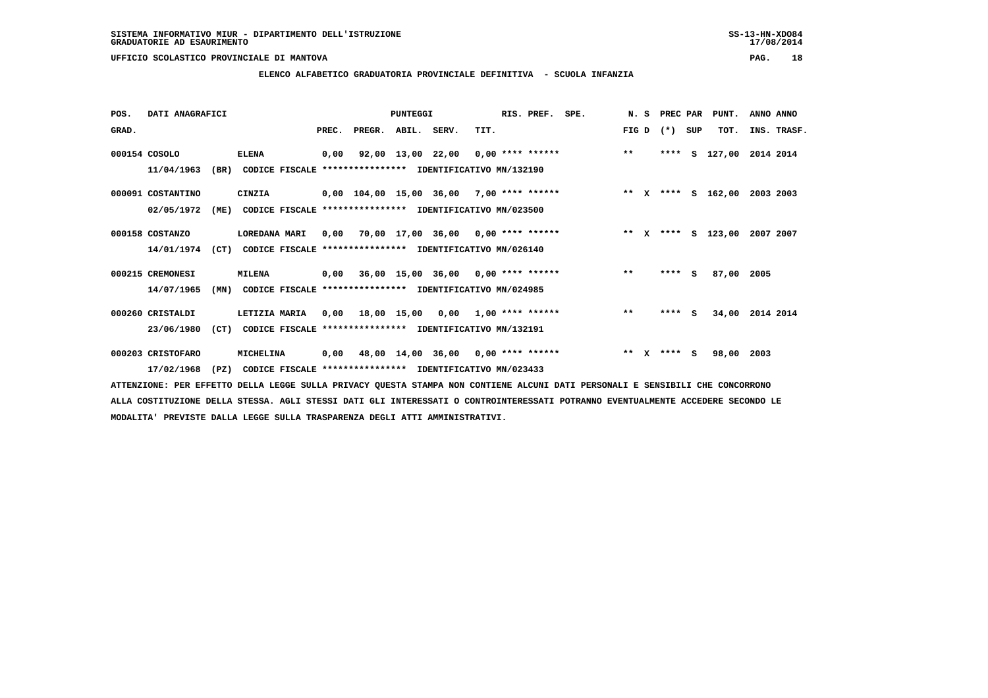**ELENCO ALFABETICO GRADUATORIA PROVINCIALE DEFINITIVA - SCUOLA INFANZIA**

| POS.  | DATI ANAGRAFICI   |      |                                                          |       |                                          | <b>PUNTEGGI</b> |                                      |      | RIS. PREF. | SPE. |       | N. S         | PREC PAR |     | PUNT.              | ANNO ANNO   |  |
|-------|-------------------|------|----------------------------------------------------------|-------|------------------------------------------|-----------------|--------------------------------------|------|------------|------|-------|--------------|----------|-----|--------------------|-------------|--|
| GRAD. |                   |      |                                                          | PREC. | PREGR. ABIL. SERV.                       |                 |                                      | TIT. |            |      | FIG D |              | $(* )$   | SUP | TOT.               | INS. TRASF. |  |
|       | 000154 COSOLO     |      | <b>ELENA</b>                                             | 0,00  |                                          |                 | 92,00 13,00 22,00 0,00 **** ******   |      |            |      | $* *$ |              | ****     | s   | 127,00             | 2014 2014   |  |
|       | 11/04/1963        | (BR) | CODICE FISCALE **************** IDENTIFICATIVO MN/132190 |       |                                          |                 |                                      |      |            |      |       |              |          |     |                    |             |  |
|       | 000091 COSTANTINO |      | CINZIA                                                   |       | 0,00 104,00 15,00 36,00 7,00 **** ****** |                 |                                      |      |            |      |       |              |          |     | ** X **** S 162,00 | 2003 2003   |  |
|       | 02/05/1972        | (ME) | CODICE FISCALE **************** IDENTIFICATIVO MN/023500 |       |                                          |                 |                                      |      |            |      |       |              |          |     |                    |             |  |
|       | 000158 COSTANZO   |      | LOREDANA MARI                                            | 0,00  | 70,00 17,00 36,00 0,00 **** ******       |                 |                                      |      |            |      | $* *$ | $\mathbf{x}$ |          |     | **** S 123,00      | 2007 2007   |  |
|       | 14/01/1974        | (CT) | CODICE FISCALE **************** IDENTIFICATIVO MN/026140 |       |                                          |                 |                                      |      |            |      |       |              |          |     |                    |             |  |
|       | 000215 CREMONESI  |      | <b>MILENA</b>                                            | 0,00  |                                          |                 | $36,00$ 15,00 36,00 0,00 **** ****** |      |            |      | $***$ |              | ****     | S.  | 87,00 2005         |             |  |
|       | 14/07/1965        | (MN) | CODICE FISCALE **************** IDENTIFICATIVO MN/024985 |       |                                          |                 |                                      |      |            |      |       |              |          |     |                    |             |  |
|       | 000260 CRISTALDI  |      | LETIZIA MARIA                                            |       | $0,00$ 18,00 15,00 0,00 1,00 **** ****** |                 |                                      |      |            |      | $**$  |              | $***$ S  |     | 34,00              | 2014 2014   |  |
|       | 23/06/1980        | (CT) | CODICE FISCALE **************** IDENTIFICATIVO MN/132191 |       |                                          |                 |                                      |      |            |      |       |              |          |     |                    |             |  |
|       | 000203 CRISTOFARO |      | MICHELINA                                                | 0,00  |                                          |                 | 48,00 14,00 36,00 0,00 **** ******   |      |            |      | $***$ | $\mathbf{x}$ | **** S   |     | 98,00              | 2003        |  |
|       | 17/02/1968        | (PZ) | CODICE FISCALE **************** IDENTIFICATIVO MN/023433 |       |                                          |                 |                                      |      |            |      |       |              |          |     |                    |             |  |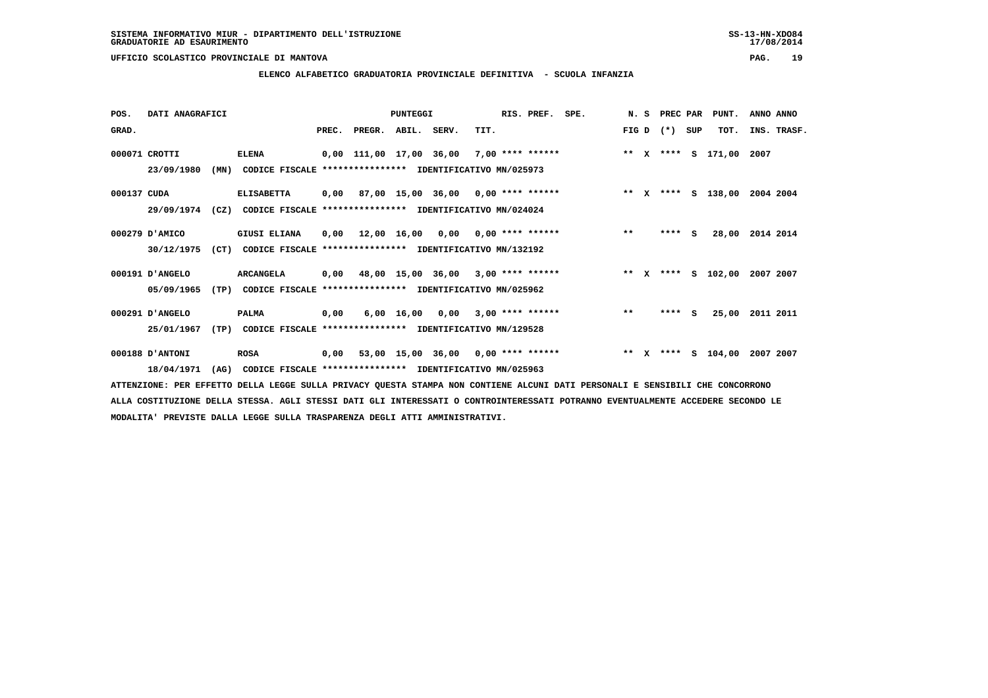**ELENCO ALFABETICO GRADUATORIA PROVINCIALE DEFINITIVA - SCUOLA INFANZIA**

| POS.        | DATI ANAGRAFICI |      |                                                          |      |                  | PUNTEGGI    |                                           |      | RIS. PREF. SPE.    |                              |         | N. S PREC PAR |     | PUNT.                   | ANNO ANNO |             |
|-------------|-----------------|------|----------------------------------------------------------|------|------------------|-------------|-------------------------------------------|------|--------------------|------------------------------|---------|---------------|-----|-------------------------|-----------|-------------|
| GRAD.       |                 |      |                                                          |      | PREC. PREGR.     | ABIL. SERV. |                                           | TIT. |                    |                              | FIG D   | $(* )$        | SUP | TOT.                    |           | INS. TRASF. |
|             | 000071 CROTTI   |      | <b>ELENA</b>                                             |      |                  |             | 0,00 111,00 17,00 36,00                   |      | $7,00$ **** ****** |                              |         |               |     | ** X **** S 171,00 2007 |           |             |
|             | 23/09/1980      | (MN) | CODICE FISCALE **************** IDENTIFICATIVO MN/025973 |      |                  |             |                                           |      |                    |                              |         |               |     |                         |           |             |
| 000137 CUDA |                 |      | <b>ELISABETTA</b>                                        | 0,00 |                  |             | 87,00 15,00 36,00 0,00 **** ******        |      |                    | ** X **** S 138,00           |         |               |     |                         | 2004 2004 |             |
|             | 29/09/1974      | (CZ) | CODICE FISCALE **************** IDENTIFICATIVO MN/024024 |      |                  |             |                                           |      |                    |                              |         |               |     |                         |           |             |
|             | 000279 D'AMICO  |      | <b>GIUSI ELIANA</b>                                      |      | 0,00 12,00 16,00 |             | $0,00$ $0,00$ **** ******                 |      |                    |                              | $* *$   | ****          | s.  | 28,00 2014 2014         |           |             |
|             | 30/12/1975      | (CT) | CODICE FISCALE **************** IDENTIFICATIVO MN/132192 |      |                  |             |                                           |      |                    |                              |         |               |     |                         |           |             |
|             | 000191 D'ANGELO |      | <b>ARCANGELA</b>                                         | 0,00 |                  |             | 48,00 15,00 36,00 3,00 **** ******        |      |                    | ** X **** S 102,00 2007 2007 |         |               |     |                         |           |             |
|             | 05/09/1965      | (TP) | CODICE FISCALE                                           |      |                  |             | **************** IDENTIFICATIVO MN/025962 |      |                    |                              |         |               |     |                         |           |             |
|             | 000291 D'ANGELO |      | PALMA                                                    | 0,00 |                  |             | 6,00 16,00 0,00                           |      | $3,00$ **** ****** |                              | $* *$   | ****          | - S | 25,00                   | 2011 2011 |             |
|             | 25/01/1967      | (TP) | CODICE FISCALE **************** IDENTIFICATIVO MN/129528 |      |                  |             |                                           |      |                    |                              |         |               |     |                         |           |             |
|             | 000188 D'ANTONI |      | <b>ROSA</b>                                              | 0,00 |                  |             | 53,00 15,00 36,00 0,00 **** ******        |      |                    |                              | $***$ X | ****          |     | S 104,00                | 2007 2007 |             |
|             | 18/04/1971      | (AG) | CODICE FISCALE **************** IDENTIFICATIVO MN/025963 |      |                  |             |                                           |      |                    |                              |         |               |     |                         |           |             |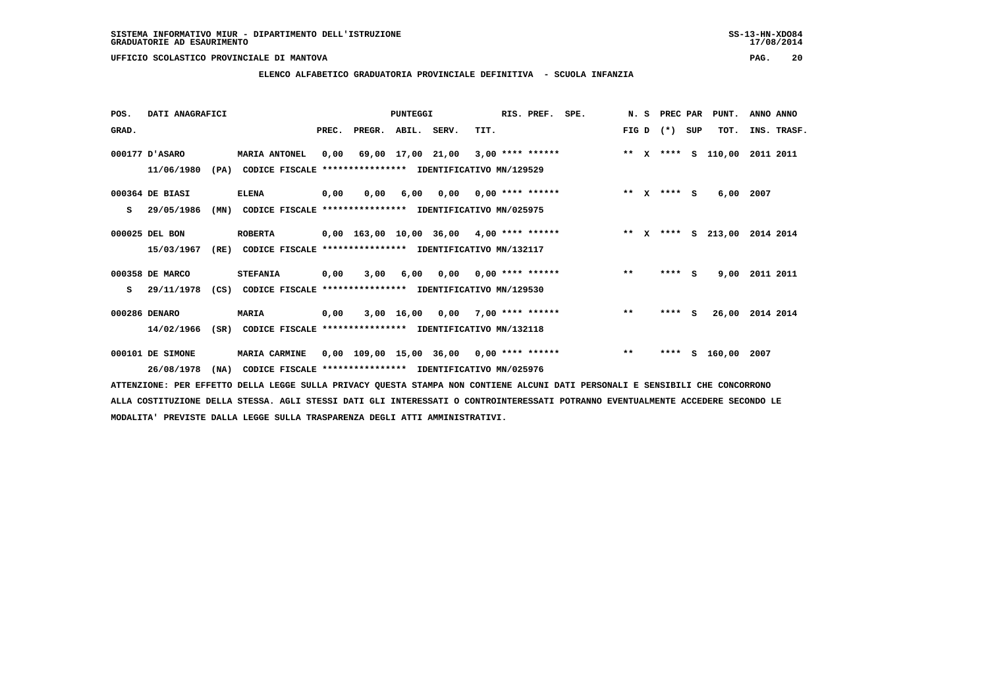**ELENCO ALFABETICO GRADUATORIA PROVINCIALE DEFINITIVA - SCUOLA INFANZIA**

 **POS. DATI ANAGRAFICI PUNTEGGI RIS. PREF. SPE. N. S PREC PAR PUNT. ANNO ANNO**GRAD. **BRAD. PREC. PREGR. ABIL. SERV.** TIT. THE REGREATER FIG D (\*) SUP TOT. INS. TRASF.  **000177 D'ASARO MARIA ANTONEL 0,00 69,00 17,00 21,00 3,00 \*\*\*\* \*\*\*\*\*\* \*\* X \*\*\*\* S 110,00 2011 2011 11/06/1980 (PA) CODICE FISCALE \*\*\*\*\*\*\*\*\*\*\*\*\*\*\*\* IDENTIFICATIVO MN/129529 000364 DE BIASI ELENA 0,00 0,00 6,00 0,00 0,00 \*\*\*\* \*\*\*\*\*\* \*\* X \*\*\*\* S 6,00 2007 S 29/05/1986 (MN) CODICE FISCALE \*\*\*\*\*\*\*\*\*\*\*\*\*\*\*\* IDENTIFICATIVO MN/025975 000025 DEL BON ROBERTA 0,00 163,00 10,00 36,00 4,00 \*\*\*\* \*\*\*\*\*\* \*\* X \*\*\*\* S 213,00 2014 2014 15/03/1967 (RE) CODICE FISCALE \*\*\*\*\*\*\*\*\*\*\*\*\*\*\*\* IDENTIFICATIVO MN/132117 000358 DE MARCO STEFANIA 0,00 3,00 6,00 0,00 0,00 \*\*\*\* \*\*\*\*\*\* \*\* \*\*\*\* S 9,00 2011 2011 S 29/11/1978 (CS) CODICE FISCALE \*\*\*\*\*\*\*\*\*\*\*\*\*\*\*\* IDENTIFICATIVO MN/129530 000286 DENARO MARIA 0,00 3,00 16,00 0,00 7,00 \*\*\*\* \*\*\*\*\*\* \*\* \*\*\*\* S 26,00 2014 2014 14/02/1966 (SR) CODICE FISCALE \*\*\*\*\*\*\*\*\*\*\*\*\*\*\*\* IDENTIFICATIVO MN/132118 000101 DE SIMONE MARIA CARMINE 0,00 109,00 15,00 36,00 0,00 \*\*\*\* \*\*\*\*\*\* \*\* \*\*\*\* S 160,00 2007 26/08/1978 (NA) CODICE FISCALE \*\*\*\*\*\*\*\*\*\*\*\*\*\*\*\* IDENTIFICATIVO MN/025976**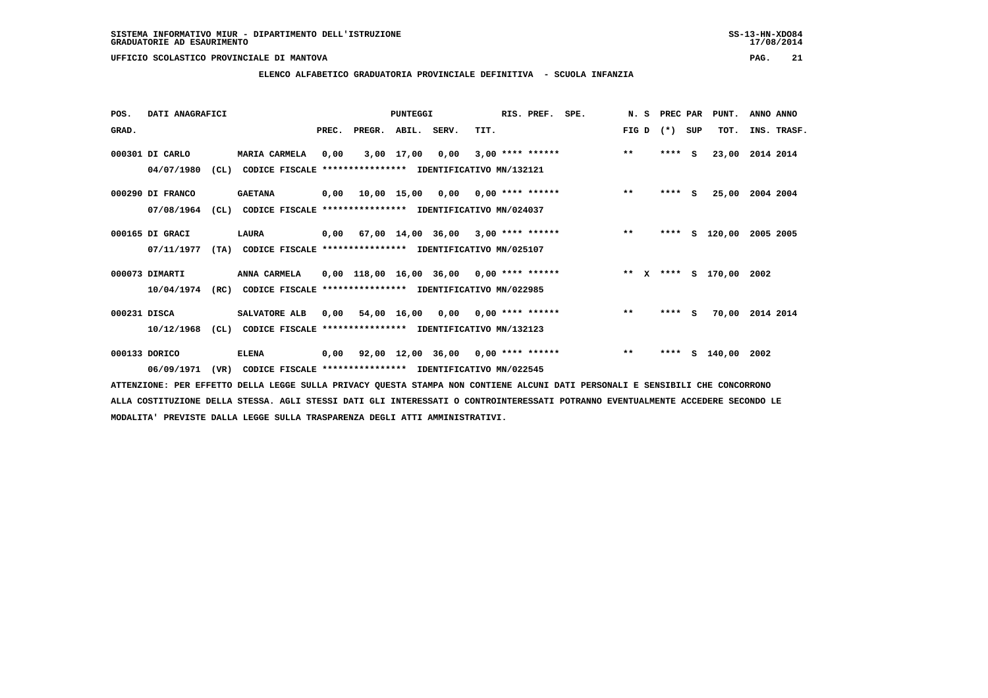# **ELENCO ALFABETICO GRADUATORIA PROVINCIALE DEFINITIVA - SCUOLA INFANZIA**

| POS.         | DATI ANAGRAFICI  |      |                                                               |       |                                                         | PUNTEGGI   |                                      |      | RIS. PREF.         | SPE.                    | N.S   | PREC PAR |     | PUNT.           | ANNO ANNO |             |
|--------------|------------------|------|---------------------------------------------------------------|-------|---------------------------------------------------------|------------|--------------------------------------|------|--------------------|-------------------------|-------|----------|-----|-----------------|-----------|-------------|
| GRAD.        |                  |      |                                                               | PREC. | PREGR. ABIL. SERV.                                      |            |                                      | TIT. |                    |                         | FIG D | $(* )$   | SUP | TOT.            |           | INS. TRASF. |
|              | 000301 DI CARLO  |      | <b>MARIA CARMELA</b>                                          | 0,00  |                                                         | 3,00 17,00 | 0,00                                 |      | $3.00$ **** ****** |                         | $**$  | $***$ S  |     | 23,00           | 2014 2014 |             |
|              | 04/07/1980       | CL)  | CODICE FISCALE **************** IDENTIFICATIVO MN/132121      |       |                                                         |            |                                      |      |                    |                         |       |          |     |                 |           |             |
|              | 000290 DI FRANCO |      | <b>GAETANA</b>                                                |       | $0,00$ 10,00 15,00 0,00 0,00 **** ******                |            |                                      |      |                    |                         | $* *$ | $***$ S  |     | 25,00 2004 2004 |           |             |
|              | 07/08/1964       | CL)  | CODICE FISCALE **************** IDENTIFICATIVO MN/024037      |       |                                                         |            |                                      |      |                    |                         |       |          |     |                 |           |             |
|              | 000165 DI GRACI  |      | LAURA                                                         | 0,00  |                                                         |            | $67,00$ 14,00 36,00 3,00 **** ****** |      |                    |                         | $***$ | ****     |     | S 120,00        | 2005 2005 |             |
|              | 07/11/1977       | (TA) | CODICE FISCALE **************** IDENTIFICATIVO MN/025107      |       |                                                         |            |                                      |      |                    |                         |       |          |     |                 |           |             |
|              | 000073 DIMARTI   |      | ANNA CARMELA                                                  |       | $0,00$ 118,00 16,00 36,00 0,00 **** ******              |            |                                      |      |                    | ** x **** s 170,00 2002 |       |          |     |                 |           |             |
|              | 10/04/1974       | (RC) | CODICE FISCALE **************** IDENTIFICATIVO MN/022985      |       |                                                         |            |                                      |      |                    |                         |       |          |     |                 |           |             |
| 000231 DISCA |                  |      | SALVATORE ALB                                                 | 0.00  |                                                         |            | 54,00 16,00 0,00 0,00 **** ******    |      |                    |                         | $***$ | $***$ S  |     | 70,00           | 2014 2014 |             |
|              | 10/12/1968       |      | (CL) CODICE FISCALE **************** IDENTIFICATIVO MN/132123 |       |                                                         |            |                                      |      |                    |                         |       |          |     |                 |           |             |
|              | 000133 DORICO    |      | <b>ELENA</b>                                                  |       | $0,00$ $92,00$ $12,00$ $36,00$ $0,00$ $***$ **** ****** |            |                                      |      |                    |                         | $***$ | ****     |     | $S$ 140,00 2002 |           |             |
|              | 06/09/1971       | (VR) | CODICE FISCALE **************** IDENTIFICATIVO MN/022545      |       |                                                         |            |                                      |      |                    |                         |       |          |     |                 |           |             |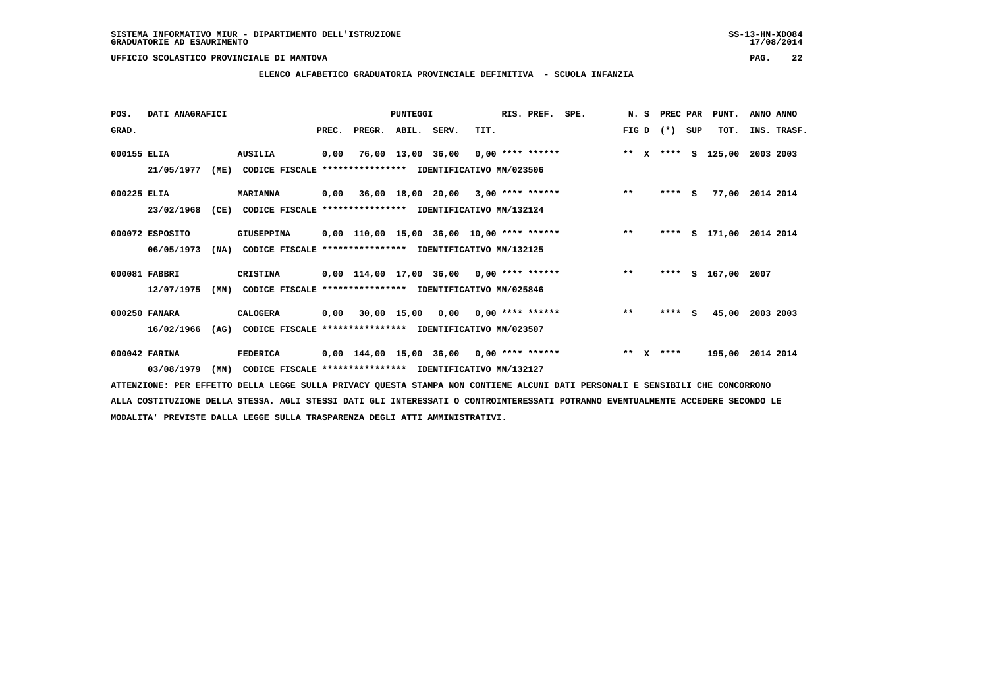**ELENCO ALFABETICO GRADUATORIA PROVINCIALE DEFINITIVA - SCUOLA INFANZIA**

| POS.        | DATI ANAGRAFICI |      |                                                          |       |                                            | PUNTEGGI                           |                           | RIS. PREF. SPE. |                                          |       |              | N. S PREC PAR |          | PUNT.              | ANNO ANNO |             |
|-------------|-----------------|------|----------------------------------------------------------|-------|--------------------------------------------|------------------------------------|---------------------------|-----------------|------------------------------------------|-------|--------------|---------------|----------|--------------------|-----------|-------------|
| GRAD.       |                 |      |                                                          | PREC. | PREGR.                                     | ABIL. SERV.                        | TIT.                      |                 |                                          | FIG D |              | $(*)$         | SUP      | TOT.               |           | INS. TRASF. |
| 000155 ELIA |                 |      | <b>AUSILIA</b>                                           | 0,00  |                                            | 76,00 13,00 36,00 0,00 **** ****** |                           |                 | ** x **** s                              |       |              |               |          | 125,00             | 2003 2003 |             |
|             | 21/05/1977      | (ME) | CODICE FISCALE **************** IDENTIFICATIVO MN/023506 |       |                                            |                                    |                           |                 |                                          |       |              |               |          |                    |           |             |
| 000225 ELIA |                 |      | <b>MARIANNA</b>                                          |       | $0,00$ 36,00 18,00 20,00 3,00 **** ******  |                                    |                           |                 |                                          | $***$ |              | ****          | <b>S</b> | 77,00 2014 2014    |           |             |
|             | 23/02/1968      | (CE) | CODICE FISCALE **************** IDENTIFICATIVO MN/132124 |       |                                            |                                    |                           |                 |                                          |       |              |               |          |                    |           |             |
|             | 000072 ESPOSITO |      | <b>GIUSEPPINA</b>                                        |       | 0,00 110,00 15,00 36,00 10,00 **** ******  |                                    |                           |                 | $\star \star$                            |       |              | ****          |          | S 171,00 2014 2014 |           |             |
|             | 06/05/1973      | (NA) | CODICE FISCALE **************** IDENTIFICATIVO MN/132125 |       |                                            |                                    |                           |                 |                                          |       |              |               |          |                    |           |             |
|             | 000081 FABBRI   |      | CRISTINA                                                 |       |                                            |                                    |                           |                 | 0,00 114,00 17,00 36,00 0,00 **** ****** | $***$ |              | ****          |          | S 167,00 2007      |           |             |
|             | 12/07/1975      | (MN) | CODICE FISCALE **************** IDENTIFICATIVO MN/025846 |       |                                            |                                    |                           |                 |                                          |       |              |               |          |                    |           |             |
|             | 000250 FANARA   |      | CALOGERA                                                 |       | 0,00 30,00 15,00                           |                                    | $0,00$ $0,00$ **** ****** |                 |                                          | $***$ |              | ****          | s        | 45,00              | 2003 2003 |             |
|             | 16/02/1966      | (AG) | CODICE FISCALE **************** IDENTIFICATIVO MN/023507 |       |                                            |                                    |                           |                 |                                          |       |              |               |          |                    |           |             |
|             | 000042 FARINA   |      | <b>FEDERICA</b>                                          |       | $0,00$ 144,00 15,00 36,00 0,00 **** ****** |                                    |                           |                 |                                          | $**$  | $\mathbf{x}$ | ****          |          | 195,00             | 2014 2014 |             |
|             | 03/08/1979      | (MN) | CODICE FISCALE **************** IDENTIFICATIVO MN/132127 |       |                                            |                                    |                           |                 |                                          |       |              |               |          |                    |           |             |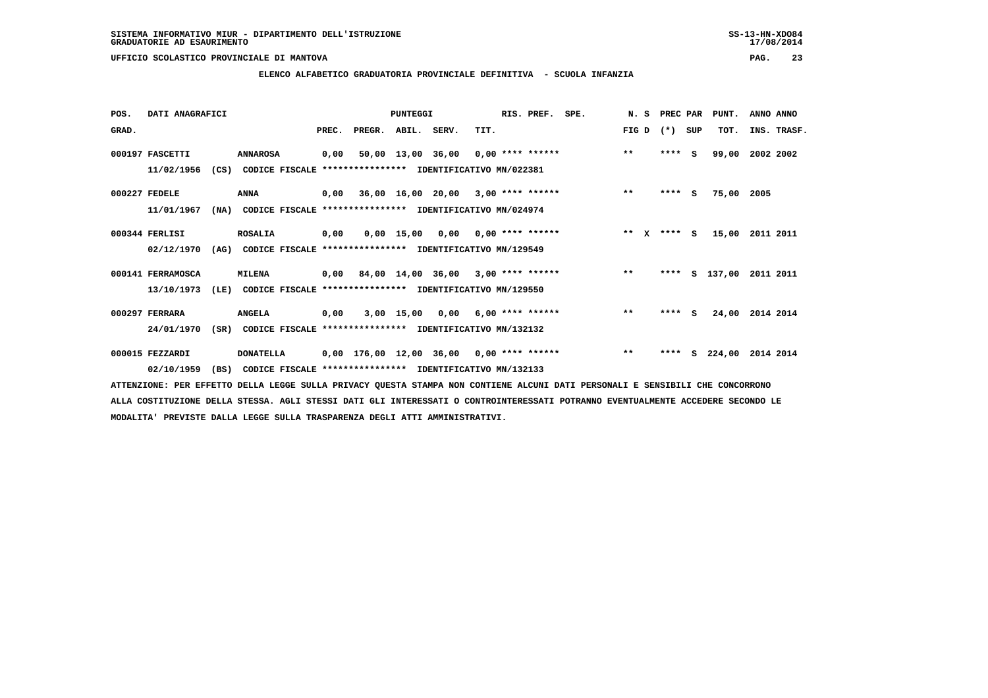**ELENCO ALFABETICO GRADUATORIA PROVINCIALE DEFINITIVA - SCUOLA INFANZIA**

| POS.  | DATI ANAGRAFICI   |      |                                                               |       |                                           | <b>PUNTEGGI</b> |                                    |      | RIS. PREF. SPE. |                                          | N. S PREC PAR         |         |          | PUNT.         | ANNO ANNO |             |
|-------|-------------------|------|---------------------------------------------------------------|-------|-------------------------------------------|-----------------|------------------------------------|------|-----------------|------------------------------------------|-----------------------|---------|----------|---------------|-----------|-------------|
| GRAD. |                   |      |                                                               | PREC. | PREGR. ABIL. SERV.                        |                 |                                    | TIT. |                 |                                          | FIG D                 | $(* )$  | SUP      | TOT.          |           | INS. TRASF. |
|       | 000197 FASCETTI   |      | <b>ANNAROSA</b>                                               | 0,00  |                                           |                 |                                    |      |                 | 50,00 13,00 36,00 0,00 **** ******       | $***$                 | ****    | <b>S</b> | 99,00         | 2002 2002 |             |
|       | 11/02/1956        |      | (CS) CODICE FISCALE **************** IDENTIFICATIVO MN/022381 |       |                                           |                 |                                    |      |                 |                                          |                       |         |          |               |           |             |
|       | 000227 FEDELE     |      | ANNA                                                          |       | $0,00$ 36,00 16,00 20,00 3,00 **** ****** |                 |                                    |      |                 |                                          | $***$                 | $***$ S |          | 75,00         | 2005      |             |
|       | 11/01/1967        | (NA) | CODICE FISCALE **************** IDENTIFICATIVO MN/024974      |       |                                           |                 |                                    |      |                 |                                          |                       |         |          |               |           |             |
|       | 000344 FERLISI    |      | <b>ROSALIA</b>                                                | 0,00  |                                           |                 | $0,00$ 15,00 0,00 0,00 **** ****** |      |                 |                                          | $* *$<br>$\mathbf{x}$ | **** S  |          | 15,00         | 2011 2011 |             |
|       | 02/12/1970        |      | (AG) CODICE FISCALE **************** IDENTIFICATIVO MN/129549 |       |                                           |                 |                                    |      |                 |                                          |                       |         |          |               |           |             |
|       | 000141 FERRAMOSCA |      | <b>MILENA</b>                                                 |       |                                           |                 |                                    |      |                 | 0,00 84,00 14,00 36,00 3,00 **** ******  | $***$                 |         |          | **** S 137,00 | 2011 2011 |             |
|       | 13/10/1973        | (LE) | CODICE FISCALE **************** IDENTIFICATIVO MN/129550      |       |                                           |                 |                                    |      |                 |                                          |                       |         |          |               |           |             |
|       | 000297 FERRARA    |      | <b>ANGELA</b>                                                 | 0,00  |                                           |                 | $3,00$ 15,00 0,00 6,00 **** ****** |      |                 |                                          | $***$                 | $***$ S |          | 24,00         | 2014 2014 |             |
|       | 24/01/1970        |      | (SR) CODICE FISCALE **************** IDENTIFICATIVO MN/132132 |       |                                           |                 |                                    |      |                 |                                          |                       |         |          |               |           |             |
|       | 000015 FEZZARDI   |      | <b>DONATELLA</b>                                              |       |                                           |                 |                                    |      |                 | 0,00 176,00 12,00 36,00 0,00 **** ****** | $**$                  | ****    |          | S 224,00      | 2014 2014 |             |
|       | 02/10/1959        | (BS) | CODICE FISCALE **************** IDENTIFICATIVO MN/132133      |       |                                           |                 |                                    |      |                 |                                          |                       |         |          |               |           |             |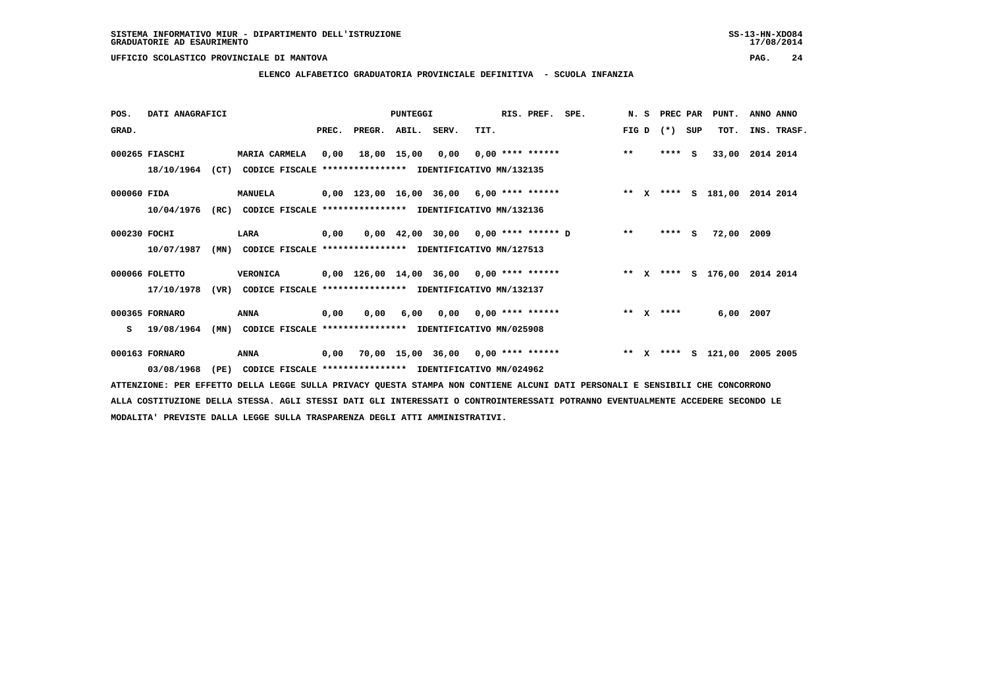**ELENCO ALFABETICO GRADUATORIA PROVINCIALE DEFINITIVA - SCUOLA INFANZIA**

| POS.         | DATI ANAGRAFICI |      |                                                          |       |                                            | PUNTEGGI    |                                       |      | RIS. PREF. SPE.           |                              |         | N. S PREC PAR |     | PUNT.           | ANNO ANNO |             |
|--------------|-----------------|------|----------------------------------------------------------|-------|--------------------------------------------|-------------|---------------------------------------|------|---------------------------|------------------------------|---------|---------------|-----|-----------------|-----------|-------------|
| GRAD.        |                 |      |                                                          | PREC. | PREGR.                                     | ABIL. SERV. |                                       | TIT. |                           |                              | FIG D   | $(* )$        | SUP | TOT.            |           | INS. TRASF. |
|              | 000265 FIASCHI  |      | MARIA CARMELA                                            | 0,00  | 18,00 15,00                                |             | 0,00                                  |      | $0.00$ **** ******        |                              | $***$   | $***$ S       |     | 33,00 2014 2014 |           |             |
|              | 18/10/1964      | (CT) | CODICE FISCALE **************** IDENTIFICATIVO MN/132135 |       |                                            |             |                                       |      |                           |                              |         |               |     |                 |           |             |
| 000060 FIDA  |                 |      | <b>MANUELA</b>                                           |       | $0,00$ 123,00 16,00 36,00 6,00 **** ****** |             |                                       |      |                           | ** X **** S 181,00           |         |               |     |                 | 2014 2014 |             |
|              | 10/04/1976      | (RC) | CODICE FISCALE **************** IDENTIFICATIVO MN/132136 |       |                                            |             |                                       |      |                           |                              |         |               |     |                 |           |             |
| 000230 FOCHI |                 |      | LARA                                                     | 0,00  |                                            |             | $0,00$ 42,00 30,00 0,00 **** ****** D |      |                           |                              | $***$   | ****          | s   | 72,00 2009      |           |             |
|              | 10/07/1987      | (MN) | CODICE FISCALE **************** IDENTIFICATIVO MN/127513 |       |                                            |             |                                       |      |                           |                              |         |               |     |                 |           |             |
|              | 000066 FOLETTO  |      | <b>VERONICA</b>                                          |       | $0,00$ 126,00 14,00 36,00 0,00 **** ****** |             |                                       |      |                           | ** X **** S 176,00 2014 2014 |         |               |     |                 |           |             |
|              | 17/10/1978      | (VR) | CODICE FISCALE **************** IDENTIFICATIVO MN/132137 |       |                                            |             |                                       |      |                           |                              |         |               |     |                 |           |             |
|              | 000365 FORNARO  |      | <b>ANNA</b>                                              | 0,00  | 0.00                                       | 6,00        |                                       |      | $0,00$ $0,00$ **** ****** |                              |         | ** $X$ ****   |     | 6,00 2007       |           |             |
| s            | 19/08/1964      | (MN) | CODICE FISCALE **************** IDENTIFICATIVO MN/025908 |       |                                            |             |                                       |      |                           |                              |         |               |     |                 |           |             |
|              | 000163 FORNARO  |      | ANNA                                                     | 0,00  |                                            |             | 70,00 15,00 36,00 0,00 **** ******    |      |                           |                              | $***$ X | ****          |     | s 121,00        | 2005 2005 |             |
|              | 03/08/1968      | (PE) | CODICE FISCALE **************** IDENTIFICATIVO MN/024962 |       |                                            |             |                                       |      |                           |                              |         |               |     |                 |           |             |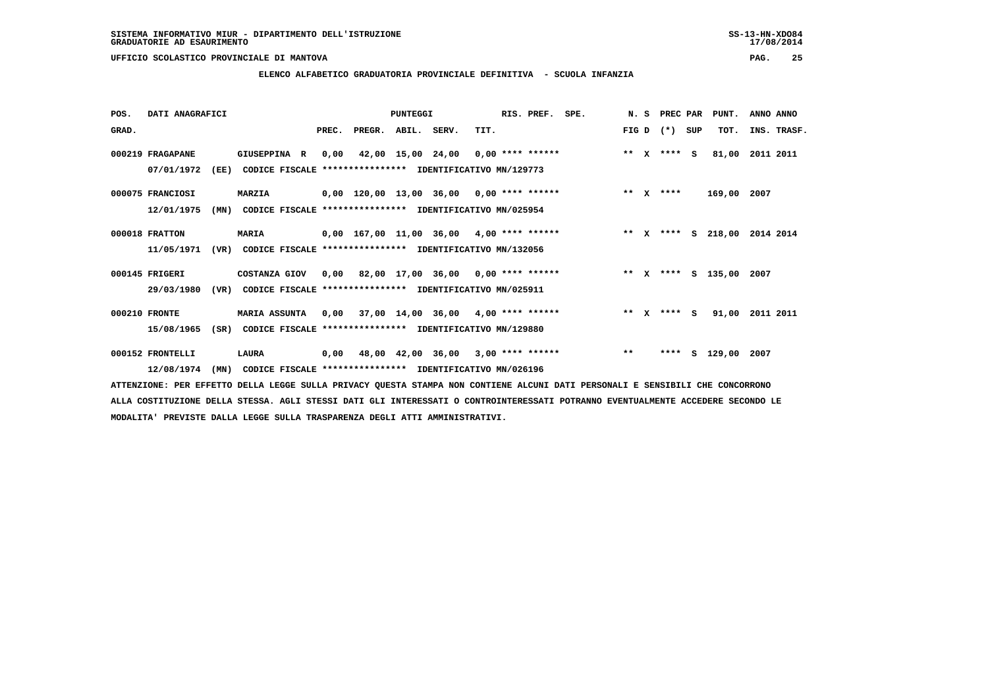**ELENCO ALFABETICO GRADUATORIA PROVINCIALE DEFINITIVA - SCUOLA INFANZIA**

 **POS. DATI ANAGRAFICI PUNTEGGI RIS. PREF. SPE. N. S PREC PAR PUNT. ANNO ANNO**GRAD. **PREGRADE SERVEGER. ABIL. SERV. TIT.** FIG D (\*) SUP TOT. INS. TRASF.  **000219 FRAGAPANE GIUSEPPINA R 0,00 42,00 15,00 24,00 0,00 \*\*\*\* \*\*\*\*\*\* \*\* X \*\*\*\* S 81,00 2011 2011 07/01/1972 (EE) CODICE FISCALE \*\*\*\*\*\*\*\*\*\*\*\*\*\*\*\* IDENTIFICATIVO MN/129773 000075 FRANCIOSI MARZIA 0,00 120,00 13,00 36,00 0,00 \*\*\*\* \*\*\*\*\*\* \*\* X \*\*\*\* 169,00 2007 12/01/1975 (MN) CODICE FISCALE \*\*\*\*\*\*\*\*\*\*\*\*\*\*\*\* IDENTIFICATIVO MN/025954 000018 FRATTON MARIA 0,00 167,00 11,00 36,00 4,00 \*\*\*\* \*\*\*\*\*\* \*\* X \*\*\*\* S 218,00 2014 2014 11/05/1971 (VR) CODICE FISCALE \*\*\*\*\*\*\*\*\*\*\*\*\*\*\*\* IDENTIFICATIVO MN/132056**000145 FRIGERI COSTANZA GIOV 0,00 82,00 17,00 36,00 0,00 \*\*\*\* \*\*\*\*\*\* \*\*\*\* \*\*\*\* \$ 135,00 2007  **29/03/1980 (VR) CODICE FISCALE \*\*\*\*\*\*\*\*\*\*\*\*\*\*\*\* IDENTIFICATIVO MN/025911 000210 FRONTE MARIA ASSUNTA 0,00 37,00 14,00 36,00 4,00 \*\*\*\* \*\*\*\*\*\* \*\* X \*\*\*\* S 91,00 2011 2011 15/08/1965 (SR) CODICE FISCALE \*\*\*\*\*\*\*\*\*\*\*\*\*\*\*\* IDENTIFICATIVO MN/129880 000152 FRONTELLI LAURA 0,00 48,00 42,00 36,00 3,00 \*\*\*\* \*\*\*\*\*\* \*\* \*\*\*\* S 129,00 2007 12/08/1974 (MN) CODICE FISCALE \*\*\*\*\*\*\*\*\*\*\*\*\*\*\*\* IDENTIFICATIVO MN/026196**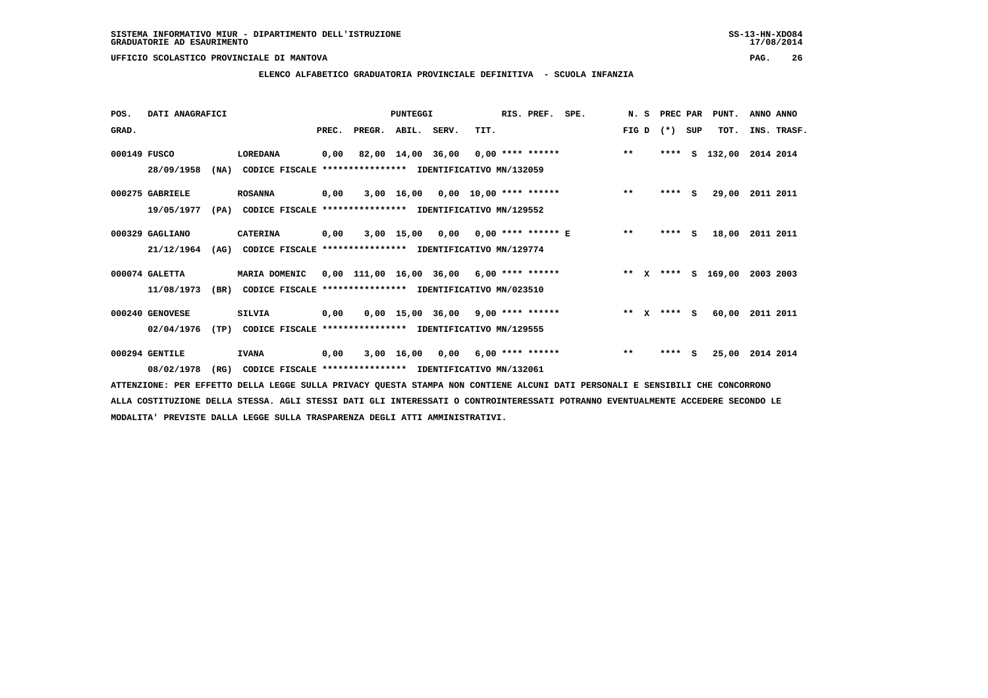**ELENCO ALFABETICO GRADUATORIA PROVINCIALE DEFINITIVA - SCUOLA INFANZIA**

| POS.         | DATI ANAGRAFICI |      |                                                          |       |                                            | PUNTEGGI          |                                     |      | RIS. PREF.                | SPE. | N.S   |              | PREC PAR |          | PUNT.              | ANNO ANNO   |  |
|--------------|-----------------|------|----------------------------------------------------------|-------|--------------------------------------------|-------------------|-------------------------------------|------|---------------------------|------|-------|--------------|----------|----------|--------------------|-------------|--|
| GRAD.        |                 |      |                                                          | PREC. | PREGR.                                     | ABIL. SERV.       |                                     | TIT. |                           |      | FIG D |              | $(*)$    | SUP      | TOT.               | INS. TRASF. |  |
| 000149 FUSCO |                 |      | LOREDANA                                                 | 0,00  |                                            | 82,00 14,00 36,00 |                                     |      | $0,00$ **** ******        |      | $***$ |              | ****     | s        | 132,00             | 2014 2014   |  |
|              | 28/09/1958      | (NA) | CODICE FISCALE **************** IDENTIFICATIVO MN/132059 |       |                                            |                   |                                     |      |                           |      |       |              |          |          |                    |             |  |
|              | 000275 GABRIELE |      | <b>ROSANNA</b>                                           | 0,00  |                                            |                   | $3,00$ 16,00 0,00 10,00 **** ****** |      |                           |      | $* *$ |              | $***$ S  |          | 29,00              | 2011 2011   |  |
|              | 19/05/1977      | (PA) | CODICE FISCALE **************** IDENTIFICATIVO MN/129552 |       |                                            |                   |                                     |      |                           |      |       |              |          |          |                    |             |  |
|              | 000329 GAGLIANO |      | <b>CATERINA</b>                                          | 0,00  |                                            | 3,00 15,00        |                                     |      | $0,00$ 0,00 **** ****** E |      | $* *$ |              | ****     | <b>S</b> | 18,00              | 2011 2011   |  |
|              | 21/12/1964      | (AG) | CODICE FISCALE **************** IDENTIFICATIVO MN/129774 |       |                                            |                   |                                     |      |                           |      |       |              |          |          |                    |             |  |
|              | 000074 GALETTA  |      | MARIA DOMENIC                                            |       | $0,00$ 111,00 16,00 36,00 6,00 **** ****** |                   |                                     |      |                           |      |       |              |          |          | ** X **** S 169,00 | 2003 2003   |  |
|              | 11/08/1973      | (BR) | CODICE FISCALE **************** IDENTIFICATIVO MN/023510 |       |                                            |                   |                                     |      |                           |      |       |              |          |          |                    |             |  |
|              | 000240 GENOVESE |      | SILVIA                                                   | 0,00  |                                            |                   | $0,00$ 15,00 36,00 9,00 **** ****** |      |                           |      | $* *$ | $\mathbf{x}$ | **** S   |          | 60,00              | 2011 2011   |  |
|              | 02/04/1976      | (TP) | CODICE FISCALE **************** IDENTIFICATIVO MN/129555 |       |                                            |                   |                                     |      |                           |      |       |              |          |          |                    |             |  |
|              | 000294 GENTILE  |      | <b>IVANA</b>                                             | 0,00  |                                            |                   | $3,00$ 16,00 0,00 6,00 **** ******  |      |                           |      | $***$ |              | ****     | - S      | 25,00              | 2014 2014   |  |
|              | 08/02/1978      | (RG) | CODICE FISCALE **************** IDENTIFICATIVO MN/132061 |       |                                            |                   |                                     |      |                           |      |       |              |          |          |                    |             |  |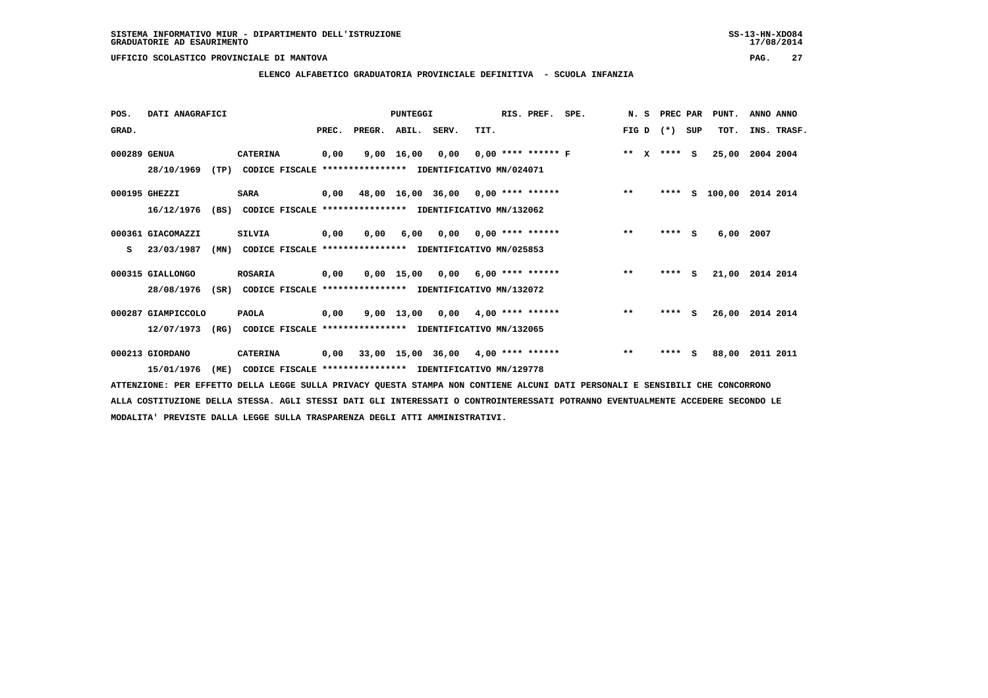**ELENCO ALFABETICO GRADUATORIA PROVINCIALE DEFINITIVA - SCUOLA INFANZIA**

| POS.         | DATI ANAGRAFICI    |      |                                                          |       |        | PUNTEGGI     |      |                                    | RIS. PREF. | SPE. | N. S                  | PREC PAR |     | PUNT.    | ANNO ANNO   |
|--------------|--------------------|------|----------------------------------------------------------|-------|--------|--------------|------|------------------------------------|------------|------|-----------------------|----------|-----|----------|-------------|
| GRAD.        |                    |      |                                                          | PREC. | PREGR. | ABIL. SERV.  |      | TIT.                               |            |      | FIG D                 | $(*)$    | SUP | TOT.     | INS. TRASF. |
| 000289 GENUA |                    |      | <b>CATERINA</b>                                          | 0,00  |        | 9,00 16,00   | 0,00 | $0.00$ **** ****** F               |            |      | $***$<br>$\mathbf{x}$ | $***$ S  |     | 25,00    | 2004 2004   |
|              | 28/10/1969         | (TP) | CODICE FISCALE **************** IDENTIFICATIVO MN/024071 |       |        |              |      |                                    |            |      |                       |          |     |          |             |
|              | 000195 GHEZZI      |      | SARA                                                     | 0,00  |        |              |      | 48,00 16,00 36,00 0,00 **** ****** |            |      | $**$                  | ****     |     | S 100,00 | 2014 2014   |
|              | 16/12/1976         | (BS) | CODICE FISCALE **************** IDENTIFICATIVO MN/132062 |       |        |              |      |                                    |            |      |                       |          |     |          |             |
|              | 000361 GIACOMAZZI  |      | <b>SILVIA</b>                                            | 0,00  | 0,00   | 6,00         | 0,00 | 0,00 **** ******                   |            |      | $* *$                 | ****     | - S | 6,00     | 2007        |
| s            | 23/03/1987         | (MN) | CODICE FISCALE **************** IDENTIFICATIVO MN/025853 |       |        |              |      |                                    |            |      |                       |          |     |          |             |
|              | 000315 GIALLONGO   |      | <b>ROSARIA</b>                                           | 0,00  |        |              |      | $0,00$ 15,00 0,00 6,00 **** ****** |            |      | $***$                 | $***$ S  |     | 21,00    | 2014 2014   |
|              | 28/08/1976         | (SR) | CODICE FISCALE **************** IDENTIFICATIVO MN/132072 |       |        |              |      |                                    |            |      |                       |          |     |          |             |
|              | 000287 GIAMPICCOLO |      | <b>PAOLA</b>                                             | 0,00  |        | $9,00$ 13,00 | 0,00 | $4,00$ **** ******                 |            |      | $**$                  | **** S   |     | 26,00    | 2014 2014   |
|              | 12/07/1973         | (RG) | CODICE FISCALE **************** IDENTIFICATIVO MN/132065 |       |        |              |      |                                    |            |      |                       |          |     |          |             |
|              | 000213 GIORDANO    |      | <b>CATERINA</b>                                          | 0,00  |        |              |      | 33,00 15,00 36,00 4,00 **** ****** |            |      | $***$                 | ****     | s   | 88,00    | 2011 2011   |
|              | 15/01/1976         | (ME) | CODICE FISCALE **************** IDENTIFICATIVO MN/129778 |       |        |              |      |                                    |            |      |                       |          |     |          |             |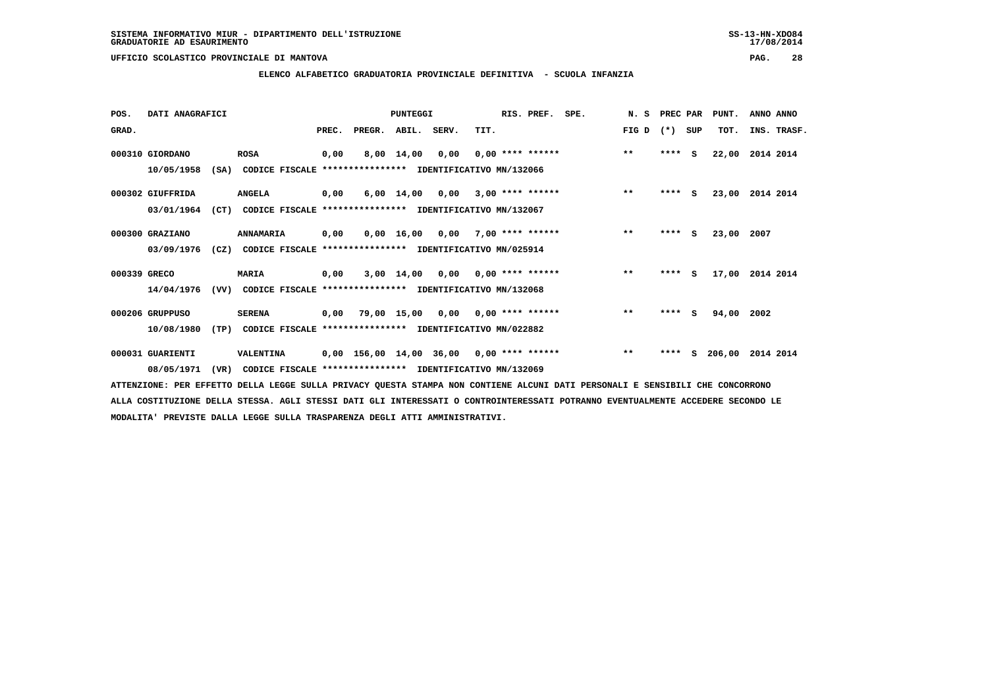# **ELENCO ALFABETICO GRADUATORIA PROVINCIALE DEFINITIVA - SCUOLA INFANZIA**

| POS.         | DATI ANAGRAFICI  |      |                                                          |       |                                            | PUNTEGGI           |                                    |      | RIS. PREF.         | SPE. | N.S   | PREC PAR |          | PUNT.  | ANNO ANNO   |
|--------------|------------------|------|----------------------------------------------------------|-------|--------------------------------------------|--------------------|------------------------------------|------|--------------------|------|-------|----------|----------|--------|-------------|
| GRAD.        |                  |      |                                                          | PREC. | PREGR.                                     | ABIL. SERV.        |                                    | TIT. |                    |      | FIG D | $(*)$    | SUP      | TOT.   | INS. TRASF. |
|              | 000310 GIORDANO  |      | <b>ROSA</b>                                              | 0,00  |                                            | 8,00 14,00         | 0,00                               |      | $0.00$ **** ****** |      | $***$ | ****     | <b>S</b> | 22,00  | 2014 2014   |
|              | 10/05/1958       | (SA) | CODICE FISCALE **************** IDENTIFICATIVO MN/132066 |       |                                            |                    |                                    |      |                    |      |       |          |          |        |             |
|              | 000302 GIUFFRIDA |      | <b>ANGELA</b>                                            | 0,00  |                                            |                    | 6,00 14,00 0,00                    |      | $3,00$ **** ****** |      | $***$ | $***$ S  |          | 23,00  | 2014 2014   |
|              | 03/01/1964       | (CT) | CODICE FISCALE **************** IDENTIFICATIVO MN/132067 |       |                                            |                    |                                    |      |                    |      |       |          |          |        |             |
|              | 000300 GRAZIANO  |      | ANNAMARIA                                                | 0,00  |                                            | $0,00 \quad 16,00$ | 0,00                               |      | $7,00$ **** ****** |      | $***$ | ****     | - S      | 23,00  | 2007        |
|              | 03/09/1976       | (CZ) | CODICE FISCALE **************** IDENTIFICATIVO MN/025914 |       |                                            |                    |                                    |      |                    |      |       |          |          |        |             |
| 000339 GRECO |                  |      | <b>MARIA</b>                                             | 0,00  |                                            |                    | $3,00$ 14,00 0,00 0,00 **** ****** |      |                    |      | $**$  | $***$ S  |          | 17,00  | 2014 2014   |
|              | 14/04/1976       | (VV) | CODICE FISCALE **************** IDENTIFICATIVO MN/132068 |       |                                            |                    |                                    |      |                    |      |       |          |          |        |             |
|              | 000206 GRUPPUSO  |      | <b>SERENA</b>                                            | 0,00  | 79,00 15,00                                |                    | 0,00                               |      | $0,00$ **** ****** |      | $***$ | ****     | - S      | 94,00  | 2002        |
|              | 10/08/1980       | (TP) | CODICE FISCALE **************** IDENTIFICATIVO MN/022882 |       |                                            |                    |                                    |      |                    |      |       |          |          |        |             |
|              | 000031 GUARIENTI |      | VALENTINA                                                |       | $0,00$ 156,00 14,00 36,00 0,00 **** ****** |                    |                                    |      |                    |      | $***$ | ****     | s        | 206,00 | 2014 2014   |
|              | 08/05/1971       | (VR) | CODICE FISCALE **************** IDENTIFICATIVO MN/132069 |       |                                            |                    |                                    |      |                    |      |       |          |          |        |             |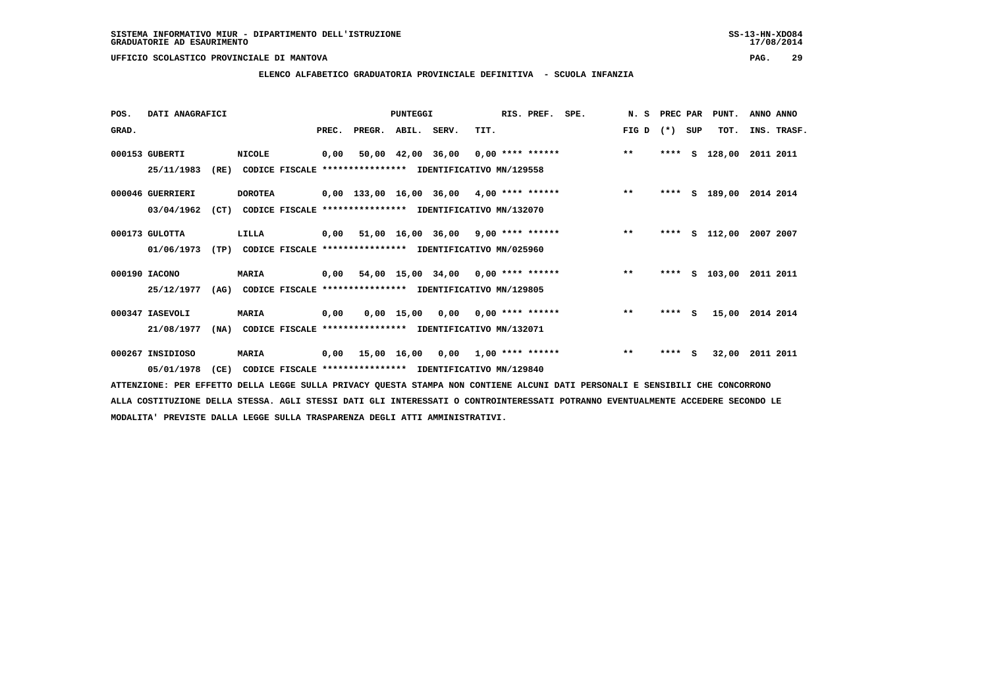**ELENCO ALFABETICO GRADUATORIA PROVINCIALE DEFINITIVA - SCUOLA INFANZIA**

| POS.  | DATI ANAGRAFICI  |      |                |       |                                                          | PUNTEGGI    |                                    |      | RIS. PREF. SPE. |                                           | N. S PREC PAR |        |     | PUNT.              | ANNO ANNO |             |
|-------|------------------|------|----------------|-------|----------------------------------------------------------|-------------|------------------------------------|------|-----------------|-------------------------------------------|---------------|--------|-----|--------------------|-----------|-------------|
| GRAD. |                  |      |                | PREC. | PREGR.                                                   | ABIL. SERV. |                                    | TIT. |                 |                                           | FIG D         | $(* )$ | SUP | TOT.               |           | INS. TRASF. |
|       | 000153 GUBERTI   |      | <b>NICOLE</b>  | 0.00  |                                                          |             |                                    |      |                 | 50,00 42,00 36,00 0,00 **** ******        | $***$         | ****   | S   | 128,00 2011 2011   |           |             |
|       | 25/11/1983       | (RE) |                |       | CODICE FISCALE **************** IDENTIFICATIVO MN/129558 |             |                                    |      |                 |                                           |               |        |     |                    |           |             |
|       | 000046 GUERRIERI |      | <b>DOROTEA</b> |       |                                                          |             |                                    |      |                 | 0,00 133,00 16,00 36,00 4,00 **** ******  | $***$         | ****   |     | S 189,00 2014 2014 |           |             |
|       | 03/04/1962       | (CT) |                |       | CODICE FISCALE **************** IDENTIFICATIVO MN/132070 |             |                                    |      |                 |                                           |               |        |     |                    |           |             |
|       | 000173 GULOTTA   |      | LILLA          |       | $0,00$ 51,00 16,00 36,00 9,00 **** ******                |             |                                    |      |                 |                                           | $***$         | ****   |     | S 112,00 2007 2007 |           |             |
|       | 01/06/1973       | (TP) |                |       | CODICE FISCALE **************** IDENTIFICATIVO MN/025960 |             |                                    |      |                 |                                           |               |        |     |                    |           |             |
|       | 000190 IACONO    |      | <b>MARIA</b>   |       |                                                          |             |                                    |      |                 | $0.00$ 54,00 15,00 34,00 0,00 **** ****** | $***$         | ****   |     | S 103,00           | 2011 2011 |             |
|       | 25/12/1977       | (AG) |                |       | CODICE FISCALE **************** IDENTIFICATIVO MN/129805 |             |                                    |      |                 |                                           |               |        |     |                    |           |             |
|       | 000347 IASEVOLI  |      | <b>MARIA</b>   | 0.00  |                                                          |             | $0.00$ 15.00 0.00 0.00 **** ****** |      |                 |                                           | $***$         | ****   | - S | 15,00 2014 2014    |           |             |
|       | 21/08/1977       | (NA) |                |       | CODICE FISCALE **************** IDENTIFICATIVO MN/132071 |             |                                    |      |                 |                                           |               |        |     |                    |           |             |
|       | 000267 INSIDIOSO |      | <b>MARIA</b>   | 0,00  | 15,00 16,00 0,00 1,00 **** ******                        |             |                                    |      |                 |                                           | $* *$         | ****   | s   | 32,00              | 2011 2011 |             |
|       | 05/01/1978       | (CE) |                |       | CODICE FISCALE **************** IDENTIFICATIVO MN/129840 |             |                                    |      |                 |                                           |               |        |     |                    |           |             |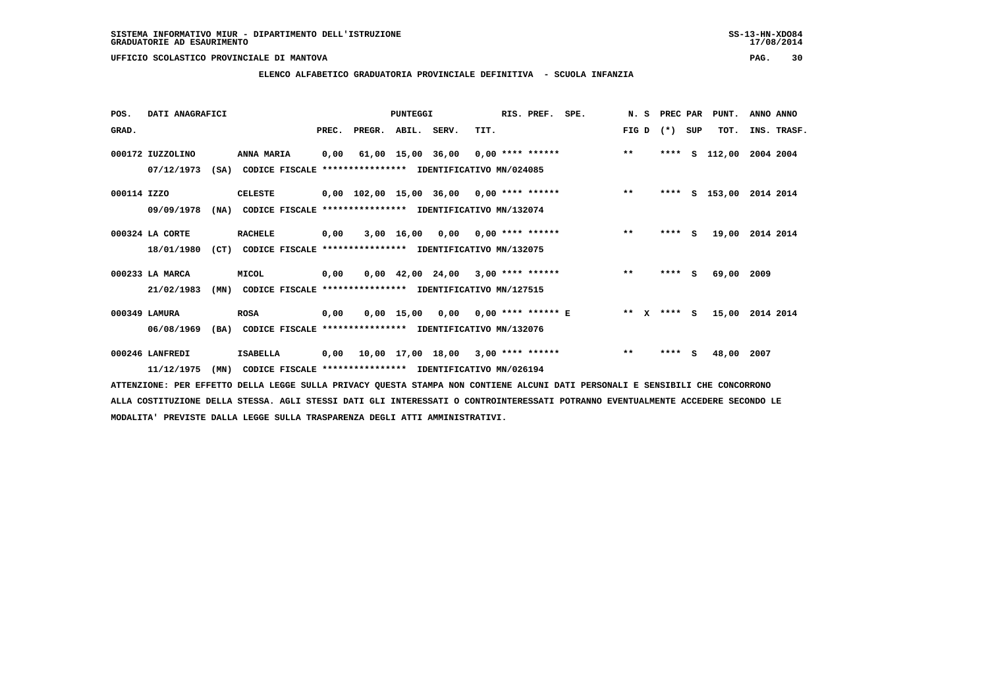# **ELENCO ALFABETICO GRADUATORIA PROVINCIALE DEFINITIVA - SCUOLA INFANZIA**

| POS.        | DATI ANAGRAFICI  |      |                                                          |       |                    | PUNTEGGI   |                                                               |      | RIS. PREF.                | SPE. | N.S     |       | PREC PAR | PUNT.      | ANNO ANNO   |
|-------------|------------------|------|----------------------------------------------------------|-------|--------------------|------------|---------------------------------------------------------------|------|---------------------------|------|---------|-------|----------|------------|-------------|
| GRAD.       |                  |      |                                                          | PREC. | PREGR. ABIL. SERV. |            |                                                               | TIT. |                           |      | FIG D   | $(*)$ | SUP      | TOT.       | INS. TRASF. |
|             | 000172 IUZZOLINO |      | ANNA MARIA                                               | 0,00  |                    |            | $61,00$ 15,00 36,00 0,00 **** ******                          |      |                           |      | $***$   | ****  | s        | 112,00     | 2004 2004   |
|             | 07/12/1973       | (SA) | CODICE FISCALE **************** IDENTIFICATIVO MN/024085 |       |                    |            |                                                               |      |                           |      |         |       |          |            |             |
| 000114 IZZO |                  |      | CELESTE                                                  |       |                    |            | $0,00$ 102,00 15,00 36,00 0,00 **** ******                    |      |                           |      | $***$   | ****  |          | S 153,00   | 2014 2014   |
|             | 09/09/1978       | (NA) | CODICE FISCALE **************** IDENTIFICATIVO MN/132074 |       |                    |            |                                                               |      |                           |      |         |       |          |            |             |
|             | 000324 LA CORTE  |      | <b>RACHELE</b>                                           | 0,00  |                    | 3,00 16,00 |                                                               |      | $0,00$ $0,00$ **** ****** |      | $***$   | ****  | S.       | 19,00      | 2014 2014   |
|             | 18/01/1980       | (CT) | CODICE FISCALE **************** IDENTIFICATIVO MN/132075 |       |                    |            |                                                               |      |                           |      |         |       |          |            |             |
|             | 000233 LA MARCA  |      | MICOL                                                    | 0,00  |                    |            | $0.00 \quad 42.00 \quad 24.00 \quad 3.00 \quad *** \quad ***$ |      |                           |      | $***$   | ****  | S.       | 69,00 2009 |             |
|             | 21/02/1983       | (MN) | CODICE FISCALE                                           |       |                    |            | **************** IDENTIFICATIVO MN/127515                     |      |                           |      |         |       |          |            |             |
|             | 000349 LAMURA    |      | <b>ROSA</b>                                              | 0,00  |                    |            | $0,00$ 15,00 0,00 0,00 **** ****** E                          |      |                           |      | $***$ X |       | $***$ S  | 15,00      | 2014 2014   |
|             | 06/08/1969       | (BA) | CODICE FISCALE **************** IDENTIFICATIVO MN/132076 |       |                    |            |                                                               |      |                           |      |         |       |          |            |             |
|             | 000246 LANFREDI  |      | <b>ISABELLA</b>                                          | 0,00  |                    |            | $10,00$ $17,00$ $18,00$ $3,00$ **** ******                    |      |                           |      | $***$   | ****  | <b>S</b> | 48,00      | 2007        |
|             | 11/12/1975       | (MN) | CODICE FISCALE **************** IDENTIFICATIVO MN/026194 |       |                    |            |                                                               |      |                           |      |         |       |          |            |             |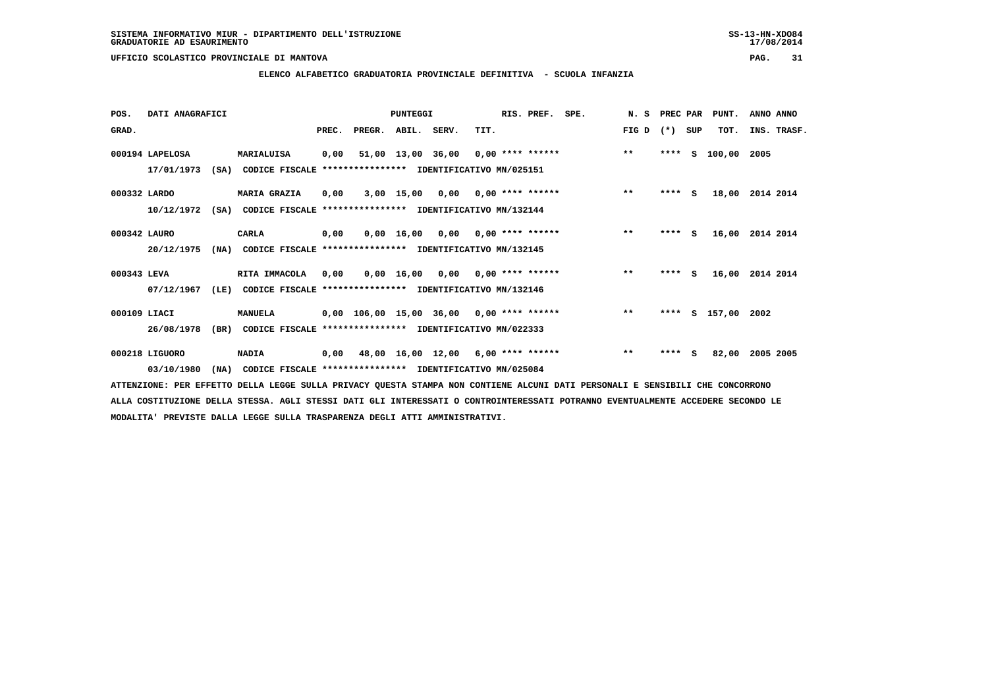### **ELENCO ALFABETICO GRADUATORIA PROVINCIALE DEFINITIVA - SCUOLA INFANZIA**

| POS.         | DATI ANAGRAFICI |      |                                                               |       |                    | PUNTEGGI |      | RIS. PREF. | SPE.                                            | N.S   | PREC PAR |     | PUNT.         | ANNO ANNO       |
|--------------|-----------------|------|---------------------------------------------------------------|-------|--------------------|----------|------|------------|-------------------------------------------------|-------|----------|-----|---------------|-----------------|
| GRAD.        |                 |      |                                                               | PREC. | PREGR. ABIL. SERV. |          | TIT. |            |                                                 | FIG D | $(* )$   | SUP | TOT.          | INS. TRASF.     |
|              | 000194 LAPELOSA |      | MARIALUISA                                                    | 0,00  |                    |          |      |            | 51,00 13,00 36,00 0,00 **** ****** *** ***      |       | ****     | S.  | 100,00 2005   |                 |
|              | 17/01/1973      |      | (SA) CODICE FISCALE **************** IDENTIFICATIVO MN/025151 |       |                    |          |      |            |                                                 |       |          |     |               |                 |
| 000332 LARDO |                 |      | <b>MARIA GRAZIA</b>                                           | 0,00  |                    |          |      |            | 3,00 15,00 0,00 0,00 **** ******                | $* *$ | $***$ S  |     |               | 18,00 2014 2014 |
|              | 10/12/1972      |      | (SA) CODICE FISCALE **************** IDENTIFICATIVO MN/132144 |       |                    |          |      |            |                                                 |       |          |     |               |                 |
| 000342 LAURO |                 |      | CARLA                                                         | 0,00  |                    |          |      |            | $0,00$ 16,00 0,00 0,00 **** ******              | $***$ | $***5$   |     | 16,00         | 2014 2014       |
|              | 20/12/1975      |      | (NA) CODICE FISCALE **************** IDENTIFICATIVO MN/132145 |       |                    |          |      |            |                                                 |       |          |     |               |                 |
| 000343 LEVA  |                 |      | RITA IMMACOLA                                                 |       |                    |          |      |            | 0,00  0,00  16,00  0,00  0,00  ****  ******     | $***$ | $***$ S  |     |               | 16,00 2014 2014 |
|              | 07/12/1967      | (LE) | CODICE FISCALE **************** IDENTIFICATIVO MN/132146      |       |                    |          |      |            |                                                 |       |          |     |               |                 |
| 000109 LIACI |                 |      | <b>MANUELA</b>                                                |       |                    |          |      |            | 0,00 106,00 15,00 36,00 0,00 **** ****** *** ** |       | ****     |     | S 157,00 2002 |                 |
|              | 26/08/1978      |      | (BR) CODICE FISCALE **************** IDENTIFICATIVO MN/022333 |       |                    |          |      |            |                                                 |       |          |     |               |                 |
|              | 000218 LIGUORO  |      | <b>NADIA</b>                                                  |       |                    |          |      |            | 0,00 48,00 16,00 12,00 6,00 **** ******         | $***$ | $***$ S  |     | 82,00         | 2005 2005       |
|              | 03/10/1980      | (NA) | CODICE FISCALE **************** IDENTIFICATIVO MN/025084      |       |                    |          |      |            |                                                 |       |          |     |               |                 |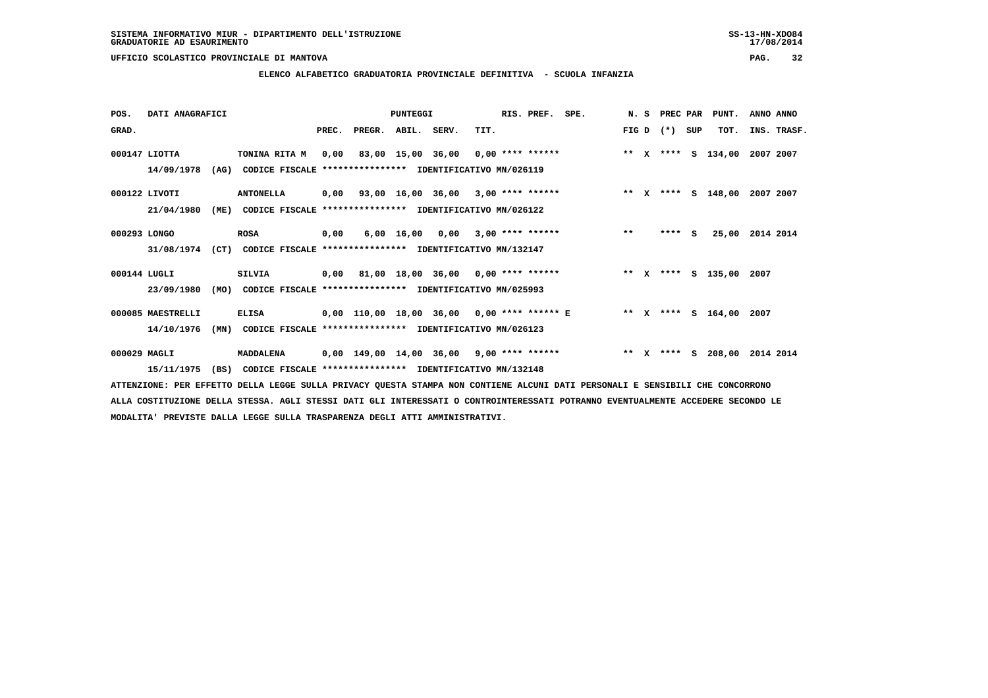# **ELENCO ALFABETICO GRADUATORIA PROVINCIALE DEFINITIVA - SCUOLA INFANZIA**

| POS.         | DATI ANAGRAFICI   |      |                                                               |       |        | <b>PUNTEGGI</b> |                                                   |      | RIS. PREF. SPE. |                                                               |  | N. S PREC PAR |     | PUNT.              | ANNO ANNO |             |
|--------------|-------------------|------|---------------------------------------------------------------|-------|--------|-----------------|---------------------------------------------------|------|-----------------|---------------------------------------------------------------|--|---------------|-----|--------------------|-----------|-------------|
| GRAD.        |                   |      |                                                               | PREC. | PREGR. | ABIL. SERV.     |                                                   | TIT. |                 |                                                               |  | FIG D $(*)$   | SUP | TOT.               |           | INS. TRASF. |
|              | $000147$ LIOTTA   |      | TONINA RITA M                                                 |       |        |                 |                                                   |      |                 | 0,00 83,00 15,00 36,00 0,00 **** ******                       |  |               |     | ** X **** S 134,00 | 2007 2007 |             |
|              | 14/09/1978        |      | (AG) CODICE FISCALE **************** IDENTIFICATIVO MN/026119 |       |        |                 |                                                   |      |                 |                                                               |  |               |     |                    |           |             |
|              | 000122 LIVOTI     |      | <b>ANTONELLA</b>                                              |       |        |                 | $0,00$ $93,00$ $16,00$ $36,00$ $3,00$ **** ****** |      |                 | ** X **** S 148,00 2007 2007                                  |  |               |     |                    |           |             |
|              | 21/04/1980        | (ME) | CODICE FISCALE **************** IDENTIFICATIVO MN/026122      |       |        |                 |                                                   |      |                 |                                                               |  |               |     |                    |           |             |
| 000293 LONGO |                   |      | <b>ROSA</b>                                                   | 0,00  |        |                 | $6,00$ 16,00 0,00 3,00 **** ******                |      |                 | $\star\star$                                                  |  | $***$ S       |     | 25,00 2014 2014    |           |             |
|              | 31/08/1974        |      | (CT) CODICE FISCALE **************** IDENTIFICATIVO MN/132147 |       |        |                 |                                                   |      |                 |                                                               |  |               |     |                    |           |             |
| 000144 LUGLI |                   |      | <b>SILVIA</b>                                                 |       |        |                 | 0,00 81,00 18,00 36,00 0,00 **** ******           |      |                 | ** x **** s 135,00 2007                                       |  |               |     |                    |           |             |
|              | 23/09/1980        | (MO) | CODICE FISCALE **************** IDENTIFICATIVO MN/025993      |       |        |                 |                                                   |      |                 |                                                               |  |               |     |                    |           |             |
|              | 000085 MAESTRELLI |      | <b>ELISA</b>                                                  |       |        |                 |                                                   |      |                 | 0,00 110,00 18,00 36,00 0,00 **** ****** E ** X **** S 164,00 |  |               |     |                    | 2007      |             |
|              | 14/10/1976        | (MN) | CODICE FISCALE **************** IDENTIFICATIVO MN/026123      |       |        |                 |                                                   |      |                 |                                                               |  |               |     |                    |           |             |
| 000029 MAGLI |                   |      | MADDALENA                                                     |       |        |                 | 0,00 149,00 14,00 36,00 9,00 **** ******          |      |                 | ** x **** S 208,00                                            |  |               |     |                    | 2014 2014 |             |
|              | 15/11/1975        | (BS) | CODICE FISCALE **************** IDENTIFICATIVO MN/132148      |       |        |                 |                                                   |      |                 |                                                               |  |               |     |                    |           |             |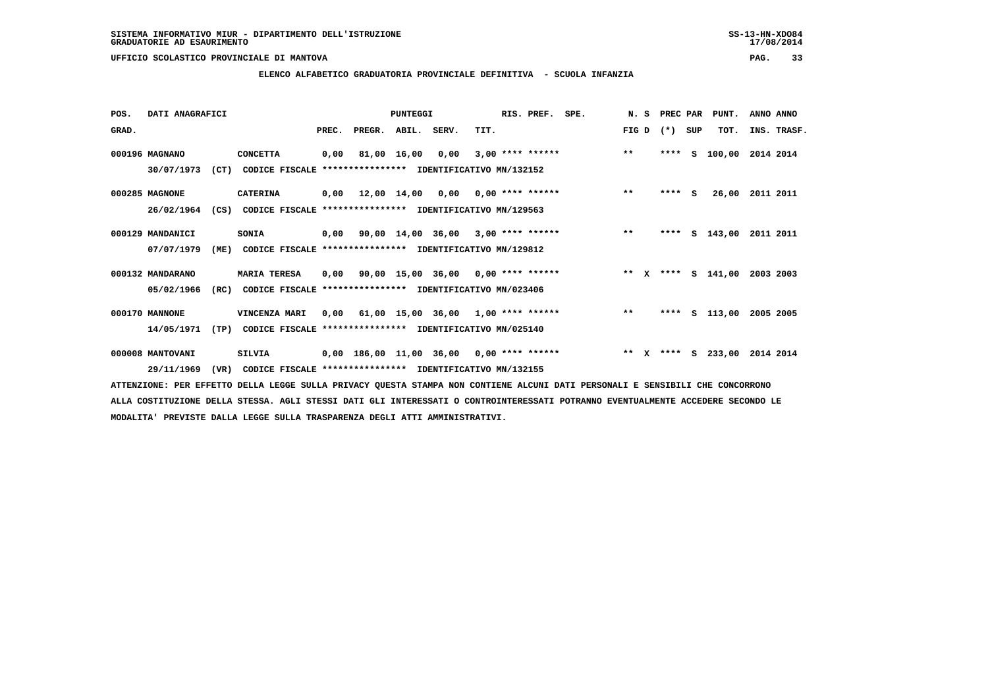# **ELENCO ALFABETICO GRADUATORIA PROVINCIALE DEFINITIVA - SCUOLA INFANZIA**

| POS.  | DATI ANAGRAFICI  |      |                                                          |       |        | PUNTEGGI    |                                                  |      | RIS. PREF.         | SPE.               | N.S   |       | PREC PAR | PUNT.              | ANNO ANNO   |
|-------|------------------|------|----------------------------------------------------------|-------|--------|-------------|--------------------------------------------------|------|--------------------|--------------------|-------|-------|----------|--------------------|-------------|
| GRAD. |                  |      |                                                          | PREC. | PREGR. | ABIL. SERV. |                                                  | TIT. |                    |                    | FIG D | $(*)$ | SUP      | TOT.               | INS. TRASF. |
|       | 000196 MAGNANO   |      | <b>CONCETTA</b>                                          | 0,00  |        | 81,00 16,00 | 0,00                                             |      | $3,00$ **** ****** |                    | $***$ | ****  | s        | 100,00             | 2014 2014   |
|       | 30/07/1973       | (CT) | CODICE FISCALE **************** IDENTIFICATIVO MN/132152 |       |        |             |                                                  |      |                    |                    |       |       |          |                    |             |
|       | 000285 MAGNONE   |      | <b>CATERINA</b>                                          |       |        |             | $0,00$ 12,00 14,00 0,00 0,00 **** ******         |      |                    |                    | $***$ |       | $***$ S  | 26,00              | 2011 2011   |
|       | 26/02/1964       | (CS) | CODICE FISCALE **************** IDENTIFICATIVO MN/129563 |       |        |             |                                                  |      |                    |                    |       |       |          |                    |             |
|       | 000129 MANDANICI |      | SONIA                                                    | 0,00  |        |             | $90,00$ 14,00 36,00 3,00 **** ******             |      |                    |                    | $***$ | ****  | s        | 143,00             | 2011 2011   |
|       | 07/07/1979       | (ME) | CODICE FISCALE **************** IDENTIFICATIVO MN/129812 |       |        |             |                                                  |      |                    |                    |       |       |          |                    |             |
|       | 000132 MANDARANO |      | <b>MARIA TERESA</b>                                      | 0,00  |        |             | 90,00 15,00 36,00 0,00 **** ******               |      |                    | ** x **** s 141,00 |       |       |          |                    | 2003 2003   |
|       | 05/02/1966       | (RC) | CODICE FISCALE                                           |       |        |             | **************** IDENTIFICATIVO MN/023406        |      |                    |                    |       |       |          |                    |             |
|       | 000170 MANNONE   |      | VINCENZA MARI                                            | 0,00  |        |             | $61,00$ $15,00$ $36,00$ $1,00$ $***$ **** ****** |      |                    |                    | $* *$ | ****  | s        | 113,00             | 2005 2005   |
|       | 14/05/1971       | (TP) | CODICE FISCALE **************** IDENTIFICATIVO MN/025140 |       |        |             |                                                  |      |                    |                    |       |       |          |                    |             |
|       | 000008 MANTOVANI |      | SILVIA                                                   |       |        |             | 0,00 186,00 11,00 36,00 0,00 **** ******         |      |                    |                    |       |       |          | ** x **** s 233,00 | 2014 2014   |
|       | 29/11/1969       | (VR) | CODICE FISCALE **************** IDENTIFICATIVO MN/132155 |       |        |             |                                                  |      |                    |                    |       |       |          |                    |             |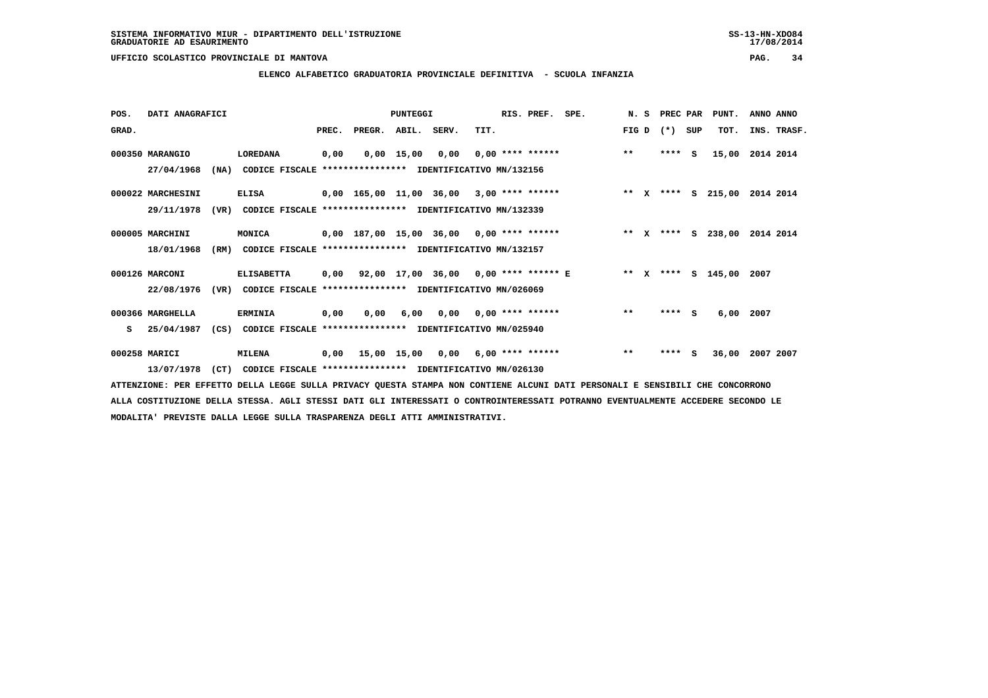**ELENCO ALFABETICO GRADUATORIA PROVINCIALE DEFINITIVA - SCUOLA INFANZIA**

| POS.  | DATI ANAGRAFICI   |      |                                                               |       |                                             | PUNTEGGI     |      |      | RIS. PREF. SPE.    |                    |       | N. S         | PREC PAR |     | PUNT.              | ANNO ANNO               |
|-------|-------------------|------|---------------------------------------------------------------|-------|---------------------------------------------|--------------|------|------|--------------------|--------------------|-------|--------------|----------|-----|--------------------|-------------------------|
| GRAD. |                   |      |                                                               | PREC. | PREGR. ABIL. SERV.                          |              |      | TIT. |                    |                    | FIG D |              | $(* )$   | SUP | TOT.               | INS. TRASF.             |
|       | 000350 MARANGIO   |      | LOREDANA                                                      | 0,00  |                                             | $0,00$ 15,00 | 0,00 |      | $0,00$ **** ****** |                    | $***$ |              | ****     | S.  | 15,00              | 2014 2014               |
|       | 27/04/1968        | (NA) | CODICE FISCALE **************** IDENTIFICATIVO MN/132156      |       |                                             |              |      |      |                    |                    |       |              |          |     |                    |                         |
|       | 000022 MARCHESINI |      | <b>ELISA</b>                                                  |       | $0,00$ 165,00 11,00 36,00 3,00 **** ******  |              |      |      |                    |                    |       |              |          |     | ** X **** S 215,00 | 2014 2014               |
|       | 29/11/1978        | (VR) | CODICE FISCALE **************** IDENTIFICATIVO MN/132339      |       |                                             |              |      |      |                    |                    |       |              |          |     |                    |                         |
|       | 000005 MARCHINI   |      | MONICA                                                        |       | 0,00 187,00 15,00 36,00 0,00 **** ******    |              |      |      |                    |                    | $* *$ | $\mathbf{x}$ |          |     |                    | **** S 238,00 2014 2014 |
|       | 18/01/1968        | (RM) | CODICE FISCALE **************** IDENTIFICATIVO MN/132157      |       |                                             |              |      |      |                    |                    |       |              |          |     |                    |                         |
|       | 000126 MARCONI    |      | <b>ELISABETTA</b>                                             |       | $0,00$ 92,00 17,00 36,00 0,00 **** ****** E |              |      |      |                    | ** x **** s 145,00 |       |              |          |     |                    | 2007                    |
|       | 22/08/1976        | (VR) | CODICE FISCALE **************** IDENTIFICATIVO MN/026069      |       |                                             |              |      |      |                    |                    |       |              |          |     |                    |                         |
|       | 000366 MARGHELLA  |      | <b>ERMINIA</b>                                                | 0,00  | 0,00                                        | 6,00         | 0,00 |      | $0,00$ **** ****** |                    | $* *$ |              | ****     | - S | 6,00               | 2007                    |
| s     | 25/04/1987        |      | (CS) CODICE FISCALE **************** IDENTIFICATIVO MN/025940 |       |                                             |              |      |      |                    |                    |       |              |          |     |                    |                         |
|       | 000258 MARICI     |      | <b>MILENA</b>                                                 |       | $0,00$ 15,00 15,00 0,00 6,00 **** ******    |              |      |      |                    |                    | $***$ |              | $***$ S  |     | 36,00              | 2007 2007               |
|       | 13/07/1978        | (CT) | CODICE FISCALE **************** IDENTIFICATIVO MN/026130      |       |                                             |              |      |      |                    |                    |       |              |          |     |                    |                         |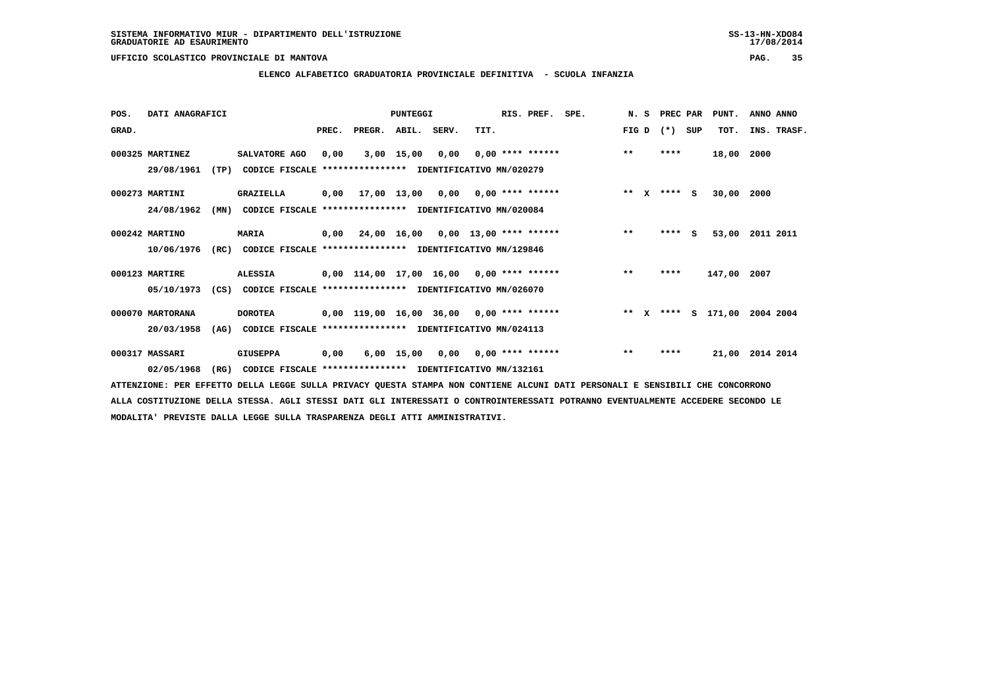**ELENCO ALFABETICO GRADUATORIA PROVINCIALE DEFINITIVA - SCUOLA INFANZIA**

| POS.  | DATI ANAGRAFICI  |      |                                                          |       |                                            | <b>PUNTEGGI</b>                    |      |                          | RIS. PREF. SPE.    |       | N. S         | PREC PAR    |     | PUNT.       | ANNO ANNO |             |
|-------|------------------|------|----------------------------------------------------------|-------|--------------------------------------------|------------------------------------|------|--------------------------|--------------------|-------|--------------|-------------|-----|-------------|-----------|-------------|
| GRAD. |                  |      |                                                          | PREC. | PREGR.                                     | ABIL. SERV.                        |      | TIT.                     |                    | FIG D |              | $(*)$       | SUP | TOT.        |           | INS. TRASF. |
|       | 000325 MARTINEZ  |      | SALVATORE AGO                                            | 0,00  |                                            | $3,00$ 15,00                       | 0,00 |                          | $0.00$ **** ****** | $***$ |              | ****        |     | 18,00       | 2000      |             |
|       | 29/08/1961       | (TP) | CODICE FISCALE **************** IDENTIFICATIVO MN/020279 |       |                                            |                                    |      |                          |                    |       |              |             |     |             |           |             |
|       | 000273 MARTINI   |      | <b>GRAZIELLA</b>                                         | 0,00  | 17,00 13,00 0,00 0,00 **** ******          |                                    |      |                          |                    |       |              | ** x **** S |     | 30,00 2000  |           |             |
|       | 24/08/1962       | (MN) | CODICE FISCALE                                           |       | **************** IDENTIFICATIVO MN/020084  |                                    |      |                          |                    |       |              |             |     |             |           |             |
|       | 000242 MARTINO   |      | <b>MARIA</b>                                             | 0,00  | 24,00 16,00                                |                                    |      | $0,00$ 13,00 **** ****** |                    | $***$ |              | ****        | s   | 53,00       | 2011 2011 |             |
|       | 10/06/1976       | (RC) | CODICE FISCALE **************** IDENTIFICATIVO MN/129846 |       |                                            |                                    |      |                          |                    |       |              |             |     |             |           |             |
|       | 000123 MARTIRE   |      | <b>ALESSIA</b>                                           |       | $0,00$ 114,00 17,00 16,00 0,00 **** ****** |                                    |      |                          |                    | $***$ |              | ****        |     | 147,00 2007 |           |             |
|       | 05/10/1973       | (CS) | CODICE FISCALE **************** IDENTIFICATIVO MN/026070 |       |                                            |                                    |      |                          |                    |       |              |             |     |             |           |             |
|       | 000070 MARTORANA |      | <b>DOROTEA</b>                                           |       | $0,00$ 119,00 16,00 36,00 0,00 **** ****** |                                    |      |                          |                    | $* *$ | $\mathbf{x}$ | ****        |     | s 171,00    | 2004 2004 |             |
|       | 20/03/1958       | (AG) | CODICE FISCALE **************** IDENTIFICATIVO MN/024113 |       |                                            |                                    |      |                          |                    |       |              |             |     |             |           |             |
|       | 000317 MASSARI   |      | <b>GIUSEPPA</b>                                          | 0,00  |                                            | $6,00$ 15,00 0,00 0,00 **** ****** |      |                          |                    | $***$ |              | ****        |     | 21,00       | 2014 2014 |             |
|       | 02/05/1968       | (RG) | CODICE FISCALE **************** IDENTIFICATIVO MN/132161 |       |                                            |                                    |      |                          |                    |       |              |             |     |             |           |             |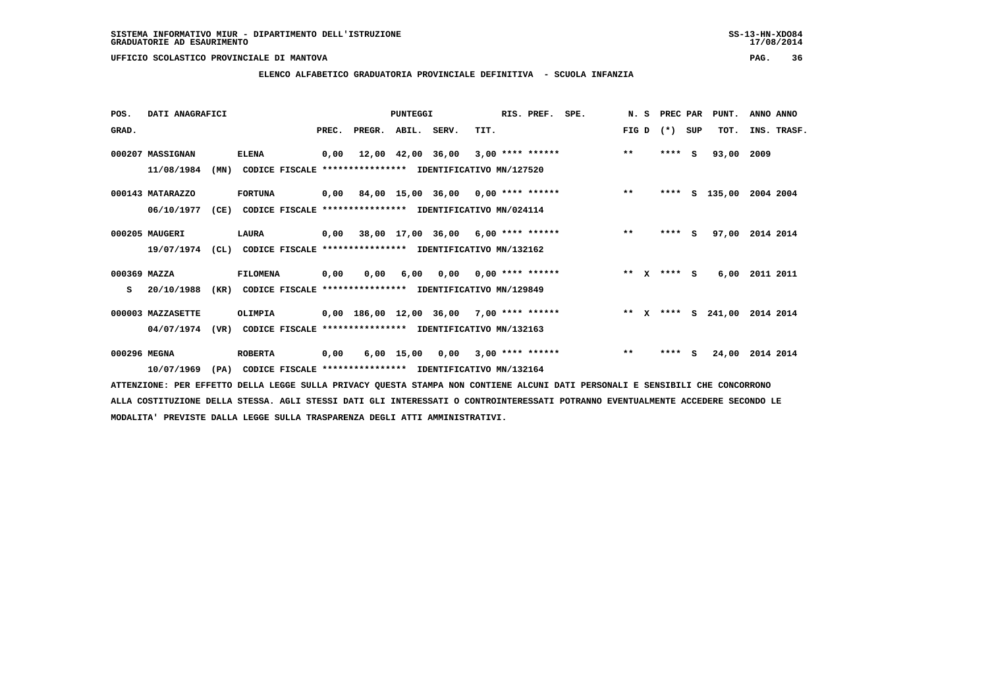**ELENCO ALFABETICO GRADUATORIA PROVINCIALE DEFINITIVA - SCUOLA INFANZIA**

| POS.         | DATI ANAGRAFICI   |      |                                                               |       |                                           | PUNTEGGI          |                                        |      | RIS. PREF. SPE.    |       | N. S | PREC PAR      |     | PUNT.              | ANNO ANNO       |
|--------------|-------------------|------|---------------------------------------------------------------|-------|-------------------------------------------|-------------------|----------------------------------------|------|--------------------|-------|------|---------------|-----|--------------------|-----------------|
| GRAD.        |                   |      |                                                               | PREC. | PREGR. ABIL. SERV.                        |                   |                                        | TIT. |                    | FIG D |      | $(* )$        | SUP | TOT.               | INS. TRASF.     |
|              | 000207 MASSIGNAN  |      | <b>ELENA</b>                                                  | 0,00  |                                           | 12,00 42,00 36,00 |                                        |      | $3,00$ **** ****** | $***$ |      | ****          | s   | 93,00              | 2009            |
|              | 11/08/1984        | (MN) | CODICE FISCALE **************** IDENTIFICATIVO MN/127520      |       |                                           |                   |                                        |      |                    |       |      |               |     |                    |                 |
|              | 000143 MATARAZZO  |      | <b>FORTUNA</b>                                                |       | $0,00$ 84,00 15,00 36,00 0,00 **** ****** |                   |                                        |      |                    | $* *$ |      | ****          |     | S 135,00           | 2004 2004       |
|              | 06/10/1977        | (CE) | CODICE FISCALE **************** IDENTIFICATIVO MN/024114      |       |                                           |                   |                                        |      |                    |       |      |               |     |                    |                 |
|              | 000205 MAUGERI    |      | LAURA                                                         |       | $0,00$ 38,00 17,00 36,00 6,00 **** ****** |                   |                                        |      |                    | $***$ |      | **** S        |     |                    | 97,00 2014 2014 |
|              | 19/07/1974        |      | (CL) CODICE FISCALE **************** IDENTIFICATIVO MN/132162 |       |                                           |                   |                                        |      |                    |       |      |               |     |                    |                 |
| 000369 MAZZA |                   |      | <b>FILOMENA</b>                                               | 0,00  | 0,00                                      |                   | $6,00$ $0,00$ $0,00$ $***$ **** ****** |      |                    |       |      | ** $X$ **** S |     | 6,00               | 2011 2011       |
| s            | 20/10/1988        | (KR) | CODICE FISCALE **************** IDENTIFICATIVO MN/129849      |       |                                           |                   |                                        |      |                    |       |      |               |     |                    |                 |
|              | 000003 MAZZASETTE |      | OLIMPIA                                                       |       | 0,00 186,00 12,00 36,00 7,00 **** ******  |                   |                                        |      |                    |       |      |               |     | ** X **** S 241,00 | 2014 2014       |
|              | 04/07/1974        |      | (VR) CODICE FISCALE **************** IDENTIFICATIVO MN/132163 |       |                                           |                   |                                        |      |                    |       |      |               |     |                    |                 |
| 000296 MEGNA |                   |      | <b>ROBERTA</b>                                                | 0,00  |                                           |                   | $6,00$ 15,00 0,00 3,00 **** ******     |      |                    | $***$ |      | ****          | - S | 24,00              | 2014 2014       |
|              | 10/07/1969        | (PA) | CODICE FISCALE **************** IDENTIFICATIVO MN/132164      |       |                                           |                   |                                        |      |                    |       |      |               |     |                    |                 |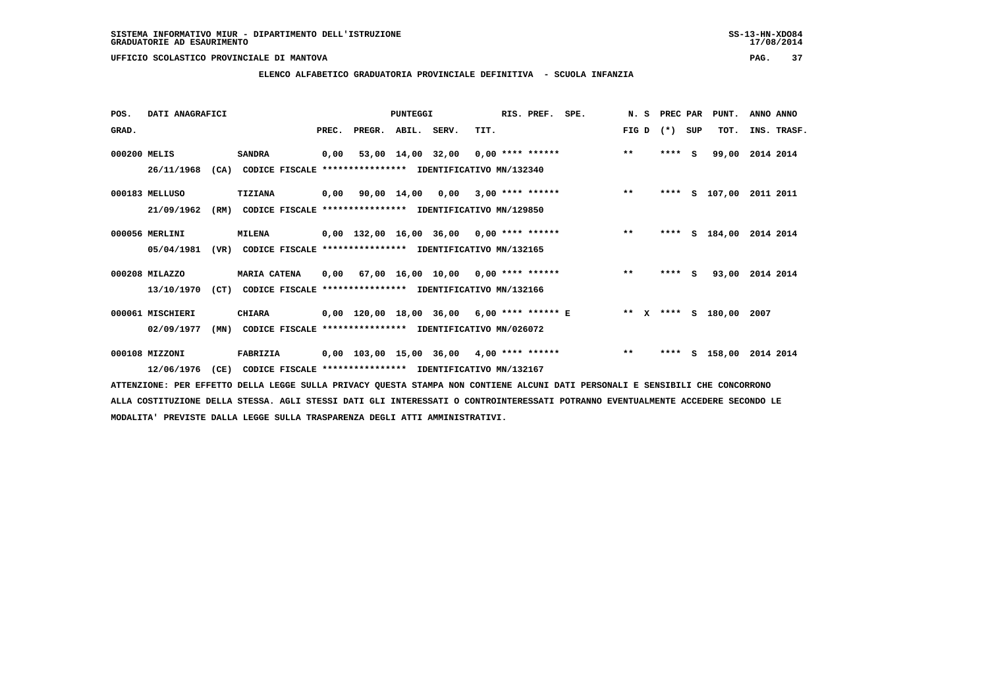### **ELENCO ALFABETICO GRADUATORIA PROVINCIALE DEFINITIVA - SCUOLA INFANZIA**

| POS.         | DATI ANAGRAFICI  |      |                                                          |       |                    | PUNTEGGI |                                            |      | RIS. PREF. | SPE.                                                            | N.S   | PREC PAR |     | PUNT.           | ANNO ANNO |             |
|--------------|------------------|------|----------------------------------------------------------|-------|--------------------|----------|--------------------------------------------|------|------------|-----------------------------------------------------------------|-------|----------|-----|-----------------|-----------|-------------|
| GRAD.        |                  |      |                                                          | PREC. | PREGR. ABIL. SERV. |          |                                            | TIT. |            |                                                                 | FIG D | $(* )$   | SUP | TOT.            |           | INS. TRASF. |
| 000200 MELIS |                  |      | <b>SANDRA</b>                                            | 0,00  |                    |          | 53,00 14,00 32,00 0,00 **** ******         |      |            |                                                                 | $**$  | $***5$   |     | 99,00           | 2014 2014 |             |
|              | 26/11/1968       | (CA) | CODICE FISCALE **************** IDENTIFICATIVO MN/132340 |       |                    |          |                                            |      |            |                                                                 |       |          |     |                 |           |             |
|              | 000183 MELLUSO   |      | TIZIANA                                                  |       |                    |          |                                            |      |            | $0,00$ 90,00 14,00 0,00 3,00 **** ******                        | $***$ |          |     | **** S 107,00   | 2011 2011 |             |
|              | 21/09/1962       | (RM) | CODICE FISCALE **************** IDENTIFICATIVO MN/129850 |       |                    |          |                                            |      |            |                                                                 |       |          |     |                 |           |             |
|              | 000056 MERLINI   |      | <b>MILENA</b>                                            |       |                    |          | $0,00$ 132,00 16,00 36,00 0,00 **** ****** |      |            | $\star \star$                                                   |       | ****     |     | s 184,00        | 2014 2014 |             |
|              | 05/04/1981       | (VR) | CODICE FISCALE **************** IDENTIFICATIVO MN/132165 |       |                    |          |                                            |      |            |                                                                 |       |          |     |                 |           |             |
|              | 000208 MILAZZO   |      | <b>MARIA CATENA</b>                                      |       |                    |          | $0,00$ 67,00 16,00 10,00 0,00 **** ******  |      |            |                                                                 | $* *$ | $***$ S  |     | 93,00 2014 2014 |           |             |
|              | 13/10/1970       | (CT) | CODICE FISCALE **************** IDENTIFICATIVO MN/132166 |       |                    |          |                                            |      |            |                                                                 |       |          |     |                 |           |             |
|              | 000061 MISCHIERI |      | <b>CHIARA</b>                                            |       |                    |          |                                            |      |            | $0.00$ 120.00 18.00 36.00 6.00 **** ****** E ** X **** S 180.00 |       |          |     |                 | 2007      |             |
|              | 02/09/1977       | (MN) | CODICE FISCALE **************** IDENTIFICATIVO MN/026072 |       |                    |          |                                            |      |            |                                                                 |       |          |     |                 |           |             |
|              | 000108 MIZZONI   |      | FABRIZIA                                                 |       |                    |          | 0,00 103,00 15,00 36,00 4,00 **** ******   |      |            |                                                                 | $***$ | ****     |     | s 158,00        | 2014 2014 |             |
|              | 12/06/1976       | (CE) | CODICE FISCALE **************** IDENTIFICATIVO MN/132167 |       |                    |          |                                            |      |            |                                                                 |       |          |     |                 |           |             |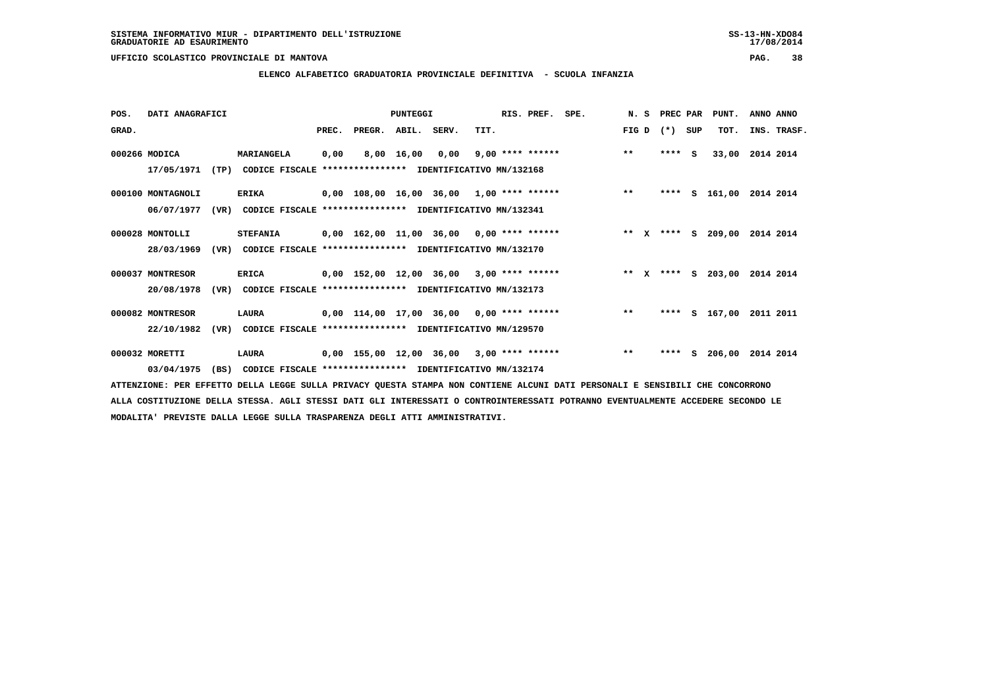**ELENCO ALFABETICO GRADUATORIA PROVINCIALE DEFINITIVA - SCUOLA INFANZIA**

| POS.  | DATI ANAGRAFICI   |      |                                                               |       |                                            | <b>PUNTEGGI</b> |      |      | RIS. PREF. SPE.    |                                            |       | N. S PREC PAR |     | PUNT.    | ANNO ANNO |             |
|-------|-------------------|------|---------------------------------------------------------------|-------|--------------------------------------------|-----------------|------|------|--------------------|--------------------------------------------|-------|---------------|-----|----------|-----------|-------------|
| GRAD. |                   |      |                                                               | PREC. | PREGR. ABIL. SERV.                         |                 |      | TIT. |                    |                                            | FIG D | $(* )$        | SUP | TOT.     |           | INS. TRASF. |
|       | 000266 MODICA     |      | MARIANGELA                                                    | 0,00  |                                            | 8,00 16,00      | 0,00 |      | $9,00$ **** ****** |                                            | $***$ | ****          | - S | 33,00    | 2014 2014 |             |
|       | 17/05/1971        |      | (TP) CODICE FISCALE **************** IDENTIFICATIVO MN/132168 |       |                                            |                 |      |      |                    |                                            |       |               |     |          |           |             |
|       | 000100 MONTAGNOLI |      | <b>ERIKA</b>                                                  |       | $0,00$ 108,00 16,00 36,00 1,00 **** ****** |                 |      |      |                    |                                            | $***$ | ****          |     | S 161,00 | 2014 2014 |             |
|       | 06/07/1977        | (VR) | CODICE FISCALE **************** IDENTIFICATIVO MN/132341      |       |                                            |                 |      |      |                    |                                            |       |               |     |          |           |             |
|       | 000028 MONTOLLI   |      | <b>STEFANIA</b>                                               |       | 0,00 162,00 11,00 36,00 0,00 **** ******   |                 |      |      |                    | ** X **** S 209,00 2014 2014               |       |               |     |          |           |             |
|       | 28/03/1969        |      | (VR) CODICE FISCALE **************** IDENTIFICATIVO MN/132170 |       |                                            |                 |      |      |                    |                                            |       |               |     |          |           |             |
|       | 000037 MONTRESOR  |      | <b>ERICA</b>                                                  |       | $0,00$ 152,00 12,00 36,00 3,00 **** ****** |                 |      |      |                    | ** x **** s 203,00                         |       |               |     |          | 2014 2014 |             |
|       | 20/08/1978        | (VR) | CODICE FISCALE **************** IDENTIFICATIVO MN/132173      |       |                                            |                 |      |      |                    |                                            |       |               |     |          |           |             |
|       | 000082 MONTRESOR  |      | LAURA                                                         |       | 0,00 114,00 17,00 36,00 0,00 **** ******   |                 |      |      |                    |                                            | $***$ | ****          |     | S 167,00 | 2011 2011 |             |
|       | 22/10/1982        |      | (VR) CODICE FISCALE **************** IDENTIFICATIVO MN/129570 |       |                                            |                 |      |      |                    |                                            |       |               |     |          |           |             |
|       | 000032 MORETTI    |      | LAURA                                                         |       |                                            |                 |      |      |                    | $0,00$ 155,00 12,00 36,00 3,00 **** ****** | $* *$ | ****          |     | S 206,00 | 2014 2014 |             |
|       | 03/04/1975        | (BS) | CODICE FISCALE **************** IDENTIFICATIVO MN/132174      |       |                                            |                 |      |      |                    |                                            |       |               |     |          |           |             |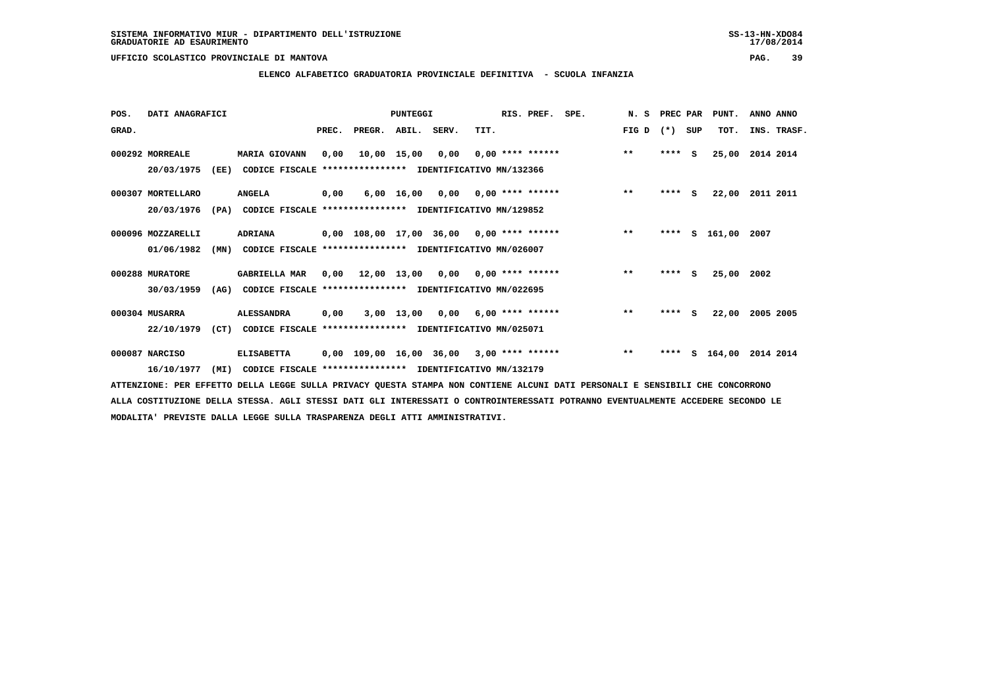# **ELENCO ALFABETICO GRADUATORIA PROVINCIALE DEFINITIVA - SCUOLA INFANZIA**

|            |                                                                                                                  |                      |                              |                     |                       |                                       |  | SPE.                                                                                                                                                                                                                                                                                                                                                                | N.S                                                                                                                                                                                                                         |       |     | PUNT.                                                 | ANNO ANNO                                      |
|------------|------------------------------------------------------------------------------------------------------------------|----------------------|------------------------------|---------------------|-----------------------|---------------------------------------|--|---------------------------------------------------------------------------------------------------------------------------------------------------------------------------------------------------------------------------------------------------------------------------------------------------------------------------------------------------------------------|-----------------------------------------------------------------------------------------------------------------------------------------------------------------------------------------------------------------------------|-------|-----|-------------------------------------------------------|------------------------------------------------|
|            |                                                                                                                  |                      | PREC.                        |                     |                       | TIT.                                  |  |                                                                                                                                                                                                                                                                                                                                                                     | FIG D                                                                                                                                                                                                                       | $(*)$ | SUP | тот.                                                  | INS. TRASF.                                    |
|            |                                                                                                                  | <b>MARIA GIOVANN</b> | 0.00                         |                     | 0,00                  |                                       |  |                                                                                                                                                                                                                                                                                                                                                                     | $***$                                                                                                                                                                                                                       |       |     | 25,00                                                 | 2014 2014                                      |
| 20/03/1975 |                                                                                                                  |                      |                              |                     |                       |                                       |  |                                                                                                                                                                                                                                                                                                                                                                     |                                                                                                                                                                                                                             |       |     |                                                       |                                                |
|            |                                                                                                                  | <b>ANGELA</b>        | 0,00                         |                     |                       |                                       |  |                                                                                                                                                                                                                                                                                                                                                                     | $***$                                                                                                                                                                                                                       |       |     | 22,00                                                 | 2011 2011                                      |
| 20/03/1976 |                                                                                                                  |                      |                              |                     |                       |                                       |  |                                                                                                                                                                                                                                                                                                                                                                     |                                                                                                                                                                                                                             |       |     |                                                       |                                                |
|            |                                                                                                                  | <b>ADRIANA</b>       |                              |                     |                       |                                       |  |                                                                                                                                                                                                                                                                                                                                                                     | $***$                                                                                                                                                                                                                       |       |     |                                                       | 2007                                           |
| 01/06/1982 |                                                                                                                  |                      |                              |                     |                       |                                       |  |                                                                                                                                                                                                                                                                                                                                                                     |                                                                                                                                                                                                                             |       |     |                                                       |                                                |
|            |                                                                                                                  | <b>GABRIELLA MAR</b> |                              |                     |                       |                                       |  |                                                                                                                                                                                                                                                                                                                                                                     | $***$                                                                                                                                                                                                                       |       | - S |                                                       |                                                |
| 30/03/1959 |                                                                                                                  |                      |                              |                     |                       |                                       |  |                                                                                                                                                                                                                                                                                                                                                                     |                                                                                                                                                                                                                             |       |     |                                                       |                                                |
|            |                                                                                                                  | <b>ALESSANDRA</b>    | 0,00                         |                     |                       |                                       |  |                                                                                                                                                                                                                                                                                                                                                                     | $* *$                                                                                                                                                                                                                       |       |     | 22,00                                                 | 2005 2005                                      |
| 22/10/1979 |                                                                                                                  |                      |                              |                     |                       |                                       |  |                                                                                                                                                                                                                                                                                                                                                                     |                                                                                                                                                                                                                             |       |     |                                                       |                                                |
|            |                                                                                                                  | <b>ELISABETTA</b>    |                              |                     |                       |                                       |  |                                                                                                                                                                                                                                                                                                                                                                     | $**$                                                                                                                                                                                                                        |       |     |                                                       | 2014 2014                                      |
| 16/10/1977 | (MI)                                                                                                             |                      |                              |                     |                       |                                       |  |                                                                                                                                                                                                                                                                                                                                                                     |                                                                                                                                                                                                                             |       |     |                                                       |                                                |
|            | 000292 MORREALE<br>000307 MORTELLARO<br>000096 MOZZARELLI<br>000288 MURATORE<br>000304 MUSARRA<br>000087 NARCISO | DATI ANAGRAFICI      | (EE)<br>(PA)<br>(MN)<br>(AG) | (CT) CODICE FISCALE | PREGR.<br>10,00 15,00 | PUNTEGGI<br>ABIL. SERV.<br>3,00 13,00 |  | RIS. PREF.<br>CODICE FISCALE **************** IDENTIFICATIVO MN/132366<br>CODICE FISCALE **************** IDENTIFICATIVO MN/129852<br>CODICE FISCALE **************** IDENTIFICATIVO MN/026007<br>CODICE FISCALE **************** IDENTIFICATIVO MN/022695<br>**************** IDENTIFICATIVO MN/025071<br>CODICE FISCALE **************** IDENTIFICATIVO MN/132179 | $0.00$ **** ******<br>$6,00$ 16,00 0,00 0,00 **** ******<br>$0.00$ 108.00 17.00 36.00 0.00 **** ******<br>$0,00$ 12,00 13,00 0,00 0,00 **** ******<br>$0,00$ 6,00 **** ******<br>$0,00$ 109,00 16,00 36,00 3,00 **** ****** |       |     | $***$ S<br>$***$ S<br>****<br>****<br>$***$ S<br>**** | PREC PAR<br>s 161,00<br>25,00 2002<br>S 164,00 |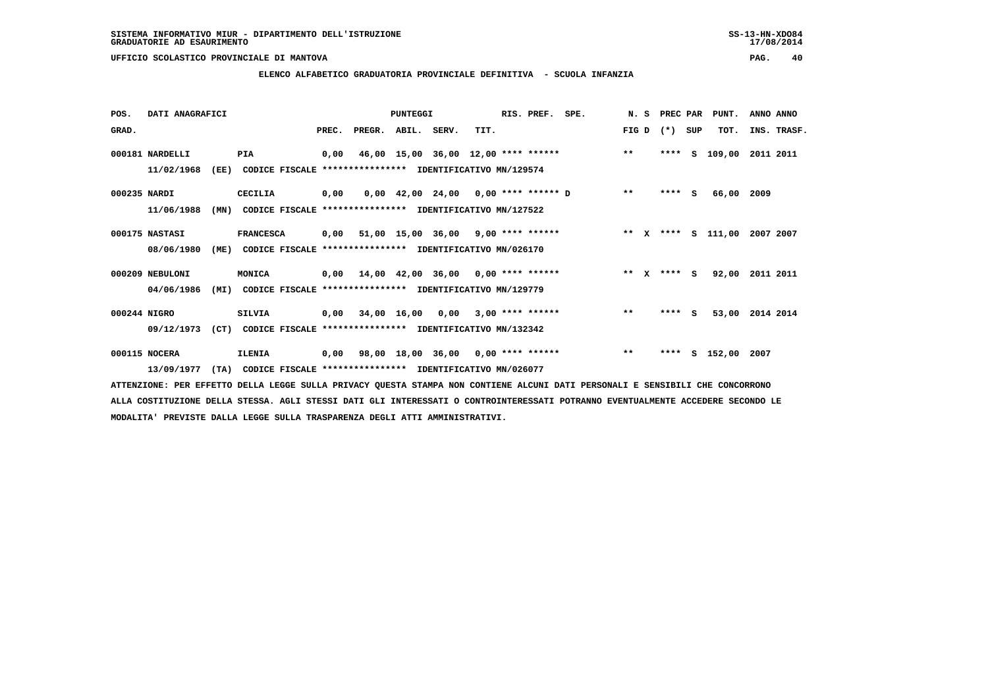**ELENCO ALFABETICO GRADUATORIA PROVINCIALE DEFINITIVA - SCUOLA INFANZIA**

| POS.         | DATI ANAGRAFICI               |      |                                                                                |       |                                           | <b>PUNTEGGI</b>                            |      | RIS. PREF. SPE. |                                          |       | N. S PREC PAR |              | PUNT.           | ANNO ANNO   |  |
|--------------|-------------------------------|------|--------------------------------------------------------------------------------|-------|-------------------------------------------|--------------------------------------------|------|-----------------|------------------------------------------|-------|---------------|--------------|-----------------|-------------|--|
| GRAD.        |                               |      |                                                                                | PREC. | PREGR.                                    | ABIL. SERV.                                | TIT. |                 |                                          | FIG D | $(* )$        | SUP          | TOT.            | INS. TRASF. |  |
|              | 000181 NARDELLI<br>11/02/1968 | (EE) | PIA<br>CODICE FISCALE **************** IDENTIFICATIVO MN/129574                | 0,00  |                                           | 46,00 15,00 36,00 12,00 **** ******        |      |                 |                                          | $***$ | ****          | $\mathbf{S}$ | 109,00          | 2011 2011   |  |
| 000235 NARDI | 11/06/1988                    | (MN) | CECILIA<br>CODICE FISCALE **************** IDENTIFICATIVO MN/127522            | 0,00  |                                           |                                            |      |                 | $0,00$ 42,00 24,00 0,00 **** ****** D ** |       | $***$ S       |              | 66,00           | 2009        |  |
|              | 000175 NASTASI<br>08/06/1980  | (ME) | <b>FRANCESCA</b><br>CODICE FISCALE **************** IDENTIFICATIVO MN/026170   |       | $0,00$ 51,00 15,00 36,00 9,00 **** ****** |                                            |      |                 | ** X **** S 111,00 2007 2007             |       |               |              |                 |             |  |
|              | 000209 NEBULONI<br>04/06/1986 | (MI) | MONICA<br>CODICE FISCALE **************** IDENTIFICATIVO MN/129779             | 0,00  |                                           | $14,00$ $42,00$ $36,00$ $0,00$ **** ****** |      |                 |                                          |       | ** x **** S   |              | 92,00           | 2011 2011   |  |
| 000244 NIGRO | 09/12/1973                    | (CT) | <b>SILVIA</b><br>CODICE FISCALE **************** IDENTIFICATIVO MN/132342      |       | $0,00$ 34,00 16,00 0,00 3,00 **** ******  |                                            |      |                 |                                          | $* *$ | **** S        |              | 53,00 2014 2014 |             |  |
|              | 000115 NOCERA<br>13/09/1977   |      | <b>ILENIA</b><br>(TA) CODICE FISCALE **************** IDENTIFICATIVO MN/026077 | 0,00  |                                           | 98,00 18,00 36,00 0,00 **** ******         |      |                 |                                          | $***$ | ****          |              | S 152,00 2007   |             |  |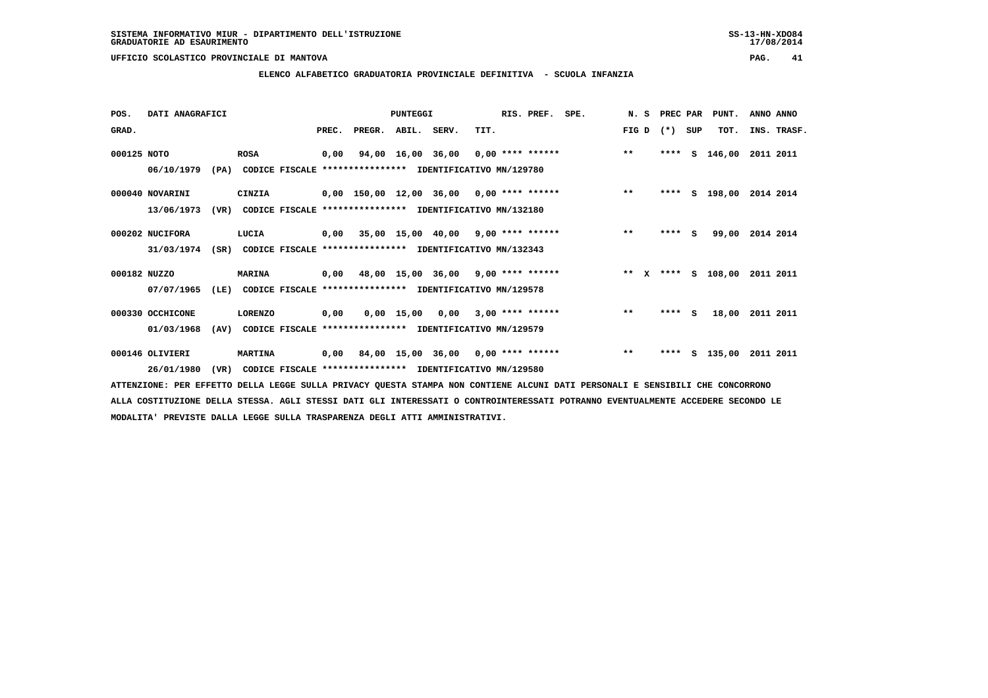**ELENCO ALFABETICO GRADUATORIA PROVINCIALE DEFINITIVA - SCUOLA INFANZIA**

| POS.         | DATI ANAGRAFICI                |      |                |       |                                                                                                        | <b>PUNTEGGI</b> |                                    |      | RIS. PREF.         | SPE. | N. S  | PREC PAR |     | PUNT.              | ANNO ANNO |             |
|--------------|--------------------------------|------|----------------|-------|--------------------------------------------------------------------------------------------------------|-----------------|------------------------------------|------|--------------------|------|-------|----------|-----|--------------------|-----------|-------------|
| GRAD.        |                                |      |                | PREC. | PREGR.                                                                                                 | ABIL.           | SERV.                              | TIT. |                    |      | FIG D | $(*)$    | SUP | TOT.               |           | INS. TRASF. |
| 000125 NOTO  | 06/10/1979                     | (PA) | <b>ROSA</b>    | 0,00  | CODICE FISCALE **************** IDENTIFICATIVO MN/129780                                               |                 | 94,00 16,00 36,00 0,00 **** ****** |      |                    |      | $***$ | ****     | s   | 146,00             | 2011 2011 |             |
|              | 000040 NOVARINI<br>13/06/1973  | (VR) | CINZIA         |       | $0,00$ 150,00 12,00 36,00 0,00 **** ******<br>CODICE FISCALE **************** IDENTIFICATIVO MN/132180 |                 |                                    |      |                    |      | $***$ | ****     |     | S 198,00           | 2014 2014 |             |
|              | 000202 NUCIFORA<br>31/03/1974  | (SR) | LUCIA          |       | $0,00$ 35,00 15,00 40,00 9,00 **** ******<br>CODICE FISCALE **************** IDENTIFICATIVO MN/132343  |                 |                                    |      |                    |      | $* *$ | ****     | s   | 99,00              | 2014 2014 |             |
| 000182 NUZZO | 07/07/1965                     | (LE) | <b>MARINA</b>  |       | $0,00$ 48,00 15,00 36,00 9,00 **** ******<br>CODICE FISCALE **************** IDENTIFICATIVO MN/129578  |                 |                                    |      |                    |      |       |          |     | ** X **** S 108,00 | 2011 2011 |             |
|              | 000330 OCCHICONE<br>01/03/1968 | (AV) | <b>LORENZO</b> | 0,00  | CODICE FISCALE **************** IDENTIFICATIVO MN/129579                                               | $0,00$ 15,00    | 0,00                               |      | $3,00$ **** ****** |      | $***$ | ****     | s   | 18,00              | 2011 2011 |             |
|              | 000146 OLIVIERI<br>26/01/1980  | (VR) | <b>MARTINA</b> |       | $0,00$ 84,00 15,00 36,00 0,00 **** ******<br>CODICE FISCALE **************** IDENTIFICATIVO MN/129580  |                 |                                    |      |                    |      | $***$ | ****     | s   | 135,00             | 2011 2011 |             |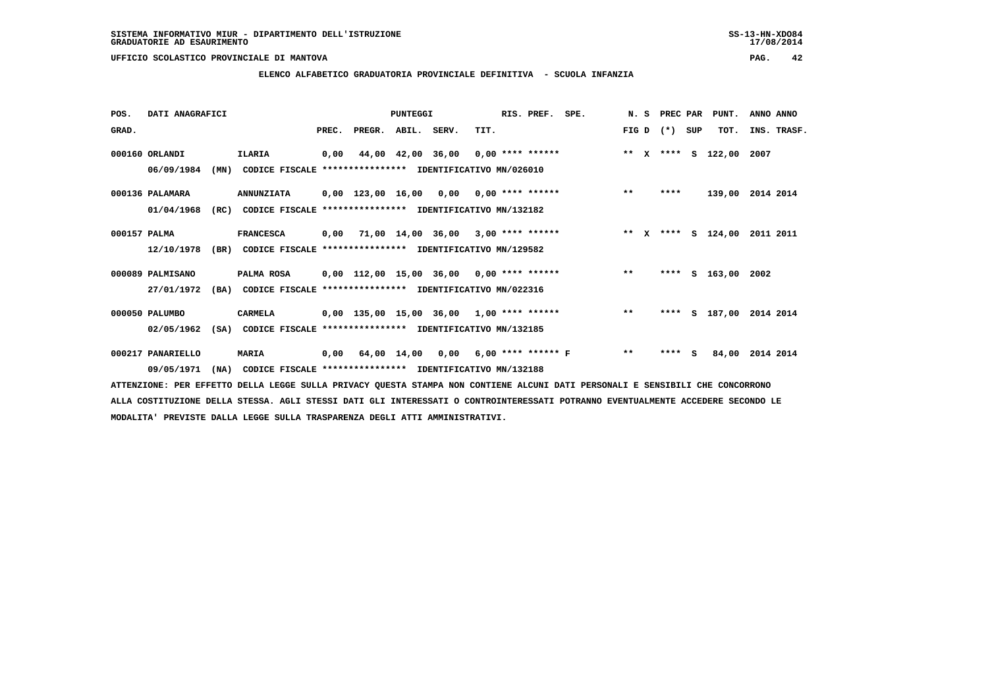**ELENCO ALFABETICO GRADUATORIA PROVINCIALE DEFINITIVA - SCUOLA INFANZIA**

| POS.         | DATI ANAGRAFICI   |      |                                                               |       |                    | <b>PUNTEGGI</b> |                                            |      | RIS. PREF. SPE. |                                          |       | N. S PREC PAR |     | PUNT.                   | ANNO ANNO          |
|--------------|-------------------|------|---------------------------------------------------------------|-------|--------------------|-----------------|--------------------------------------------|------|-----------------|------------------------------------------|-------|---------------|-----|-------------------------|--------------------|
| GRAD.        |                   |      |                                                               | PREC. | PREGR. ABIL. SERV. |                 |                                            | TIT. |                 |                                          |       | FIG D $(*)$   | SUP | TOT.                    | INS. TRASF.        |
|              | 000160 ORLANDI    |      | <b>ILARIA</b>                                                 |       |                    |                 |                                            |      |                 | 0,00 44,00 42,00 36,00 0,00 **** ******  |       |               |     | ** X **** S 122,00 2007 |                    |
|              | 06/09/1984        | (MN) | CODICE FISCALE **************** IDENTIFICATIVO MN/026010      |       |                    |                 |                                            |      |                 |                                          |       |               |     |                         |                    |
|              | 000136 PALAMARA   |      | <b>ANNUNZIATA</b>                                             |       |                    |                 | $0,00$ 123,00 16,00 0,00 0,00 **** ******  |      |                 |                                          | $***$ | ****          |     |                         | 139,00 2014 2014   |
|              | 01/04/1968        | (RC) | CODICE FISCALE **************** IDENTIFICATIVO MN/132182      |       |                    |                 |                                            |      |                 |                                          |       |               |     |                         |                    |
| 000157 PALMA |                   |      | <b>FRANCESCA</b>                                              | 0,00  |                    |                 | 71,00 14,00 36,00 3,00 **** ******         |      |                 | $\star \star$ x                          |       |               |     | **** S 124,00           | 2011 2011          |
|              | 12/10/1978        |      | (BR) CODICE FISCALE **************** IDENTIFICATIVO MN/129582 |       |                    |                 |                                            |      |                 |                                          |       |               |     |                         |                    |
|              | 000089 PALMISANO  |      | PALMA ROSA                                                    |       |                    |                 | 0,00 112,00 15,00 36,00 0,00 **** ******   |      |                 |                                          | $* *$ | ****          |     | S 163,00 2002           |                    |
|              | 27/01/1972        | (BA) | CODICE FISCALE **************** IDENTIFICATIVO MN/022316      |       |                    |                 |                                            |      |                 |                                          |       |               |     |                         |                    |
|              | 000050 PALUMBO    |      | <b>CARMELA</b>                                                |       |                    |                 | $0,00$ 135,00 15,00 36,00 1,00 **** ****** |      |                 |                                          | $***$ | ****          |     |                         | S 187,00 2014 2014 |
|              | 02/05/1962        | (SA) | CODICE FISCALE **************** IDENTIFICATIVO MN/132185      |       |                    |                 |                                            |      |                 |                                          |       |               |     |                         |                    |
|              | 000217 PANARIELLO |      | <b>MARIA</b>                                                  |       |                    |                 |                                            |      |                 | 0,00 64,00 14,00 0,00 6,00 **** ****** F | $* *$ | $***$ S       |     | 84,00                   | 2014 2014          |
|              | 09/05/1971        | (NA) | CODICE FISCALE **************** IDENTIFICATIVO MN/132188      |       |                    |                 |                                            |      |                 |                                          |       |               |     |                         |                    |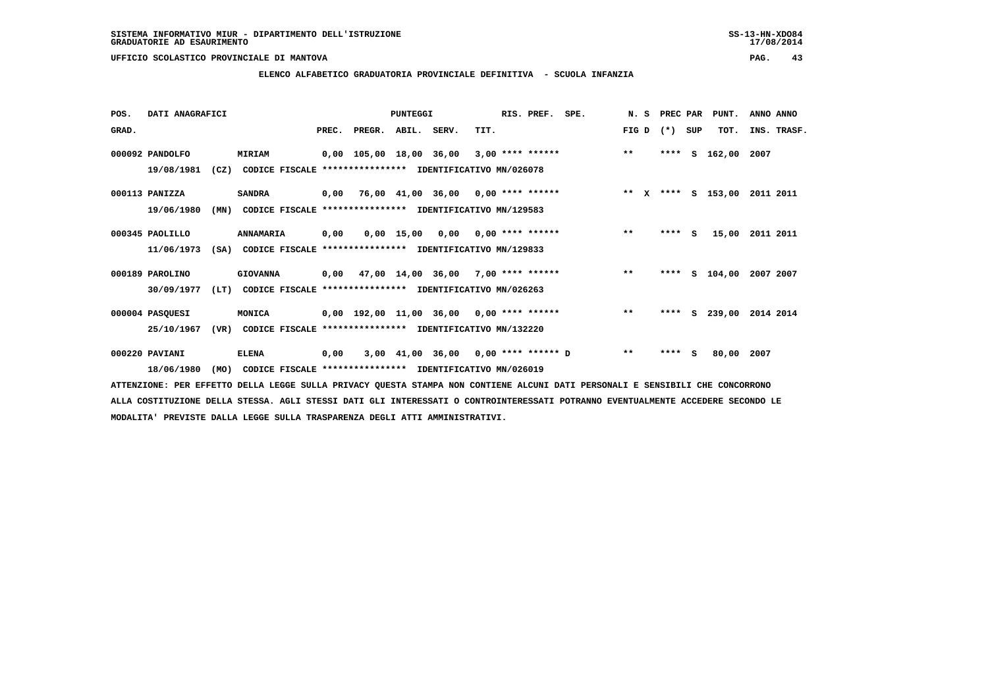# **ELENCO ALFABETICO GRADUATORIA PROVINCIALE DEFINITIVA - SCUOLA INFANZIA**

| POS.  | DATI ANAGRAFICI |      |                                                          |       |                         | PUNTEGGI     |                                           |      | RIS. PREF.         | SPE. | N.S   | PREC PAR |     | PUNT.              | ANNO ANNO |             |
|-------|-----------------|------|----------------------------------------------------------|-------|-------------------------|--------------|-------------------------------------------|------|--------------------|------|-------|----------|-----|--------------------|-----------|-------------|
| GRAD. |                 |      |                                                          | PREC. | PREGR.                  | ABIL. SERV.  |                                           | TIT. |                    |      | FIG D | $(*)$    | SUP | TOT.               |           | INS. TRASF. |
|       | 000092 PANDOLFO |      | MIRIAM                                                   |       | 0,00 105,00 18,00 36,00 |              |                                           |      | $3,00$ **** ****** |      | $***$ | ****     | s   | 162,00             | 2007      |             |
|       | 19/08/1981      | (CZ) | CODICE FISCALE **************** IDENTIFICATIVO MN/026078 |       |                         |              |                                           |      |                    |      |       |          |     |                    |           |             |
|       | 000113 PANIZZA  |      | <b>SANDRA</b>                                            |       |                         |              | $0,00$ 76,00 41,00 36,00 0,00 **** ****** |      |                    |      |       |          |     | ** X **** S 153,00 | 2011 2011 |             |
|       | 19/06/1980      | (MN) | CODICE FISCALE **************** IDENTIFICATIVO MN/129583 |       |                         |              |                                           |      |                    |      |       |          |     |                    |           |             |
|       | 000345 PAOLILLO |      | ANNAMARIA                                                | 0,00  |                         | $0,00$ 15,00 | 0,00                                      |      | 0,00 **** ******   |      | $***$ | $***$ S  |     | 15,00              | 2011 2011 |             |
|       | 11/06/1973      | (SA) | CODICE FISCALE **************** IDENTIFICATIVO MN/129833 |       |                         |              |                                           |      |                    |      |       |          |     |                    |           |             |
|       | 000189 PAROLINO |      | <b>GIOVANNA</b>                                          |       |                         |              | $0,00$ 47,00 14,00 36,00 7,00 **** ****** |      |                    |      | $**$  | ****     |     | $S$ 104,00         | 2007 2007 |             |
|       | 30/09/1977      | (LT) | CODICE FISCALE **************** IDENTIFICATIVO MN/026263 |       |                         |              |                                           |      |                    |      |       |          |     |                    |           |             |
|       | 000004 PASQUESI |      | MONICA                                                   |       |                         |              | 0,00 192,00 11,00 36,00 0,00 **** ******  |      |                    |      | $***$ | ****     | s   | 239,00             | 2014 2014 |             |
|       | 25/10/1967      | (VR) | CODICE FISCALE **************** IDENTIFICATIVO MN/132220 |       |                         |              |                                           |      |                    |      |       |          |     |                    |           |             |
|       | 000220 PAVIANI  |      | <b>ELENA</b>                                             | 0,00  |                         |              | 3,00 41,00 36,00 0,00 **** ****** D       |      |                    |      | $**$  | ****     | - S | 80,00              | 2007      |             |
|       | 18/06/1980      | (MO) | CODICE FISCALE **************** IDENTIFICATIVO MN/026019 |       |                         |              |                                           |      |                    |      |       |          |     |                    |           |             |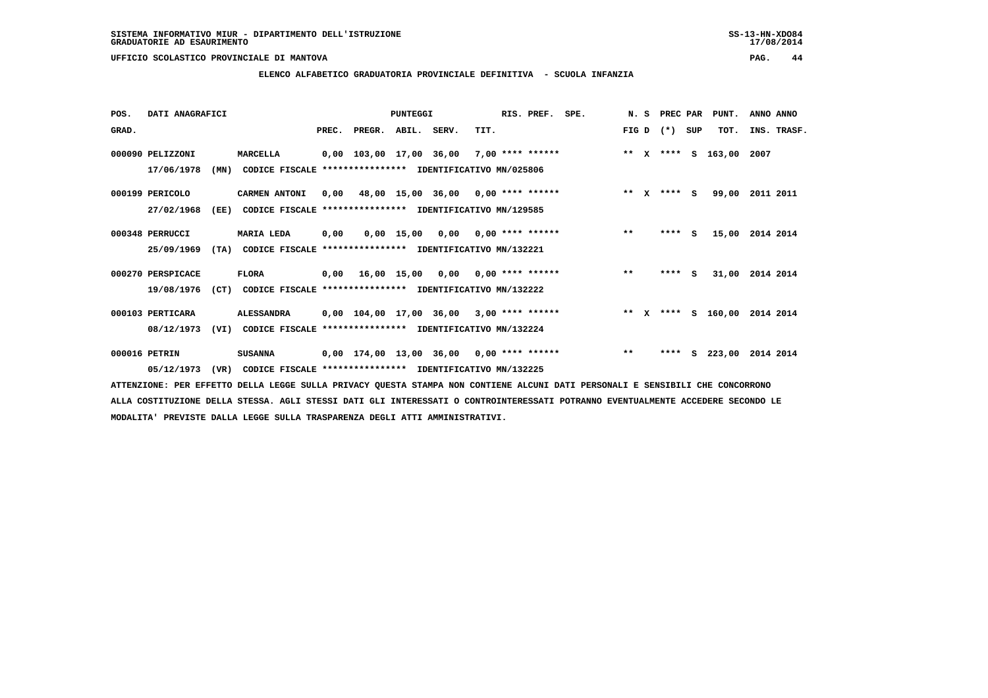### **ELENCO ALFABETICO GRADUATORIA PROVINCIALE DEFINITIVA - SCUOLA INFANZIA**

| POS.  | DATI ANAGRAFICI   |      |                                                          |       |                         | PUNTEGGI |                                                    |      | RIS. PREF.         | SPE. | N.S     | PREC PAR |     | PUNT.              | ANNO ANNO |             |
|-------|-------------------|------|----------------------------------------------------------|-------|-------------------------|----------|----------------------------------------------------|------|--------------------|------|---------|----------|-----|--------------------|-----------|-------------|
| GRAD. |                   |      |                                                          | PREC. | PREGR. ABIL. SERV.      |          |                                                    | TIT. |                    |      | FIG D   | $(* )$   | SUP | TOT.               |           | INS. TRASF. |
|       | 000090 PELIZZONI  |      | MARCELLA                                                 |       | 0,00 103,00 17,00 36,00 |          |                                                    |      | $7,00$ **** ****** |      |         |          |     | ** X **** S 163,00 | 2007      |             |
|       | 17/06/1978        | (MN) | CODICE FISCALE                                           |       |                         |          | **************** IDENTIFICATIVO MN/025806          |      |                    |      |         |          |     |                    |           |             |
|       | 000199 PERICOLO   |      | <b>CARMEN ANTONI</b>                                     | 0,00  |                         |          | 48,00 15,00 36,00 0,00 **** ******                 |      |                    |      | $***$ X | $***$ S  |     | 99,00              | 2011 2011 |             |
|       | 27/02/1968        | (EE) | CODICE FISCALE **************** IDENTIFICATIVO MN/129585 |       |                         |          |                                                    |      |                    |      |         |          |     |                    |           |             |
|       | 000348 PERRUCCI   |      | <b>MARIA LEDA</b>                                        | 0,00  |                         |          | $0.00$ 15.00 0.00 0.00 **** ******                 |      |                    |      | $***$   | $***$ S  |     | 15,00              | 2014 2014 |             |
|       | 25/09/1969        | (TA) | CODICE FISCALE                                           |       |                         |          | **************** IDENTIFICATIVO MN/132221          |      |                    |      |         |          |     |                    |           |             |
|       | 000270 PERSPICACE |      | <b>FLORA</b>                                             |       |                         |          | $0,00$ 16,00 15,00 0,00 0,00 **** ******           |      |                    |      | $* *$   | ****     | - S | 31,00              | 2014 2014 |             |
|       | 19/08/1976        | (CT) | CODICE FISCALE **************** IDENTIFICATIVO MN/132222 |       |                         |          |                                                    |      |                    |      |         |          |     |                    |           |             |
|       | 000103 PERTICARA  |      | <b>ALESSANDRA</b>                                        |       |                         |          | $0,00$ $104,00$ $17,00$ $36,00$ $3,00$ **** ****** |      |                    |      | $***$ X |          |     | **** S 160,00      | 2014 2014 |             |
|       | 08/12/1973        | (VI) | CODICE FISCALE                                           |       |                         |          | *************** IDENTIFICATIVO MN/132224           |      |                    |      |         |          |     |                    |           |             |
|       | 000016 PETRIN     |      | <b>SUSANNA</b>                                           |       | 0,00 174,00 13,00 36,00 |          |                                                    |      | $0,00$ **** ****** |      | $* *$   | ****     | s   | 223,00             | 2014 2014 |             |
|       | 05/12/1973        | (VR) | CODICE FISCALE **************** IDENTIFICATIVO MN/132225 |       |                         |          |                                                    |      |                    |      |         |          |     |                    |           |             |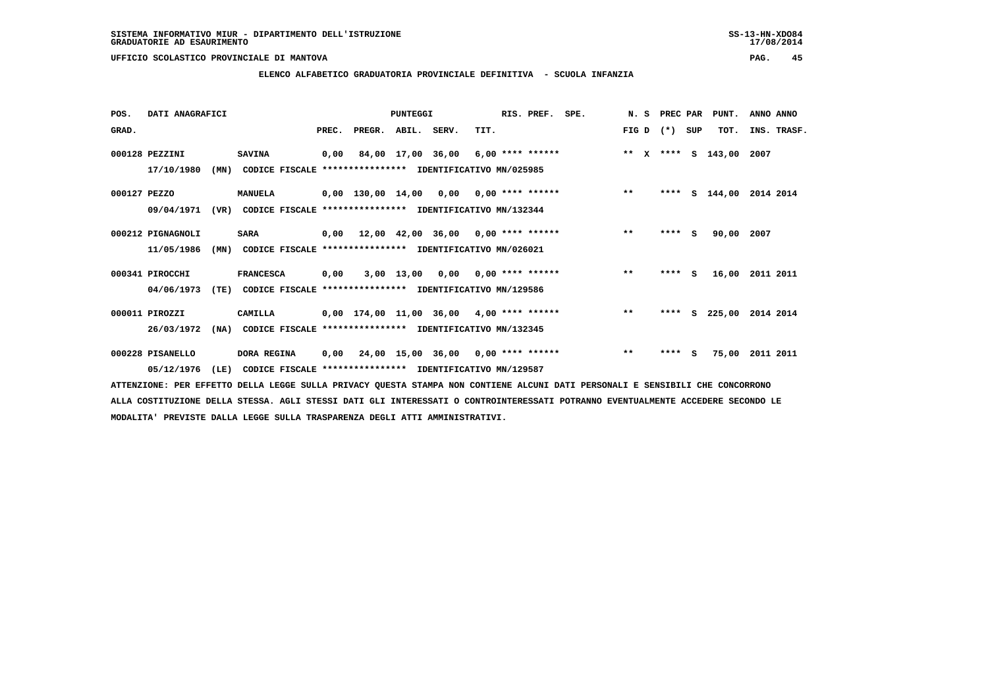# **ELENCO ALFABETICO GRADUATORIA PROVINCIALE DEFINITIVA - SCUOLA INFANZIA**

| POS.         | DATI ANAGRAFICI   |      |                                                          |       |        | PUNTEGGI    |                                            |      | RIS. PREF. | SPE. | N.S   | PREC PAR |          | PUNT.              | ANNO ANNO   |
|--------------|-------------------|------|----------------------------------------------------------|-------|--------|-------------|--------------------------------------------|------|------------|------|-------|----------|----------|--------------------|-------------|
| GRAD.        |                   |      |                                                          | PREC. | PREGR. | ABIL. SERV. |                                            | TIT. |            |      | FIG D | $(*)$    | SUP      | TOT.               | INS. TRASF. |
|              | 000128 PEZZINI    |      | <b>SAVINA</b>                                            | 0,00  |        |             | 84,00 17,00 36,00 6,00 **** ******         |      |            |      |       |          |          | ** x **** s 143,00 | 2007        |
|              | 17/10/1980        | (MN) | CODICE FISCALE **************** IDENTIFICATIVO MN/025985 |       |        |             |                                            |      |            |      |       |          |          |                    |             |
| 000127 PEZZO |                   |      | <b>MANUELA</b>                                           |       |        |             | $0,00$ 130,00 14,00 0,00 0,00 **** ******  |      |            |      | $***$ | ****     |          | S 144,00           | 2014 2014   |
|              | 09/04/1971        | (VR) | CODICE FISCALE **************** IDENTIFICATIVO MN/132344 |       |        |             |                                            |      |            |      |       |          |          |                    |             |
|              | 000212 PIGNAGNOLI |      | <b>SARA</b>                                              | 0,00  |        |             | $12,00$ $42,00$ $36,00$ $0,00$ **** ****** |      |            |      | $***$ | ****     | <b>S</b> | 90,00              | 2007        |
|              | 11/05/1986        | (MN) | CODICE FISCALE **************** IDENTIFICATIVO MN/026021 |       |        |             |                                            |      |            |      |       |          |          |                    |             |
|              | 000341 PIROCCHI   |      | <b>FRANCESCA</b>                                         | 0,00  |        |             | $3,00$ 13,00 0,00 0,00 **** ******         |      |            |      | $***$ | $***$ S  |          | 16,00              | 2011 2011   |
|              | 04/06/1973        | (TE) | CODICE FISCALE **************** IDENTIFICATIVO MN/129586 |       |        |             |                                            |      |            |      |       |          |          |                    |             |
|              | 000011 PIROZZI    |      | CAMILLA                                                  |       |        |             | $0,00$ 174,00 11,00 36,00 4,00 **** ****** |      |            |      | $***$ | ****     | s        | 225,00             | 2014 2014   |
|              | 26/03/1972        | (NA) | CODICE FISCALE **************** IDENTIFICATIVO MN/132345 |       |        |             |                                            |      |            |      |       |          |          |                    |             |
|              | 000228 PISANELLO  |      | DORA REGINA                                              | 0,00  |        |             | 24,00 15,00 36,00 0,00 **** ******         |      |            |      | $***$ | ****     | -S       | 75,00              | 2011 2011   |
|              | 05/12/1976        | (LE) | CODICE FISCALE **************** IDENTIFICATIVO MN/129587 |       |        |             |                                            |      |            |      |       |          |          |                    |             |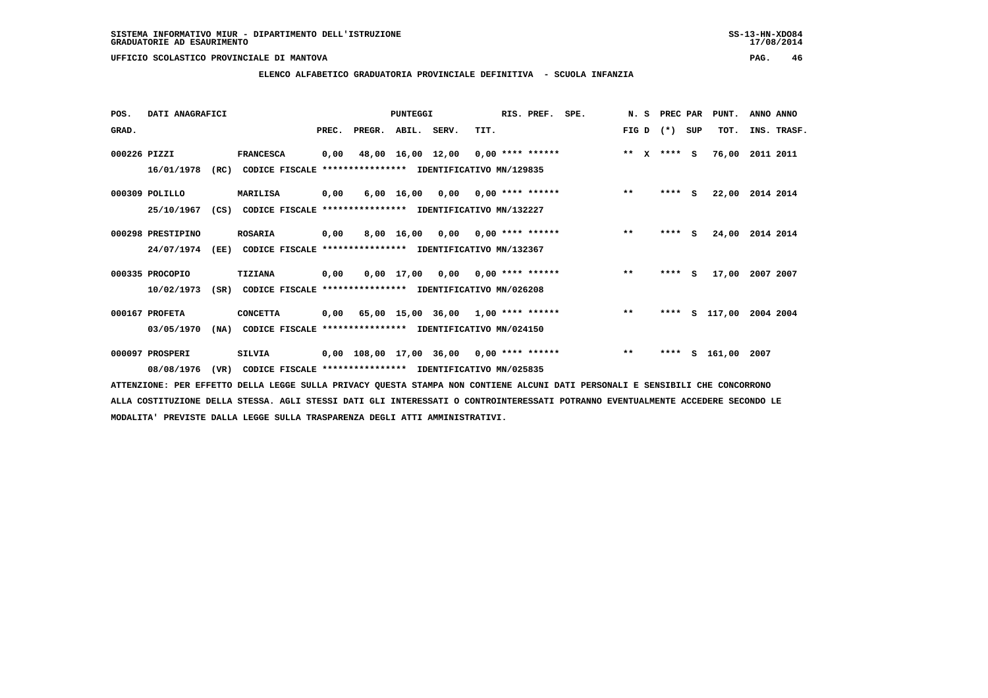# **ELENCO ALFABETICO GRADUATORIA PROVINCIALE DEFINITIVA - SCUOLA INFANZIA**

| POS.         | DATI ANAGRAFICI   |      |                                                          |       |                                            | <b>PUNTEGGI</b>   |                                    |                    | RIS. PREF. | SPE. | N. S                  | PREC PAR |     | PUNT.  | ANNO ANNO   |
|--------------|-------------------|------|----------------------------------------------------------|-------|--------------------------------------------|-------------------|------------------------------------|--------------------|------------|------|-----------------------|----------|-----|--------|-------------|
| GRAD.        |                   |      |                                                          | PREC. | PREGR.                                     | ABIL. SERV.       |                                    | TIT.               |            |      | FIG D                 | $(* )$   | SUP | TOT.   | INS. TRASF. |
| 000226 PIZZI |                   |      | <b>FRANCESCA</b>                                         | 0,00  |                                            | 48,00 16,00 12,00 |                                    | $0,00$ **** ****** |            |      | $* *$<br>$\mathbf{x}$ | $***$ S  |     | 76,00  | 2011 2011   |
|              | 16/01/1978        | (RC) | CODICE FISCALE **************** IDENTIFICATIVO MN/129835 |       |                                            |                   |                                    |                    |            |      |                       |          |     |        |             |
|              | 000309 POLILLO    |      | MARILISA                                                 | 0,00  |                                            |                   | $6,00$ 16,00 0,00 0,00 **** ****** |                    |            |      | $**$                  | $***$ S  |     | 22,00  | 2014 2014   |
|              | 25/10/1967        | (CS) | CODICE FISCALE **************** IDENTIFICATIVO MN/132227 |       |                                            |                   |                                    |                    |            |      |                       |          |     |        |             |
|              | 000298 PRESTIPINO |      | <b>ROSARIA</b>                                           | 0,00  |                                            | 8,00 16,00        | 0,00                               | 0,00 **** ******   |            |      | $* *$                 | $***$ S  |     | 24,00  | 2014 2014   |
|              | 24/07/1974        | (EE) | CODICE FISCALE **************** IDENTIFICATIVO MN/132367 |       |                                            |                   |                                    |                    |            |      |                       |          |     |        |             |
|              | 000335 PROCOPIO   |      | <b>TIZIANA</b>                                           | 0,00  |                                            |                   | $0,00$ 17,00 0,00 0,00 **** ****** |                    |            |      | $**$                  | ****     | s   | 17,00  | 2007 2007   |
|              | 10/02/1973        | (SR) | CODICE FISCALE **************** IDENTIFICATIVO MN/026208 |       |                                            |                   |                                    |                    |            |      |                       |          |     |        |             |
|              | 000167 PROFETA    |      | <b>CONCETTA</b>                                          |       | $0,00$ 65,00 15,00 36,00 1,00 **** ******  |                   |                                    |                    |            |      | $* *$                 | ****     | s   | 117,00 | 2004 2004   |
|              | 03/05/1970        | (NA) | CODICE FISCALE **************** IDENTIFICATIVO MN/024150 |       |                                            |                   |                                    |                    |            |      |                       |          |     |        |             |
|              | 000097 PROSPERI   |      | <b>SILVIA</b>                                            |       | $0,00$ 108,00 17,00 36,00 0,00 **** ****** |                   |                                    |                    |            |      | $**$                  | ****     | s   | 161,00 | 2007        |
|              | 08/08/1976        | (VR) | CODICE FISCALE **************** IDENTIFICATIVO MN/025835 |       |                                            |                   |                                    |                    |            |      |                       |          |     |        |             |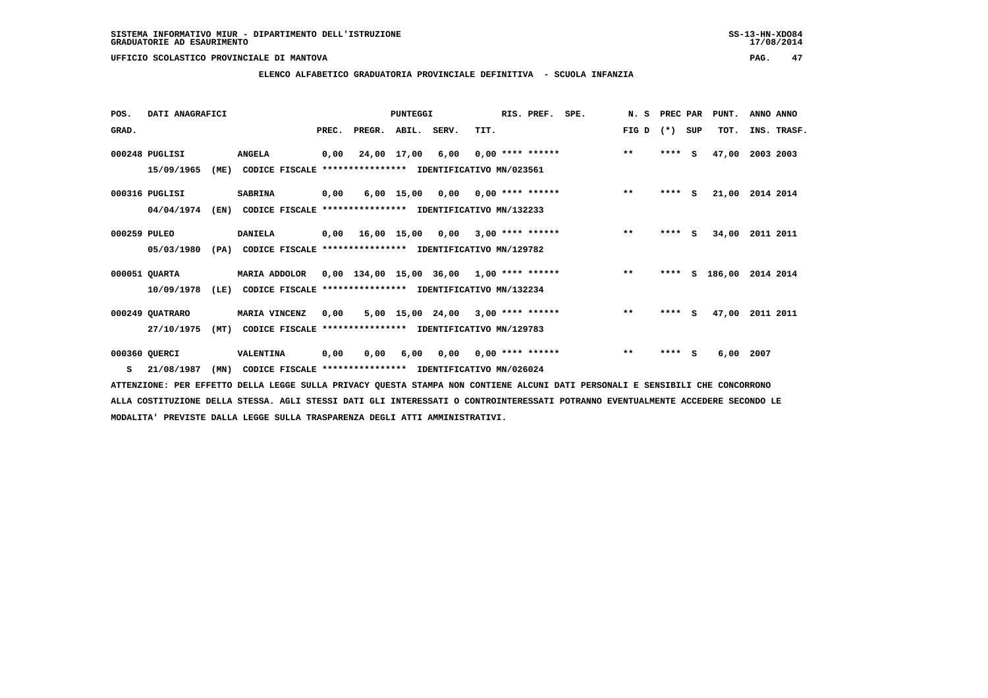# **ELENCO ALFABETICO GRADUATORIA PROVINCIALE DEFINITIVA - SCUOLA INFANZIA**

| POS.         | DATI ANAGRAFICI |      |                                                          |       |                                           | PUNTEGGI    |                                    |      | RIS. PREF.                | SPE. | N.S   | PREC PAR |          | PUNT.    | ANNO ANNO       |
|--------------|-----------------|------|----------------------------------------------------------|-------|-------------------------------------------|-------------|------------------------------------|------|---------------------------|------|-------|----------|----------|----------|-----------------|
| GRAD.        |                 |      |                                                          | PREC. | PREGR. ABIL. SERV.                        |             |                                    | TIT. |                           |      | FIG D | $(*)$    | SUP      | TOT.     | INS. TRASF.     |
|              | 000248 PUGLISI  |      | <b>ANGELA</b>                                            | 0,00  |                                           | 24,00 17,00 | 6,00                               |      | $0.00$ **** ******        |      | $***$ | $***$ S  |          | 47,00    | 2003 2003       |
|              | 15/09/1965      | (ME) | CODICE FISCALE **************** IDENTIFICATIVO MN/023561 |       |                                           |             |                                    |      |                           |      |       |          |          |          |                 |
|              | 000316 PUGLISI  |      | <b>SABRINA</b>                                           | 0,00  |                                           |             | $6,00$ 15,00 0,00 0,00 **** ****** |      |                           |      | $**$  | $***$ S  |          | 21,00    | 2014 2014       |
|              | 04/04/1974      | (EN) | CODICE FISCALE **************** IDENTIFICATIVO MN/132233 |       |                                           |             |                                    |      |                           |      |       |          |          |          |                 |
| 000259 PULEO |                 |      | <b>DANIELA</b>                                           |       | 0,00 16,00 15,00                          |             | 0,00                               |      | $3,00$ **** ******        |      | $***$ | ****     | <b>S</b> | 34,00    | 2011 2011       |
|              | 05/03/1980      | (PA) | CODICE FISCALE **************** IDENTIFICATIVO MN/129782 |       |                                           |             |                                    |      |                           |      |       |          |          |          |                 |
|              | 000051 QUARTA   |      | MARIA ADDOLOR 0,00 134,00 15,00 36,00 1,00 **** ******   |       |                                           |             |                                    |      |                           |      | $***$ | ****     |          | S 186,00 | 2014 2014       |
|              | 10/09/1978      | (LE) | CODICE FISCALE                                           |       | **************** IDENTIFICATIVO MN/132234 |             |                                    |      |                           |      |       |          |          |          |                 |
|              | 000249 QUATRARO |      | MARIA VINCENZ                                            | 0,00  |                                           |             | 5,00 15,00 24,00 3,00 **** ******  |      |                           |      | $* *$ | ****     | S.       |          | 47,00 2011 2011 |
|              | 27/10/1975      | (MT) | CODICE FISCALE **************** IDENTIFICATIVO MN/129783 |       |                                           |             |                                    |      |                           |      |       |          |          |          |                 |
|              | 000360 QUERCI   |      | VALENTINA                                                | 0,00  | 0,00                                      | 6,00        |                                    |      | $0,00$ $0,00$ **** ****** |      | $* *$ | ****     | S.       | 6,00     | 2007            |
| s            | 21/08/1987      | (MN) | CODICE FISCALE **************** IDENTIFICATIVO MN/026024 |       |                                           |             |                                    |      |                           |      |       |          |          |          |                 |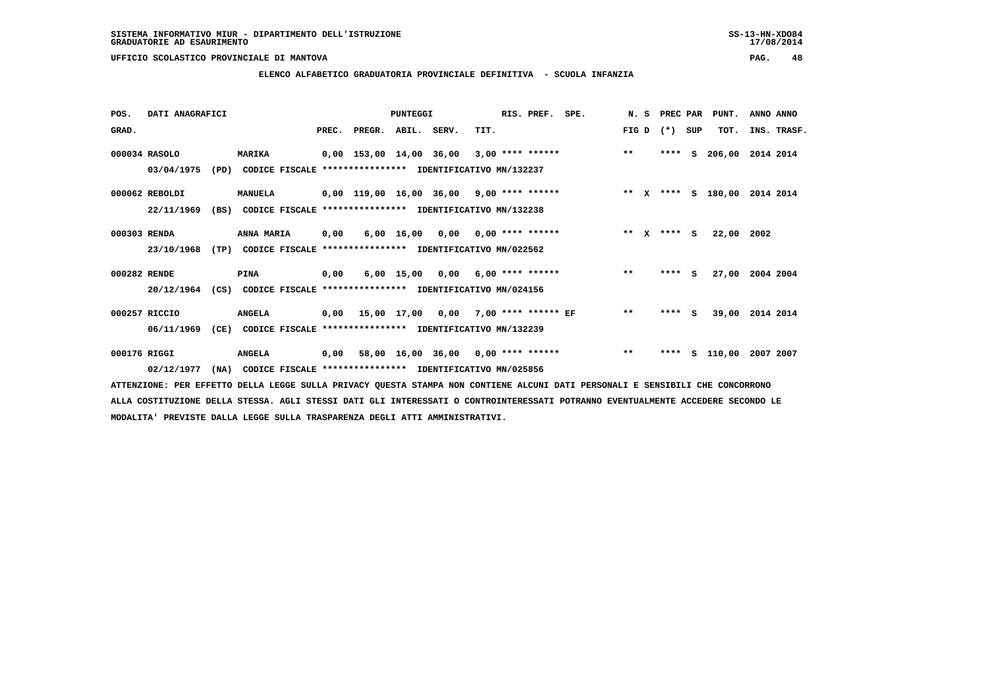**ELENCO ALFABETICO GRADUATORIA PROVINCIALE DEFINITIVA - SCUOLA INFANZIA**

| POS.         | DATI ANAGRAFICI |      |                                                               |       |                    | <b>PUNTEGGI</b> |                                           |      | RIS. PREF. SPE.    |       |              | N. S PREC PAR |          | PUNT.              | ANNO ANNO |             |
|--------------|-----------------|------|---------------------------------------------------------------|-------|--------------------|-----------------|-------------------------------------------|------|--------------------|-------|--------------|---------------|----------|--------------------|-----------|-------------|
| GRAD.        |                 |      |                                                               | PREC. | PREGR. ABIL. SERV. |                 |                                           | TIT. |                    | FIG D |              | $(* )$        | SUP      | TOT.               |           | INS. TRASF. |
|              | 000034 RASOLO   |      | <b>MARIKA</b>                                                 |       |                    |                 | 0,00 153,00 14,00 36,00                   |      | $3,00$ **** ****** | $***$ |              | ****          | s        | 206,00             | 2014 2014 |             |
|              | 03/04/1975      |      | (PD) CODICE FISCALE **************** IDENTIFICATIVO MN/132237 |       |                    |                 |                                           |      |                    |       |              |               |          |                    |           |             |
|              | 000062 REBOLDI  |      | <b>MANUELA</b>                                                |       |                    |                 | 0,00 119,00 16,00 36,00 9,00 **** ******  |      |                    |       |              |               |          | ** x **** s 180,00 | 2014 2014 |             |
|              | 22/11/1969      | (BS) | CODICE FISCALE **************** IDENTIFICATIVO MN/132238      |       |                    |                 |                                           |      |                    |       |              |               |          |                    |           |             |
| 000303 RENDA |                 |      | ANNA MARIA                                                    | 0,00  |                    |                 | $6,00$ 16,00 0,00 0,00 **** ******        |      |                    | $* *$ | $\mathbf{x}$ | $***$ S       |          | 22,00 2002         |           |             |
|              | 23/10/1968      |      | (TP) CODICE FISCALE **************** IDENTIFICATIVO MN/022562 |       |                    |                 |                                           |      |                    |       |              |               |          |                    |           |             |
| 000282 RENDE |                 |      | PINA                                                          | 0,00  |                    |                 | $6,00$ 15,00 0,00 6,00 **** ******        |      |                    | $**$  |              | $***$ S       |          | 27,00 2004 2004    |           |             |
|              | 20/12/1964      | (CS) | CODICE FISCALE **************** IDENTIFICATIVO MN/024156      |       |                    |                 |                                           |      |                    |       |              |               |          |                    |           |             |
|              | 000257 RICCIO   |      | <b>ANGELA</b>                                                 | 0,00  |                    |                 | 15,00 17,00 0,00 7,00 **** ****** EF      |      |                    | $***$ |              | ****          | <b>S</b> | 39,00              | 2014 2014 |             |
|              | 06/11/1969      |      | (CE) CODICE FISCALE **************** IDENTIFICATIVO MN/132239 |       |                    |                 |                                           |      |                    |       |              |               |          |                    |           |             |
| 000176 RIGGI |                 |      | <b>ANGELA</b>                                                 |       |                    |                 | $0,00$ 58,00 16,00 36,00 0,00 **** ****** |      |                    | $***$ |              | ****          |          | s 110,00           | 2007 2007 |             |
|              | 02/12/1977      | (NA) | CODICE FISCALE **************** IDENTIFICATIVO MN/025856      |       |                    |                 |                                           |      |                    |       |              |               |          |                    |           |             |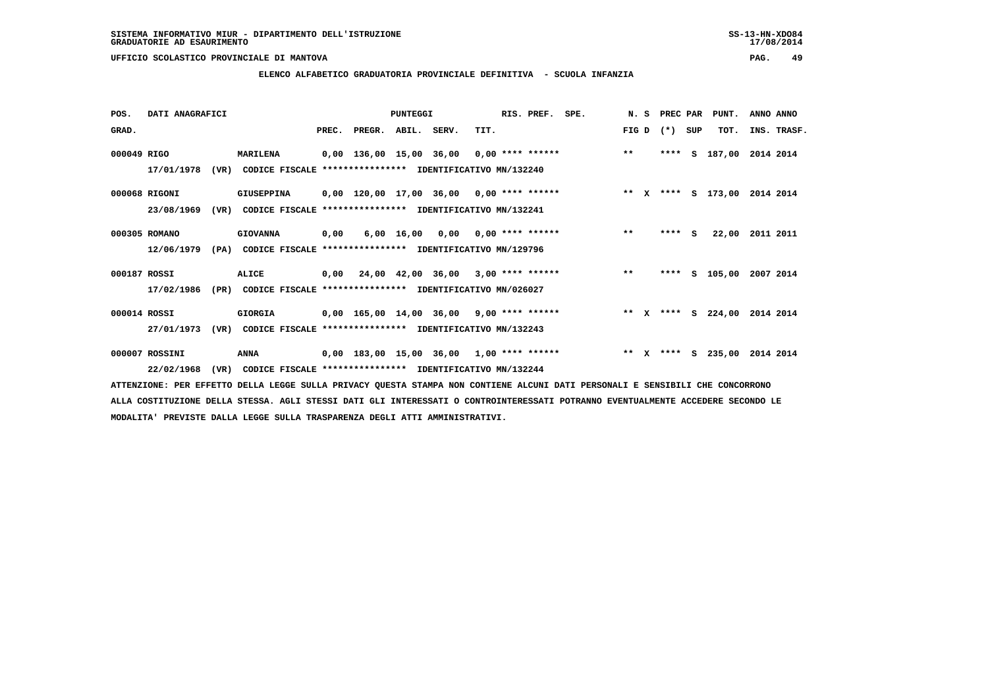**ELENCO ALFABETICO GRADUATORIA PROVINCIALE DEFINITIVA - SCUOLA INFANZIA**

| POS.         | DATI ANAGRAFICI |      |                                                          |      |                                                         | PUNTEGGI   |      | RIS. PREF. SPE.           |                                                                              |       | N. S PREC PAR |     | PUNT.              | ANNO ANNO |             |
|--------------|-----------------|------|----------------------------------------------------------|------|---------------------------------------------------------|------------|------|---------------------------|------------------------------------------------------------------------------|-------|---------------|-----|--------------------|-----------|-------------|
| GRAD.        |                 |      |                                                          |      | PREC. PREGR. ABIL. SERV.                                |            | TIT. |                           |                                                                              | FIG D | $(*)$         | SUP | TOT.               |           | INS. TRASF. |
| 000049 RIGO  |                 |      | <b>MARILENA</b>                                          |      |                                                         |            |      |                           | 0,00 136,00 15,00 36,00 0,00 **** ******                                     | $***$ | ****          | S   | 187,00 2014 2014   |           |             |
|              | 17/01/1978      | (VR) | CODICE FISCALE **************** IDENTIFICATIVO MN/132240 |      |                                                         |            |      |                           |                                                                              |       |               |     |                    |           |             |
|              | 000068 RIGONI   |      | GIUSEPPINA                                               |      |                                                         |            |      |                           | 0,00 120,00 17,00 36,00 0,00 **** ****** **** *** ** **** S 173,00 2014 2014 |       |               |     |                    |           |             |
|              | 23/08/1969      | (VR) | CODICE FISCALE                                           |      | **************** IDENTIFICATIVO MN/132241               |            |      |                           |                                                                              |       |               |     |                    |           |             |
|              | 000305 ROMANO   |      | <b>GIOVANNA</b>                                          | 0,00 |                                                         | 6,00 16,00 |      | $0,00$ $0,00$ **** ****** |                                                                              | $***$ | ****          | - S | 22,00              | 2011 2011 |             |
|              | 12/06/1979      | (PA) | CODICE FISCALE **************** IDENTIFICATIVO MN/129796 |      |                                                         |            |      |                           |                                                                              |       |               |     |                    |           |             |
| 000187 ROSSI |                 |      | ALICE                                                    |      | $0.00$ $24.00$ $42.00$ $36.00$ $3.00$ $***$ **** ****** |            |      |                           |                                                                              | $***$ | ****          |     | S 105,00           | 2007 2014 |             |
|              | 17/02/1986      | (PR) | CODICE FISCALE **************** IDENTIFICATIVO MN/026027 |      |                                                         |            |      |                           |                                                                              |       |               |     |                    |           |             |
| 000014 ROSSI |                 |      | GIORGIA                                                  |      | 0,00 165,00 14,00 36,00 9,00 **** ******                |            |      |                           |                                                                              |       | ** $X$ ****   | S.  | 224,00 2014 2014   |           |             |
|              | 27/01/1973      | (VR) | CODICE FISCALE **************** IDENTIFICATIVO MN/132243 |      |                                                         |            |      |                           |                                                                              |       |               |     |                    |           |             |
|              | 000007 ROSSINI  |      | ANNA                                                     |      | $0,00$ 183,00 15,00 36,00 1,00 **** ******              |            |      |                           |                                                                              |       |               |     | ** X **** S 235,00 | 2014 2014 |             |
|              | 22/02/1968      | (VR) | CODICE FISCALE **************** IDENTIFICATIVO MN/132244 |      |                                                         |            |      |                           |                                                                              |       |               |     |                    |           |             |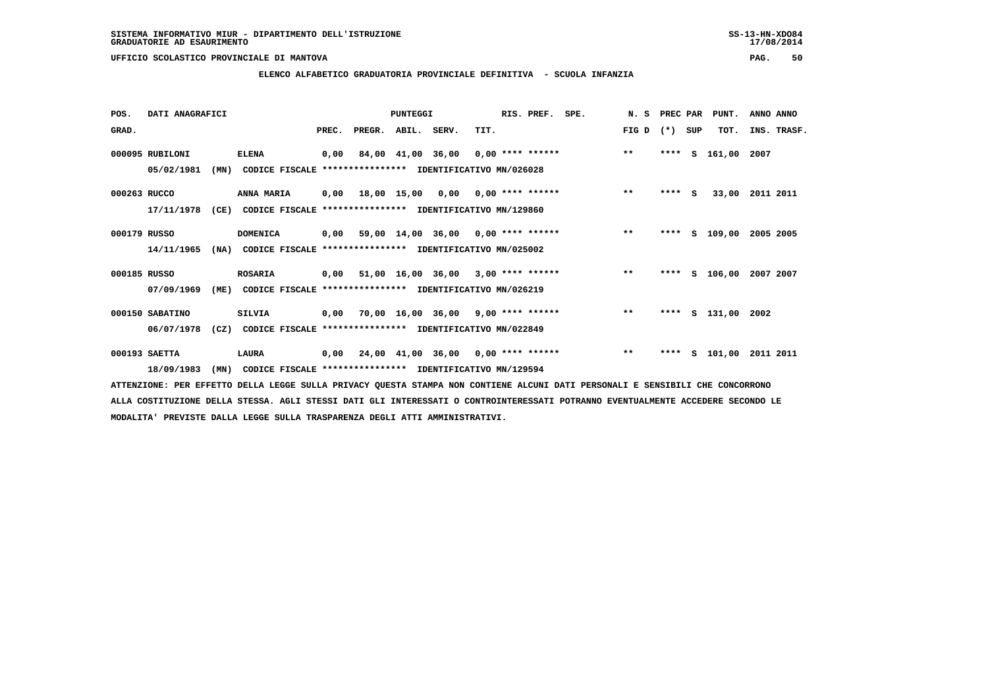# **ELENCO ALFABETICO GRADUATORIA PROVINCIALE DEFINITIVA - SCUOLA INFANZIA**

| POS.         | DATI ANAGRAFICI |      |                                                               |       |                    | PUNTEGGI |                                           |      | RIS. PREF. | SPE.                                       | N.S   | PREC PAR |     | PUNT.                   | ANNO ANNO |             |
|--------------|-----------------|------|---------------------------------------------------------------|-------|--------------------|----------|-------------------------------------------|------|------------|--------------------------------------------|-------|----------|-----|-------------------------|-----------|-------------|
| GRAD.        |                 |      |                                                               | PREC. | PREGR. ABIL. SERV. |          |                                           | TIT. |            |                                            | FIG D | $(* )$   | SUP | TOT.                    |           | INS. TRASF. |
|              | 000095 RUBILONI |      | <b>ELENA</b>                                                  | 0,00  |                    |          |                                           |      |            | 84,00 41,00 36,00 0,00 **** ****** *** **  |       | ****     | S.  | 161,00 2007             |           |             |
|              | 05/02/1981      | (MN) | CODICE FISCALE **************** IDENTIFICATIVO MN/026028      |       |                    |          |                                           |      |            |                                            |       |          |     |                         |           |             |
| 000263 RUCCO |                 |      | <b>ANNA MARIA</b>                                             |       |                    |          |                                           |      |            | 0,00 18,00 15,00 0,00 0,00 **** ******     | $***$ | $***$ S  |     | 33,00 2011 2011         |           |             |
|              | 17/11/1978      | (CE) | CODICE FISCALE **************** IDENTIFICATIVO MN/129860      |       |                    |          |                                           |      |            |                                            |       |          |     |                         |           |             |
| 000179 RUSSO |                 |      | <b>DOMENICA</b>                                               | 0,00  |                    |          |                                           |      |            | 59,00 14,00 36,00 0,00 **** ****** *** *** |       |          |     | **** S 109,00           | 2005 2005 |             |
|              | 14/11/1965      |      | (NA) CODICE FISCALE **************** IDENTIFICATIVO MN/025002 |       |                    |          |                                           |      |            |                                            |       |          |     |                         |           |             |
| 000185 RUSSO |                 |      | <b>ROSARIA</b>                                                |       |                    |          | $0,00$ 51,00 16,00 36,00 3,00 **** ****** |      |            |                                            | $* *$ |          |     | **** S 106,00 2007 2007 |           |             |
|              | 07/09/1969      | (ME) | CODICE FISCALE **************** IDENTIFICATIVO MN/026219      |       |                    |          |                                           |      |            |                                            |       |          |     |                         |           |             |
|              | 000150 SABATINO |      | <b>SILVIA</b>                                                 | 0,00  |                    |          | 70,00 16,00 36,00 9,00 **** ******        |      |            | $\star \star$                              |       |          |     | **** S 131,00           | 2002      |             |
|              | 06/07/1978      |      | (CZ) CODICE FISCALE **************** IDENTIFICATIVO MN/022849 |       |                    |          |                                           |      |            |                                            |       |          |     |                         |           |             |
|              | 000193 SAETTA   |      | LAURA                                                         |       |                    |          |                                           |      |            | 0,00 24,00 41,00 36,00 0,00 **** ******    | $**$  |          |     | **** S 101,00           | 2011 2011 |             |
|              | 18/09/1983      | (MN) | CODICE FISCALE **************** IDENTIFICATIVO MN/129594      |       |                    |          |                                           |      |            |                                            |       |          |     |                         |           |             |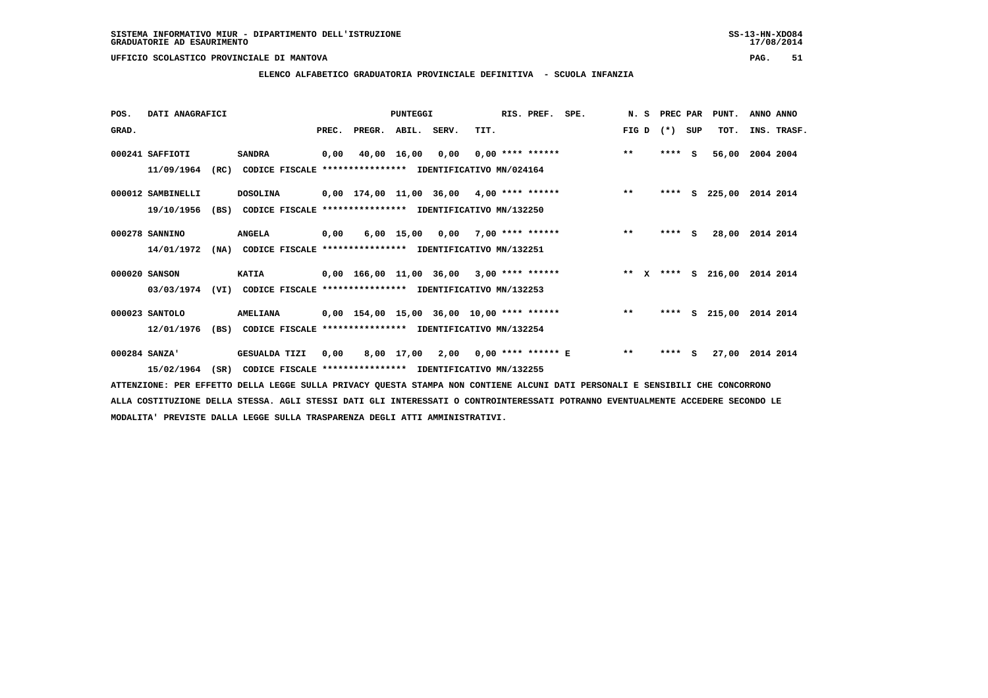**ELENCO ALFABETICO GRADUATORIA PROVINCIALE DEFINITIVA - SCUOLA INFANZIA**

| POS.  | DATI ANAGRAFICI   |      |                                                               |       |                    | <b>PUNTEGGI</b> |      |                                           | RIS. PREF. SPE. |                                    | N. S PREC PAR |         |          | PUNT.    | ANNO ANNO          |
|-------|-------------------|------|---------------------------------------------------------------|-------|--------------------|-----------------|------|-------------------------------------------|-----------------|------------------------------------|---------------|---------|----------|----------|--------------------|
| GRAD. |                   |      |                                                               | PREC. | PREGR. ABIL. SERV. |                 |      | TIT.                                      |                 |                                    | FIG D         | $(*)$   | SUP      | TOT.     | INS. TRASF.        |
|       | 000241 SAFFIOTI   |      | <b>SANDRA</b>                                                 | 0,00  |                    | 40,00 16,00     | 0,00 |                                           |                 | $0.00$ **** ******                 | $***$         | ****    | <b>S</b> | 56,00    | 2004 2004          |
|       | 11/09/1964        | (RC) | CODICE FISCALE **************** IDENTIFICATIVO MN/024164      |       |                    |                 |      |                                           |                 |                                    |               |         |          |          |                    |
|       | 000012 SAMBINELLI |      | <b>DOSOLINA</b>                                               |       |                    |                 |      | 0,00 174,00 11,00 36,00 4,00 **** ******  |                 |                                    | $***$         | ****    |          | S 225,00 | 2014 2014          |
|       | 19/10/1956        | (BS) | CODICE FISCALE **************** IDENTIFICATIVO MN/132250      |       |                    |                 |      |                                           |                 |                                    |               |         |          |          |                    |
|       | 000278 SANNINO    |      | <b>ANGELA</b>                                                 | 0,00  |                    |                 |      | $6,00$ 15,00 0,00 7,00 **** ******        |                 |                                    | $***$         | $***$ S |          |          | 28,00 2014 2014    |
|       | 14/01/1972        |      | (NA) CODICE FISCALE **************** IDENTIFICATIVO MN/132251 |       |                    |                 |      |                                           |                 |                                    |               |         |          |          |                    |
|       | 000020 SANSON     |      | <b>KATIA</b>                                                  |       |                    |                 |      | 0,00 166,00 11,00 36,00 3,00 **** ******  |                 | ** x **** s 216,00                 |               |         |          |          | 2014 2014          |
|       | 03/03/1974        | (VI) | CODICE FISCALE **************** IDENTIFICATIVO MN/132253      |       |                    |                 |      |                                           |                 |                                    |               |         |          |          |                    |
|       | 000023 SANTOLO    |      | <b>AMELIANA</b>                                               |       |                    |                 |      | 0,00 154,00 15,00 36,00 10,00 **** ****** |                 |                                    | $***$         | ****    |          |          | S 215,00 2014 2014 |
|       | 12/01/1976        |      | (BS) CODICE FISCALE **************** IDENTIFICATIVO MN/132254 |       |                    |                 |      |                                           |                 |                                    |               |         |          |          |                    |
|       | 000284 SANZA'     |      | <b>GESUALDA TIZI</b>                                          | 0,00  |                    |                 |      |                                           |                 | 8,00 17,00 2,00 0,00 **** ****** E | $***$         | ****    | <b>S</b> | 27,00    | 2014 2014          |
|       | 15/02/1964        | (SR) | CODICE FISCALE **************** IDENTIFICATIVO MN/132255      |       |                    |                 |      |                                           |                 |                                    |               |         |          |          |                    |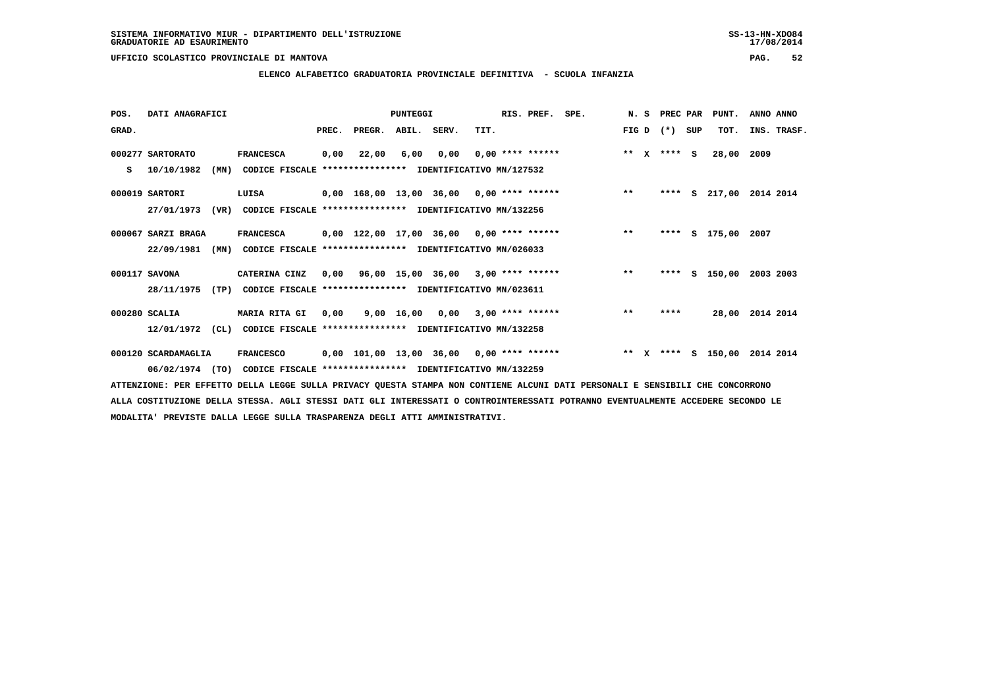# **ELENCO ALFABETICO GRADUATORIA PROVINCIALE DEFINITIVA - SCUOLA INFANZIA**

| POS.  | DATI ANAGRAFICI     |                                                          |       |                                           | PUNTEGGI    |      |                    | RIS. PREF. | SPE.                                     | N.S     | PREC PAR |     | PUNT.    | ANNO ANNO       |
|-------|---------------------|----------------------------------------------------------|-------|-------------------------------------------|-------------|------|--------------------|------------|------------------------------------------|---------|----------|-----|----------|-----------------|
| GRAD. |                     |                                                          | PREC. | PREGR.                                    | ABIL. SERV. |      | TIT.               |            |                                          | FIG D   | $(*)$    | SUP | TOT.     | INS. TRASF.     |
|       | 000277 SARTORATO    | <b>FRANCESCA</b>                                         | 0,00  | 22,00                                     | 6,00        | 0,00 | $0.00$ **** ****** |            |                                          | ** $X$  | $***$ S  |     | 28,00    | 2009            |
| s     | 10/10/1982<br>(MN)  | CODICE FISCALE **************** IDENTIFICATIVO MN/127532 |       |                                           |             |      |                    |            |                                          |         |          |     |          |                 |
|       | 000019 SARTORI      | LUISA                                                    |       | 0,00 168,00 13,00 36,00 0,00 **** ******  |             |      |                    |            |                                          | $***$   | ****     |     | S 217,00 | 2014 2014       |
|       | 27/01/1973<br>(VR)  | CODICE FISCALE **************** IDENTIFICATIVO MN/132256 |       |                                           |             |      |                    |            |                                          |         |          |     |          |                 |
|       | 000067 SARZI BRAGA  | <b>FRANCESCA</b>                                         |       | 0,00 122,00 17,00 36,00 0,00 **** ******  |             |      |                    |            | $\star\star$                             |         | ****     |     | S 175,00 | 2007            |
|       | 22/09/1981<br>(MN)  | CODICE FISCALE **************** IDENTIFICATIVO MN/026033 |       |                                           |             |      |                    |            |                                          |         |          |     |          |                 |
|       | 000117 SAVONA       | CATERINA CINZ                                            |       | $0,00$ 96,00 15,00 36,00 3,00 **** ****** |             |      |                    |            |                                          | $***$   | ****     |     | S 150,00 | 2003 2003       |
|       | 28/11/1975<br>(TP)  | CODICE FISCALE **************** IDENTIFICATIVO MN/023611 |       |                                           |             |      |                    |            |                                          |         |          |     |          |                 |
|       | 000280 SCALIA       | <b>MARIA RITA GI</b>                                     | 0,00  |                                           | 9,00 16,00  | 0,00 | $3,00$ **** ****** |            |                                          | $***$   | ****     |     |          | 28,00 2014 2014 |
|       | 12/01/1972<br>(CL)  | CODICE FISCALE **************** IDENTIFICATIVO MN/132258 |       |                                           |             |      |                    |            |                                          |         |          |     |          |                 |
|       | 000120 SCARDAMAGLIA | <b>FRANCESCO</b>                                         |       |                                           |             |      |                    |            | 0,00 101,00 13,00 36,00 0,00 **** ****** | $***$ X | ****     |     | S 150,00 | 2014 2014       |
|       | 06/02/1974<br>(TO)  | CODICE FISCALE **************** IDENTIFICATIVO MN/132259 |       |                                           |             |      |                    |            |                                          |         |          |     |          |                 |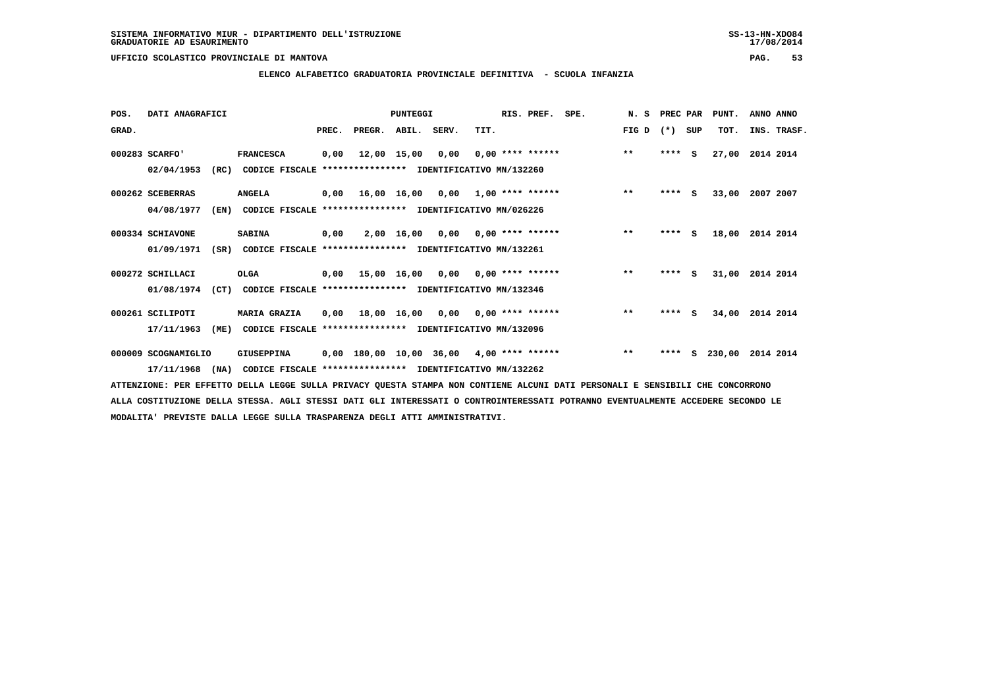# **ELENCO ALFABETICO GRADUATORIA PROVINCIALE DEFINITIVA - SCUOLA INFANZIA**

| POS.  | DATI ANAGRAFICI     |      |                                                          |       |                                           | PUNTEGGI    |                                           |      | RIS. PREF.         | SPE. | N.S          | PREC PAR |     | PUNT.  | ANNO ANNO   |
|-------|---------------------|------|----------------------------------------------------------|-------|-------------------------------------------|-------------|-------------------------------------------|------|--------------------|------|--------------|----------|-----|--------|-------------|
| GRAD. |                     |      |                                                          | PREC. | PREGR.                                    | ABIL.       | SERV.                                     | TIT. |                    |      | FIG D        | $(*)$    | SUP | TOT.   | INS. TRASF. |
|       | 000283 SCARFO'      |      | <b>FRANCESCA</b>                                         | 0,00  |                                           | 12,00 15,00 | 0,00                                      |      | $0,00$ **** ****** |      | $***$        | ****     | - S | 27,00  | 2014 2014   |
|       | 02/04/1953          | (RC) | CODICE FISCALE **************** IDENTIFICATIVO MN/132260 |       |                                           |             |                                           |      |                    |      |              |          |     |        |             |
|       | 000262 SCEBERRAS    |      | <b>ANGELA</b>                                            | 0,00  | 16,00 16,00 0,00 1,00 **** ******         |             |                                           |      |                    |      | $***$        | ****     | s   | 33,00  | 2007 2007   |
|       | 04/08/1977          | (EN) | CODICE FISCALE                                           |       | **************** IDENTIFICATIVO MN/026226 |             |                                           |      |                    |      |              |          |     |        |             |
|       | 000334 SCHIAVONE    |      | <b>SABINA</b>                                            | 0,00  |                                           | 2,00 16,00  | 0,00                                      |      | $0,00$ **** ****** |      | $\star\star$ | ****     | - S | 18,00  | 2014 2014   |
|       | 01/09/1971          | (SR) | CODICE FISCALE **************** IDENTIFICATIVO MN/132261 |       |                                           |             |                                           |      |                    |      |              |          |     |        |             |
|       | 000272 SCHILLACI    |      | <b>OLGA</b>                                              | 0.00  |                                           |             | $15,00$ $16,00$ $0,00$ $0,00$ **** ****** |      |                    |      | $***$        | ****     | - 5 | 31,00  | 2014 2014   |
|       | 01/08/1974          | (CT) | CODICE FISCALE **************** IDENTIFICATIVO MN/132346 |       |                                           |             |                                           |      |                    |      |              |          |     |        |             |
|       | 000261 SCILIPOTI    |      | <b>MARIA GRAZIA</b>                                      |       | 0,00 18,00 16,00 0,00                     |             |                                           |      | $0.00$ **** ****** |      | $\star\star$ | $***$ S  |     | 34,00  | 2014 2014   |
|       | 17/11/1963          | (ME) | CODICE FISCALE                                           |       | **************** IDENTIFICATIVO MN/132096 |             |                                           |      |                    |      |              |          |     |        |             |
|       | 000009 SCOGNAMIGLIO |      | <b>GIUSEPPINA</b>                                        |       | 0,00 180,00 10,00 36,00                   |             |                                           |      | $4,00$ **** ****** |      | $***$        | ****     | s   | 230,00 | 2014 2014   |
|       | 17/11/1968          | (NA) | CODICE FISCALE **************** IDENTIFICATIVO MN/132262 |       |                                           |             |                                           |      |                    |      |              |          |     |        |             |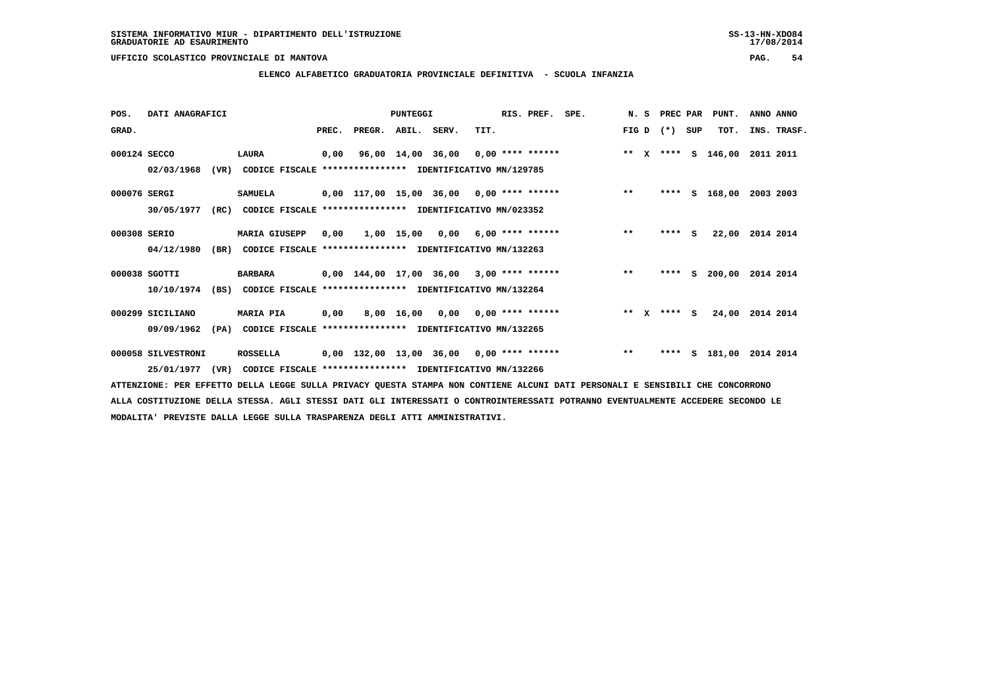**ELENCO ALFABETICO GRADUATORIA PROVINCIALE DEFINITIVA - SCUOLA INFANZIA**

 **POS. DATI ANAGRAFICI PUNTEGGI RIS. PREF. SPE. N. S PREC PAR PUNT. ANNO ANNO**GRAD. **BRAD. PREC. PREGR. ABIL. SERV.** TIT. THE REGREATER FIG D (\*) SUP TOT. INS. TRASF.  **000124 SECCO LAURA 0,00 96,00 14,00 36,00 0,00 \*\*\*\* \*\*\*\*\*\* \*\* X \*\*\*\* S 146,00 2011 2011 02/03/1968 (VR) CODICE FISCALE \*\*\*\*\*\*\*\*\*\*\*\*\*\*\*\* IDENTIFICATIVO MN/129785 000076 SERGI SAMUELA 0,00 117,00 15,00 36,00 0,00 \*\*\*\* \*\*\*\*\*\* \*\* \*\*\*\* S 168,00 2003 2003 30/05/1977 (RC) CODICE FISCALE \*\*\*\*\*\*\*\*\*\*\*\*\*\*\*\* IDENTIFICATIVO MN/023352 000308 SERIO MARIA GIUSEPP 0,00 1,00 15,00 0,00 6,00 \*\*\*\* \*\*\*\*\*\* \*\* \*\*\*\* S 22,00 2014 2014 04/12/1980 (BR) CODICE FISCALE \*\*\*\*\*\*\*\*\*\*\*\*\*\*\*\* IDENTIFICATIVO MN/132263 000038 SGOTTI BARBARA 0,00 144,00 17,00 36,00 3,00 \*\*\*\* \*\*\*\*\*\* \*\* \*\*\*\* S 200,00 2014 2014 10/10/1974 (BS) CODICE FISCALE \*\*\*\*\*\*\*\*\*\*\*\*\*\*\*\* IDENTIFICATIVO MN/132264**

 **000299 SICILIANO MARIA PIA 0,00 8,00 16,00 0,00 0,00 \*\*\*\* \*\*\*\*\*\* \*\* X \*\*\*\* S 24,00 2014 2014 09/09/1962 (PA) CODICE FISCALE \*\*\*\*\*\*\*\*\*\*\*\*\*\*\*\* IDENTIFICATIVO MN/132265**

 **000058 SILVESTRONI ROSSELLA 0,00 132,00 13,00 36,00 0,00 \*\*\*\* \*\*\*\*\*\* \*\* \*\*\*\* S 181,00 2014 2014 25/01/1977 (VR) CODICE FISCALE \*\*\*\*\*\*\*\*\*\*\*\*\*\*\*\* IDENTIFICATIVO MN/132266**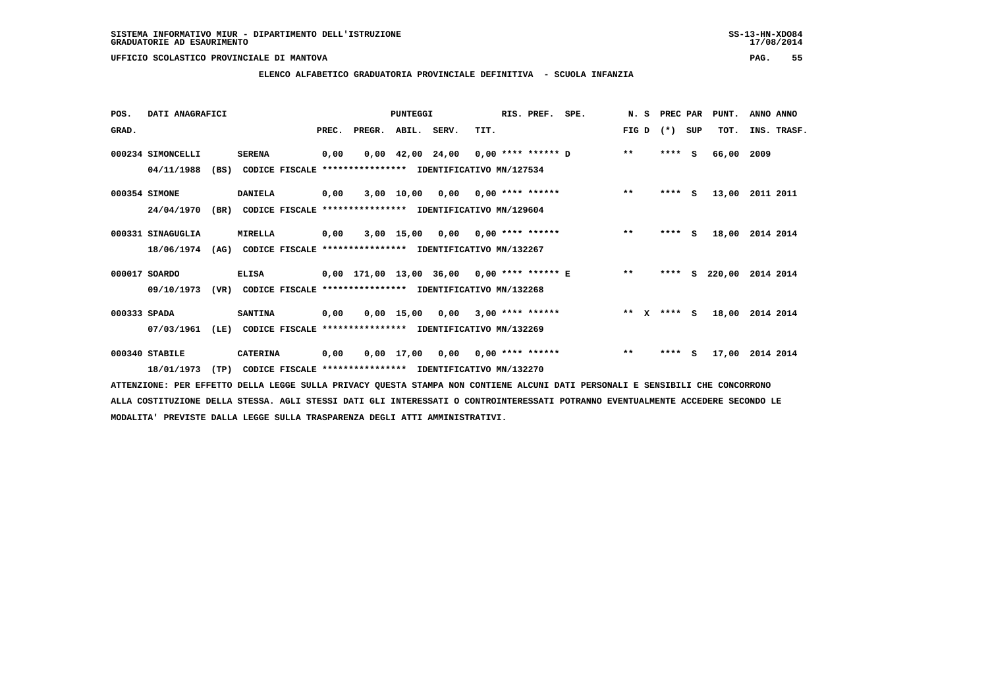**ELENCO ALFABETICO GRADUATORIA PROVINCIALE DEFINITIVA - SCUOLA INFANZIA**

| POS.         | DATI ANAGRAFICI   |      |                                                               | PUNTEGGI |                                                          |              | RIS. PREF. SPE.                       |      |  | N. S                      | PREC PAR                                   |       | PUNT.    | ANNO ANNO |        |             |
|--------------|-------------------|------|---------------------------------------------------------------|----------|----------------------------------------------------------|--------------|---------------------------------------|------|--|---------------------------|--------------------------------------------|-------|----------|-----------|--------|-------------|
| GRAD.        |                   |      |                                                               | PREC.    | PREGR. ABIL. SERV.                                       |              |                                       | TIT. |  |                           |                                            | FIG D | $(*)$    | SUP       | TOT.   | INS. TRASF. |
|              | 000234 SIMONCELLI |      | <b>SERENA</b>                                                 | 0,00     |                                                          |              | $0,00$ 42,00 24,00 0,00 **** ****** D |      |  |                           |                                            | $**$  | ****     | s         | 66,00  | 2009        |
|              | 04/11/1988        | (BS) |                                                               |          | CODICE FISCALE **************** IDENTIFICATIVO MN/127534 |              |                                       |      |  |                           |                                            |       |          |           |        |             |
|              | 000354 SIMONE     |      | <b>DANIELA</b>                                                | 0,00     |                                                          |              | $3,00$ 10,00 0,00 0,00 **** ******    |      |  |                           |                                            | $**$  | $***$ S  |           | 13,00  | 2011 2011   |
|              | 24/04/1970        | (BR) |                                                               |          | CODICE FISCALE **************** IDENTIFICATIVO MN/129604 |              |                                       |      |  |                           |                                            |       |          |           |        |             |
|              | 000331 SINAGUGLIA |      | MIRELLA                                                       | 0,00     |                                                          | 3,00 15,00   |                                       |      |  | $0,00$ $0,00$ **** ****** |                                            | $***$ | **** S   |           | 18,00  | 2014 2014   |
|              | 18/06/1974        |      | (AG) CODICE FISCALE **************** IDENTIFICATIVO MN/132267 |          |                                                          |              |                                       |      |  |                           |                                            |       |          |           |        |             |
|              | 000017 SOARDO     |      | <b>ELISA</b>                                                  |          |                                                          |              |                                       |      |  |                           | 0,00 171,00 13,00 36,00 0,00 **** ****** E | $***$ | ****     | S.        | 220,00 | 2014 2014   |
|              | 09/10/1973        | (VR) |                                                               |          | CODICE FISCALE **************** IDENTIFICATIVO MN/132268 |              |                                       |      |  |                           |                                            |       |          |           |        |             |
| 000333 SPADA |                   |      | <b>SANTINA</b>                                                | 0,00     |                                                          | $0.00$ 15.00 | 0,00                                  |      |  | $3,00$ **** ******        |                                            | $* *$ | X **** S |           | 18,00  | 2014 2014   |
|              | 07/03/1961        | (LE) |                                                               |          | CODICE FISCALE **************** IDENTIFICATIVO MN/132269 |              |                                       |      |  |                           |                                            |       |          |           |        |             |
|              | 000340 STABILE    |      | <b>CATERINA</b>                                               | 0,00     |                                                          |              | $0,00$ 17,00 0,00 0,00 **** ******    |      |  |                           |                                            | $***$ | ****     | - S       | 17,00  | 2014 2014   |
|              | 18/01/1973        | (TP) |                                                               |          | CODICE FISCALE **************** IDENTIFICATIVO MN/132270 |              |                                       |      |  |                           |                                            |       |          |           |        |             |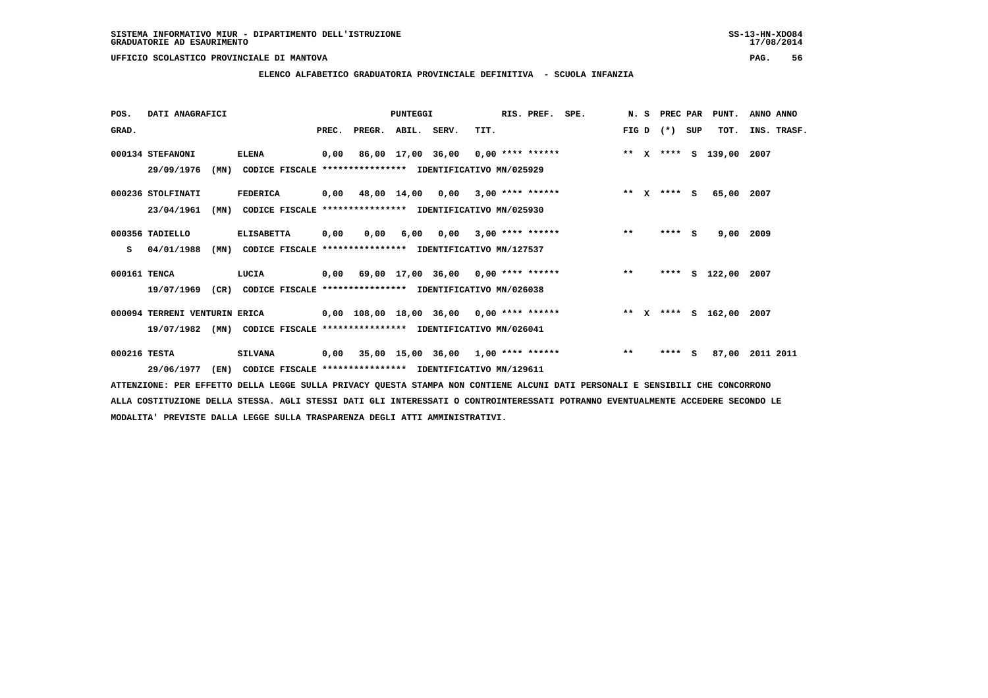**ELENCO ALFABETICO GRADUATORIA PROVINCIALE DEFINITIVA - SCUOLA INFANZIA**

 **POS. DATI ANAGRAFICI PUNTEGGI RIS. PREF. SPE. N. S PREC PAR PUNT. ANNO ANNO**GRAD. **PREGRADE SERVEGER. ABIL. SERV. TIT.** FIG D (\*) SUP TOT. INS. TRASF.  **000134 STEFANONI ELENA 0,00 86,00 17,00 36,00 0,00 \*\*\*\* \*\*\*\*\*\* \*\* X \*\*\*\* S 139,00 2007 29/09/1976 (MN) CODICE FISCALE \*\*\*\*\*\*\*\*\*\*\*\*\*\*\*\* IDENTIFICATIVO MN/025929 000236 STOLFINATI FEDERICA 0,00 48,00 14,00 0,00 3,00 \*\*\*\* \*\*\*\*\*\* \*\* X \*\*\*\* S 65,00 2007 23/04/1961 (MN) CODICE FISCALE \*\*\*\*\*\*\*\*\*\*\*\*\*\*\*\* IDENTIFICATIVO MN/025930 000356 TADIELLO ELISABETTA 0,00 0,00 6,00 0,00 3,00 \*\*\*\* \*\*\*\*\*\* \*\* \*\*\*\* S 9,00 2009 S 04/01/1988 (MN) CODICE FISCALE \*\*\*\*\*\*\*\*\*\*\*\*\*\*\*\* IDENTIFICATIVO MN/127537 000161 TENCA LUCIA 0,00 69,00 17,00 36,00 0,00 \*\*\*\* \*\*\*\*\*\* \*\* \*\*\*\* S 122,00 2007 19/07/1969 (CR) CODICE FISCALE \*\*\*\*\*\*\*\*\*\*\*\*\*\*\*\* IDENTIFICATIVO MN/026038 000094 TERRENI VENTURIN ERICA 0,00 108,00 18,00 36,00 0,00 \*\*\*\* \*\*\*\*\*\* \*\* X \*\*\*\* S 162,00 2007 19/07/1982 (MN) CODICE FISCALE \*\*\*\*\*\*\*\*\*\*\*\*\*\*\*\* IDENTIFICATIVO MN/026041 000216 TESTA SILVANA 0,00 35,00 15,00 36,00 1,00 \*\*\*\* \*\*\*\*\*\* \*\* \*\*\*\* S 87,00 2011 2011**

 **29/06/1977 (EN) CODICE FISCALE \*\*\*\*\*\*\*\*\*\*\*\*\*\*\*\* IDENTIFICATIVO MN/129611**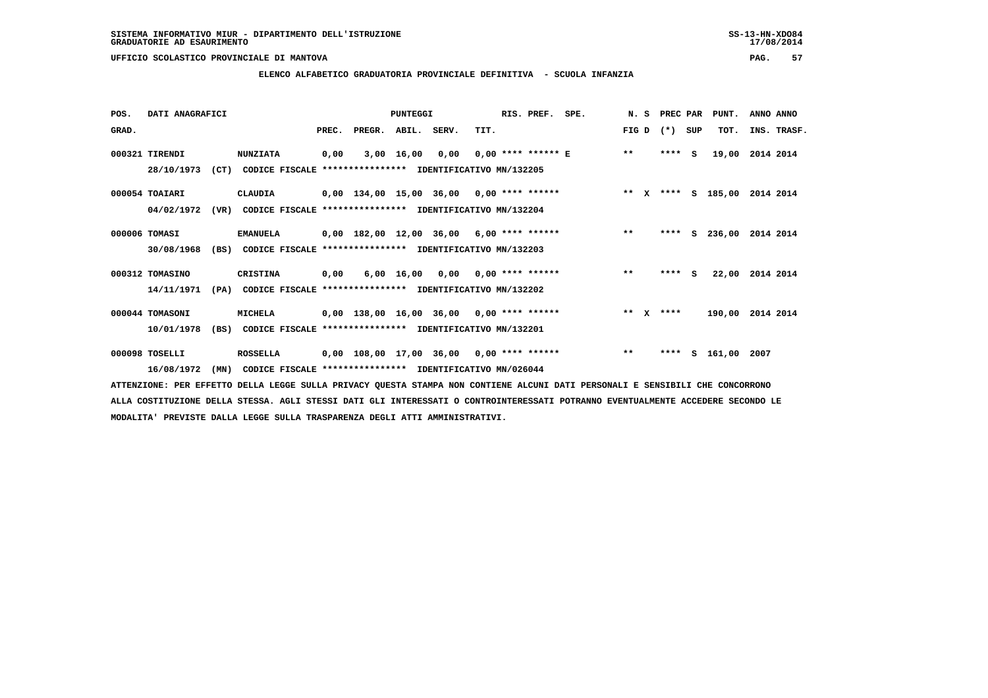**ELENCO ALFABETICO GRADUATORIA PROVINCIALE DEFINITIVA - SCUOLA INFANZIA**

| POS.  | DATI ANAGRAFICI |      |                                                               | PUNTEGGI |        |              |                                          |      | RIS. PREF. | SPE.<br>N.S                              |         |  | PREC PAR |     | PUNT.              | ANNO ANNO        |
|-------|-----------------|------|---------------------------------------------------------------|----------|--------|--------------|------------------------------------------|------|------------|------------------------------------------|---------|--|----------|-----|--------------------|------------------|
| GRAD. |                 |      |                                                               | PREC.    | PREGR. | ABIL. SERV.  |                                          | TIT. |            |                                          | FIG D   |  | $(*)$    | SUP | TOT.               | INS. TRASF.      |
|       | 000321 TIRENDI  |      | <b>NUNZIATA</b>                                               | 0,00     |        | $3,00$ 16,00 | 0,00                                     |      |            | $0.00$ **** ****** E **                  |         |  | $***5$   |     | 19,00              | 2014 2014        |
|       | 28/10/1973      |      | (CT) CODICE FISCALE **************** IDENTIFICATIVO MN/132205 |          |        |              |                                          |      |            |                                          |         |  |          |     |                    |                  |
|       | 000054 TOAIARI  |      | CLAUDIA                                                       |          |        |              | 0,00 134,00 15,00 36,00 0,00 **** ****** |      |            |                                          |         |  |          |     | ** X **** S 185,00 | 2014 2014        |
|       | 04/02/1972      | (VR) | CODICE FISCALE **************** IDENTIFICATIVO MN/132204      |          |        |              |                                          |      |            |                                          |         |  |          |     |                    |                  |
|       | 000006 TOMASI   |      | <b>EMANUELA</b>                                               |          |        |              | 0,00 182,00 12,00 36,00 6,00 **** ****** |      |            |                                          | $***$   |  | ****     | s   | 236,00             | 2014 2014        |
|       | 30/08/1968      |      | (BS) CODICE FISCALE *************** IDENTIFICATIVO MN/132203  |          |        |              |                                          |      |            |                                          |         |  |          |     |                    |                  |
|       | 000312 TOMASINO |      | CRISTINA                                                      | 0,00     |        |              | $6,00$ 16,00 0,00 0,00 **** ******       |      |            |                                          | $***$   |  | **** S   |     | 22,00              | 2014 2014        |
|       | 14/11/1971      | (PA) | CODICE FISCALE **************** IDENTIFICATIVO MN/132202      |          |        |              |                                          |      |            |                                          |         |  |          |     |                    |                  |
|       | 000044 TOMASONI |      | MICHELA                                                       |          |        |              | 0,00 138,00 16,00 36,00 0,00 **** ****** |      |            |                                          | $***$ X |  | ****     |     |                    | 190,00 2014 2014 |
|       | 10/01/1978      |      | (BS) CODICE FISCALE **************** IDENTIFICATIVO MN/132201 |          |        |              |                                          |      |            |                                          |         |  |          |     |                    |                  |
|       | 000098 TOSELLI  |      | ROSSELLA                                                      |          |        |              |                                          |      |            | 0,00 108,00 17,00 36,00 0,00 **** ****** | $* *$   |  | ****     |     | s 161,00           | 2007             |
|       | 16/08/1972      | (MN) | CODICE FISCALE **************** IDENTIFICATIVO MN/026044      |          |        |              |                                          |      |            |                                          |         |  |          |     |                    |                  |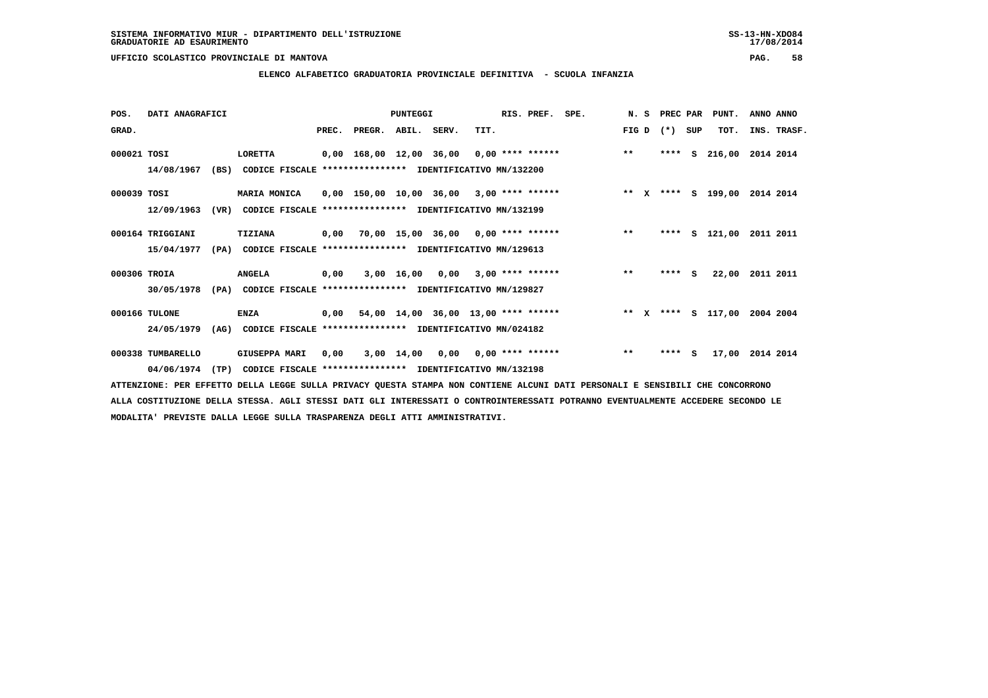**ELENCO ALFABETICO GRADUATORIA PROVINCIALE DEFINITIVA - SCUOLA INFANZIA**

| POS.         | DATI ANAGRAFICI                 | PUNTEGGI                                                                                 |       |                         |              | RIS. PREF. | SPE.                                       | N. S | PREC PAR |        | PUNT.   | ANNO ANNO |                    |             |
|--------------|---------------------------------|------------------------------------------------------------------------------------------|-------|-------------------------|--------------|------------|--------------------------------------------|------|----------|--------|---------|-----------|--------------------|-------------|
| GRAD.        |                                 |                                                                                          | PREC. | PREGR.                  | ABIL.        | SERV.      | TIT.                                       |      |          | FIG D  | $(* )$  | SUP       | TOT.               | INS. TRASF. |
| 000021 TOSI  | 14/08/1967                      | LORETTA<br>(BS)<br>CODICE FISCALE **************** IDENTIFICATIVO MN/132200              |       | 0,00 168,00 12,00 36,00 |              |            | 0,00 **** ******                           |      |          | $**$   | ****    | S.        | 216,00             | 2014 2014   |
| 000039 TOSI  | 12/09/1963                      | MARIA MONICA<br>(VR)<br>CODICE FISCALE **************** IDENTIFICATIVO MN/132199         |       |                         |              |            | $0,00$ 150,00 10,00 36,00 3,00 **** ****** |      |          | ** $X$ |         |           | **** S 199,00      | 2014 2014   |
|              | 000164 TRIGGIANI<br>15/04/1977  | TIZIANA<br>(PA)<br>CODICE FISCALE **************** IDENTIFICATIVO MN/129613              |       |                         |              |            | $0,00$ 70,00 15,00 36,00 0,00 **** ******  |      |          | $* *$  | ****    |           | S 121,00           | 2011 2011   |
| 000306 TROIA | 30/05/1978                      | <b>ANGELA</b><br>(PA)<br>CODICE FISCALE **************** IDENTIFICATIVO MN/129827        | 0,00  |                         | 3,00 16,00   | 0,00       | $3,00$ **** ******                         |      |          | $***$  | **** S  |           | 22,00              | 2011 2011   |
|              | 000166 TULONE<br>24/05/1979     | <b>ENZA</b><br>(AG)<br>CODICE FISCALE **************** IDENTIFICATIVO MN/024182          |       |                         |              |            | $0,00$ 54,00 14,00 36,00 13,00 **** ****** |      |          |        |         |           | ** X **** S 117,00 | 2004 2004   |
|              | 000338 TUMBARELLO<br>04/06/1974 | <b>GIUSEPPA MARI</b><br>(TP)<br>CODICE FISCALE **************** IDENTIFICATIVO MN/132198 | 0,00  |                         | $3,00$ 14,00 | 0,00       | $0,00$ **** ******                         |      |          | $* *$  | $***$ S |           | 17,00              | 2014 2014   |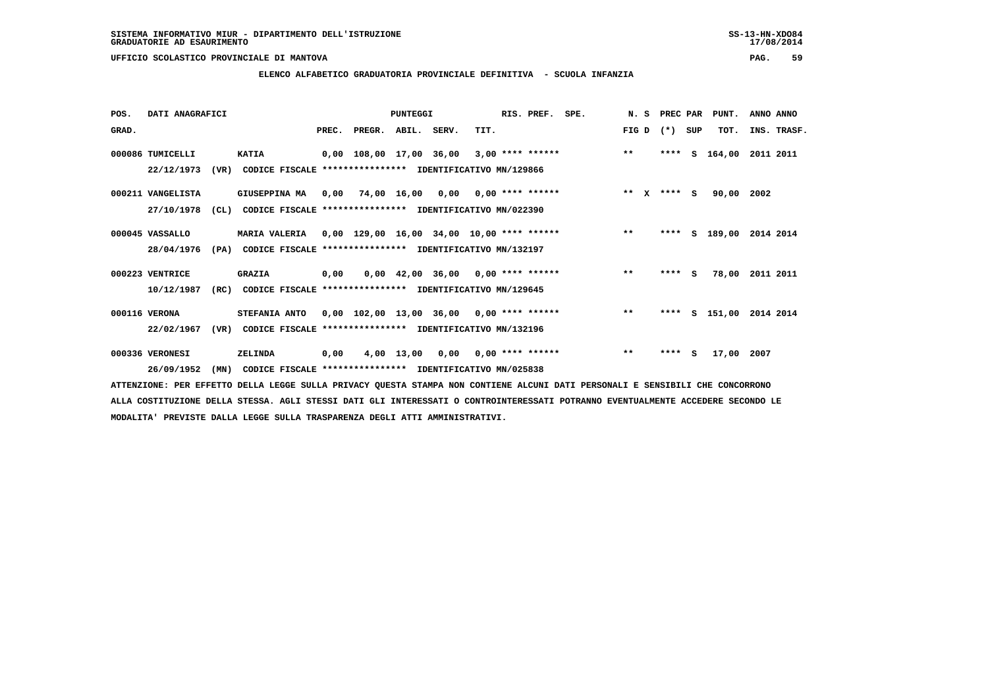**ELENCO ALFABETICO GRADUATORIA PROVINCIALE DEFINITIVA - SCUOLA INFANZIA**

| POS.  | DATI ANAGRAFICI   |      |                                                                   | PUNTEGGI |                          |  |  | RIS. PREF. SPE. |  |                                                                            |       |         | N. S PREC PAR PUNT. | ANNO ANNO          |           |             |
|-------|-------------------|------|-------------------------------------------------------------------|----------|--------------------------|--|--|-----------------|--|----------------------------------------------------------------------------|-------|---------|---------------------|--------------------|-----------|-------------|
| GRAD. |                   |      |                                                                   |          | PREC. PREGR. ABIL. SERV. |  |  | TIT.            |  |                                                                            | FIG D | $(* )$  | SUP                 | TOT.               |           | INS. TRASF. |
|       | 000086 TUMICELLI  |      | <b>KATIA</b>                                                      |          |                          |  |  |                 |  | $0,00$ 108,00 17,00 36,00 3,00 **** ****** *** **                          |       | ****    | S.                  | 164,00 2011 2011   |           |             |
|       | 22/12/1973        |      | (VR) CODICE FISCALE **************** IDENTIFICATIVO MN/129866     |          |                          |  |  |                 |  |                                                                            |       |         |                     |                    |           |             |
|       | 000211 VANGELISTA |      | GIUSEPPINA MA 0,00 74,00 16,00 0,00 0,00 **** ******              |          |                          |  |  |                 |  | $***$ $X$ $***$ $S$                                                        |       |         |                     | 90,00 2002         |           |             |
|       | 27/10/1978        | (CL) | CODICE FISCALE **************** IDENTIFICATIVO MN/022390          |          |                          |  |  |                 |  |                                                                            |       |         |                     |                    |           |             |
|       | 000045 VASSALLO   |      | MARIA VALERIA 0,00 129,00 16,00 34,00 10,00 **** ****** ***** *** |          |                          |  |  |                 |  |                                                                            |       | ****    |                     | S 189,00 2014 2014 |           |             |
|       | 28/04/1976        |      | (PA) CODICE FISCALE **************** IDENTIFICATIVO MN/132197     |          |                          |  |  |                 |  |                                                                            |       |         |                     |                    |           |             |
|       | 000223 VENTRICE   |      | <b>GRAZIA</b>                                                     | 0,00     |                          |  |  |                 |  | $0.00 \quad 42.00 \quad 36.00 \quad 0.00 \quad *** \quad *** \quad$ ****** | $***$ | $***$ S |                     | 78,00              | 2011 2011 |             |
|       | 10/12/1987        | (RC) | CODICE FISCALE **************** IDENTIFICATIVO MN/129645          |          |                          |  |  |                 |  |                                                                            |       |         |                     |                    |           |             |
|       | 000116 VERONA     |      | STEFANIA ANTO 0,00 102,00 13,00 36,00 0,00 **** ******            |          |                          |  |  |                 |  |                                                                            | $**$  | ****    |                     | S 151,00 2014 2014 |           |             |
|       | 22/02/1967        | (VR) | CODICE FISCALE **************** IDENTIFICATIVO MN/132196          |          |                          |  |  |                 |  |                                                                            |       |         |                     |                    |           |             |
|       | 000336 VERONESI   |      | <b>ZELINDA</b>                                                    | 0,00     |                          |  |  |                 |  | 4,00 13,00 0,00 0,00 **** ******                                           | $***$ | ****    | s                   | 17,00 2007         |           |             |
|       | 26/09/1952        | (MN) | CODICE FISCALE **************** IDENTIFICATIVO MN/025838          |          |                          |  |  |                 |  |                                                                            |       |         |                     |                    |           |             |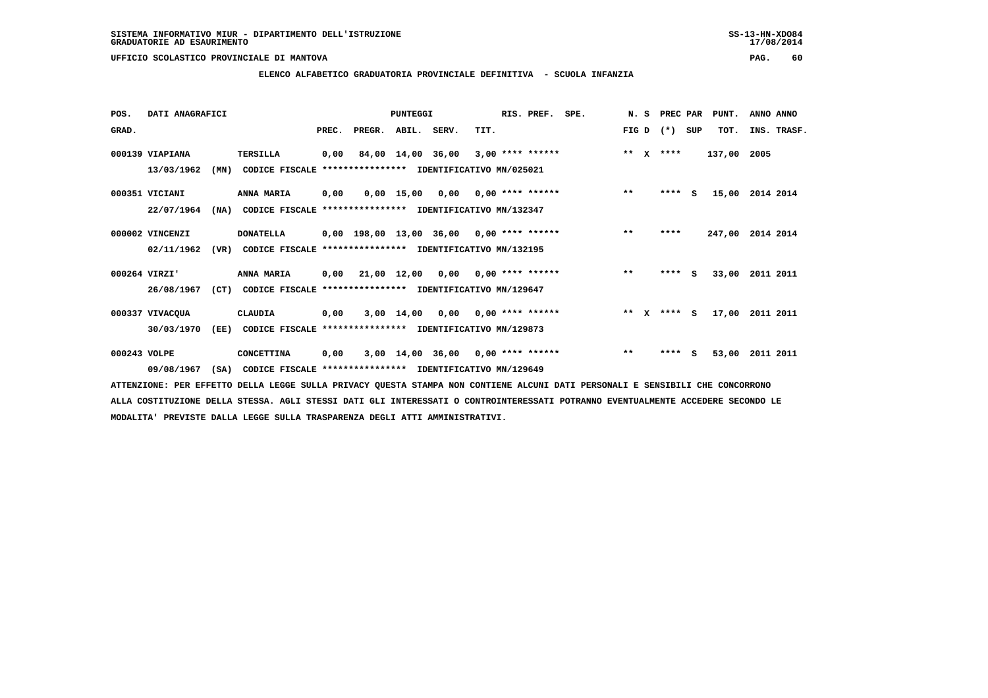### **ELENCO ALFABETICO GRADUATORIA PROVINCIALE DEFINITIVA - SCUOLA INFANZIA**

| POS.         | DATI ANAGRAFICI |      |                                                          | PUNTEGGI |                    |                   |                                            | RIS. PREF. | SPE.                    | N.S |       | PREC PAR     |         | PUNT. | ANNO ANNO   |           |             |
|--------------|-----------------|------|----------------------------------------------------------|----------|--------------------|-------------------|--------------------------------------------|------------|-------------------------|-----|-------|--------------|---------|-------|-------------|-----------|-------------|
| GRAD.        |                 |      |                                                          | PREC.    | PREGR. ABIL. SERV. |                   |                                            | TIT.       |                         |     | FIG D |              | $(*)$   | SUP   | TOT.        |           | INS. TRASF. |
|              | 000139 VIAPIANA |      | <b>TERSILLA</b>                                          | 0,00     |                    | 84,00 14,00 36,00 |                                            |            | $3.00$ **** ******      |     | $* *$ | $\mathbf{x}$ | ****    |       | 137,00 2005 |           |             |
|              | 13/03/1962      | (MN) | CODICE FISCALE **************** IDENTIFICATIVO MN/025021 |          |                    |                   |                                            |            |                         |     |       |              |         |       |             |           |             |
|              | 000351 VICIANI  |      | ANNA MARIA                                               | 0,00     |                    |                   | $0,00$ 15,00 0,00 0,00 **** ******         |            |                         |     | $***$ |              | $***$ S |       | 15,00       | 2014 2014 |             |
|              | 22/07/1964      | (NA) | CODICE FISCALE **************** IDENTIFICATIVO MN/132347 |          |                    |                   |                                            |            |                         |     |       |              |         |       |             |           |             |
|              | 000002 VINCENZI |      | <b>DONATELLA</b>                                         |          |                    |                   | $0,00$ 198,00 13,00 36,00 0,00 **** ****** |            |                         |     | $* *$ |              | ****    |       | 247,00      | 2014 2014 |             |
|              | 02/11/1962      | (VR) | CODICE FISCALE **************** IDENTIFICATIVO MN/132195 |          |                    |                   |                                            |            |                         |     |       |              |         |       |             |           |             |
|              | 000264 VIRZI'   |      | ANNA MARIA                                               |          | 0,00 21,00 12,00   |                   |                                            |            | $0,00$ 0,00 **** ****** |     | $* *$ |              | $***$ S |       | 33,00       | 2011 2011 |             |
|              | 26/08/1967      | (CT) | CODICE FISCALE **************** IDENTIFICATIVO MN/129647 |          |                    |                   |                                            |            |                         |     |       |              |         |       |             |           |             |
|              | 000337 VIVACQUA |      | CLAUDIA                                                  | 0,00     |                    | $3,00$ $14,00$    |                                            |            | $0,00$ 0,00 **** ****** |     | $***$ | $\mathbf{x}$ | $***$ S |       | 17,00       | 2011 2011 |             |
|              | 30/03/1970      | (EE) | CODICE FISCALE                                           |          |                    |                   | **************** IDENTIFICATIVO MN/129873  |            |                         |     |       |              |         |       |             |           |             |
| 000243 VOLPE |                 |      | CONCETTINA                                               | 0,00     |                    |                   | $3,00$ 14,00 36,00 0,00 **** ******        |            |                         |     | $***$ |              | ****    | - S   | 53,00       | 2011 2011 |             |
|              | 09/08/1967      | (SA) | CODICE FISCALE **************** IDENTIFICATIVO MN/129649 |          |                    |                   |                                            |            |                         |     |       |              |         |       |             |           |             |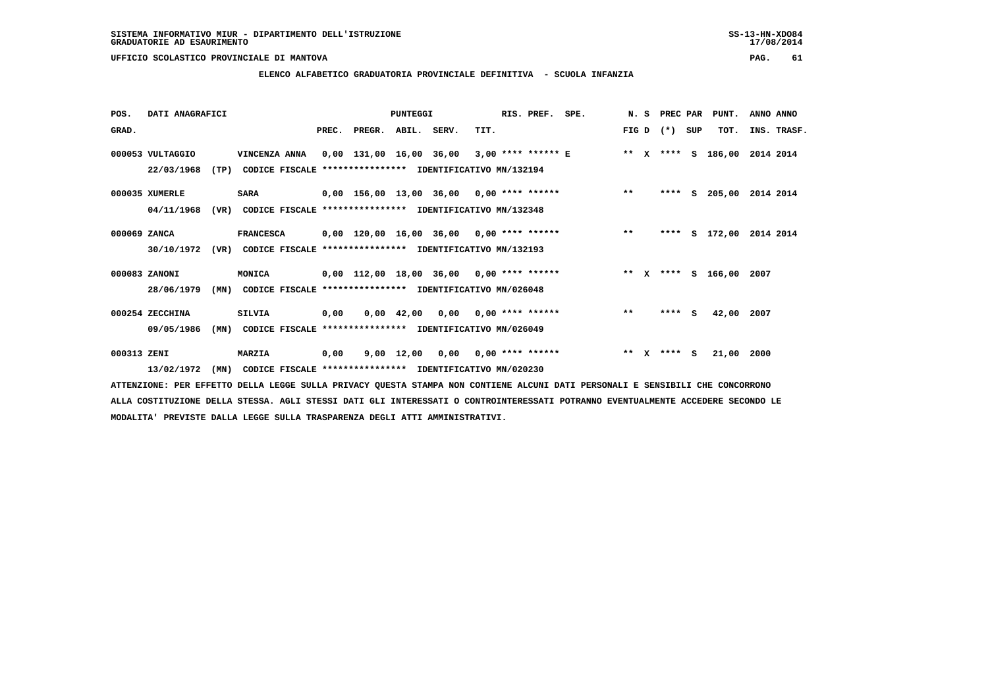**ELENCO ALFABETICO GRADUATORIA PROVINCIALE DEFINITIVA - SCUOLA INFANZIA**

| POS.         | DATI ANAGRAFICI  |      |                                                                                       | <b>PUNTEGGI</b> |                          |  |                                                    |      | RIS. PREF. SPE. |                                                                         |       |              | N. S PREC PAR |     | PUNT.      | ANNO ANNO          |
|--------------|------------------|------|---------------------------------------------------------------------------------------|-----------------|--------------------------|--|----------------------------------------------------|------|-----------------|-------------------------------------------------------------------------|-------|--------------|---------------|-----|------------|--------------------|
| GRAD.        |                  |      |                                                                                       |                 | PREC. PREGR. ABIL. SERV. |  |                                                    | TIT. |                 |                                                                         |       |              | FIG D $(*)$   | SUP | TOT.       | INS. TRASF.        |
|              | 000053 VULTAGGIO |      | VINCENZA ANNA 0,00 131,00 16,00 36,00 3,00 **** ****** E ** X **** S 186,00 2014 2014 |                 |                          |  |                                                    |      |                 |                                                                         |       |              |               |     |            |                    |
|              | 22/03/1968       | (TP) | CODICE FISCALE **************** IDENTIFICATIVO MN/132194                              |                 |                          |  |                                                    |      |                 |                                                                         |       |              |               |     |            |                    |
|              | 000035 XUMERLE   |      | <b>SARA</b>                                                                           |                 |                          |  |                                                    |      |                 | 0,00 156,00 13,00 36,00 0,00 **** ******                                | $***$ |              | ****          |     |            | S 205,00 2014 2014 |
|              | 04/11/1968       | (VR) | CODICE FISCALE **************** IDENTIFICATIVO MN/132348                              |                 |                          |  |                                                    |      |                 |                                                                         |       |              |               |     |            |                    |
| 000069 ZANCA |                  |      | <b>FRANCESCA</b>                                                                      |                 |                          |  |                                                    |      |                 | 0,00 120,00 16,00 36,00 0,00 **** ****** *** **                         |       |              | ****          |     |            | S 172,00 2014 2014 |
|              |                  |      | 30/10/1972 (VR) CODICE FISCALE *************** IDENTIFICATIVO MN/132193               |                 |                          |  |                                                    |      |                 |                                                                         |       |              |               |     |            |                    |
|              | 000083 ZANONI    |      | <b>MONICA</b>                                                                         |                 |                          |  |                                                    |      |                 | 0,00 112,00 18,00 36,00 0,00 **** ****** **** *** ** **** S 166,00 2007 |       |              |               |     |            |                    |
|              | 28/06/1979       | (MN) | CODICE FISCALE **************** IDENTIFICATIVO MN/026048                              |                 |                          |  |                                                    |      |                 |                                                                         |       |              |               |     |            |                    |
|              | 000254 ZECCHINA  |      | <b>SILVIA</b>                                                                         | 0,00            |                          |  | $0.00 \quad 42.00 \quad 0.00 \quad 0.00 \quad ***$ |      |                 |                                                                         | $* *$ |              | $***$ S       |     | 42,00 2007 |                    |
|              | 09/05/1986       | (MN) | CODICE FISCALE **************** IDENTIFICATIVO MN/026049                              |                 |                          |  |                                                    |      |                 |                                                                         |       |              |               |     |            |                    |
| 000313 ZENI  |                  |      | MARZIA                                                                                | 0,00            |                          |  | $9,00$ 12,00 0,00 0,00 **** ******                 |      |                 |                                                                         | $***$ | $\mathbf{x}$ | $***$ S       |     | 21,00 2000 |                    |
|              | 13/02/1972       | (MN) | CODICE FISCALE **************** IDENTIFICATIVO MN/020230                              |                 |                          |  |                                                    |      |                 |                                                                         |       |              |               |     |            |                    |